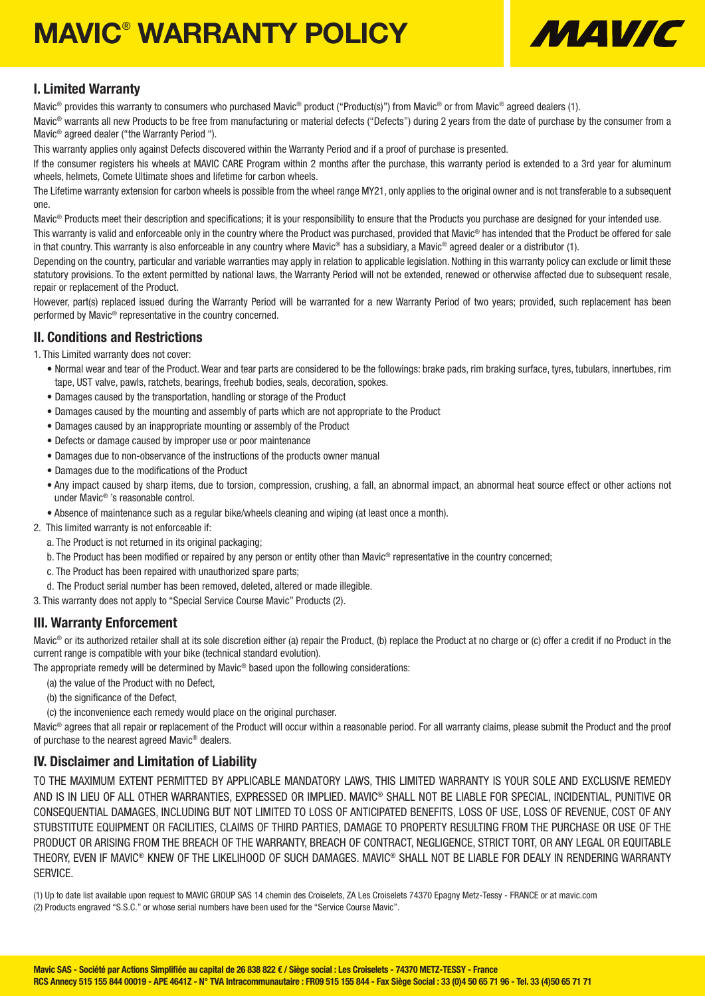# **MAVIC<sup>®</sup> WARRANTY POLICY**



### I. Limited Warranty

Mavic® provides this warranty to consumers who purchased Mavic® product ("Product(s)") from Mavic® or from Mavic® agreed dealers (1).

Mavic® warrants all new Products to be free from manufacturing or material defects ("Defects") during 2 years from the date of purchase by the consumer from a Mavic® agreed dealer ("the Warranty Period ").

This warranty applies only against Defects discovered within the Warranty Period and if a proof of purchase is presented.

If the consumer registers his wheels at MAVIC CARE Program within 2 months after the purchase, this warranty period is extended to a 3rd year for aluminum wheels, helmets, Comete Ultimate shoes and lifetime for carbon wheels.

The Lifetime warranty extension for carbon wheels is possible from the wheel range MY21, only applies to the original owner and is not transferable to a subsequent one.

Mavic<sup>®</sup> Products meet their description and specifications; it is your responsibility to ensure that the Products you purchase are designed for your intended use.

This warranty is valid and enforceable only in the country where the Product was purchased, provided that Mavic® has intended that the Product be offered for sale in that country. This warranty is also enforceable in any country where Mavic® has a subsidiary, a Mavic® agreed dealer or a distributor (1).

Depending on the country, particular and variable warranties may apply in relation to applicable legislation. Nothing in this warranty policy can exclude or limit these statutory provisions. To the extent permitted by national laws, the Warranty Period will not be extended, renewed or otherwise affected due to subsequent resale, repair or replacement of the Product.

However, part(s) replaced issued during the Warranty Period will be warranted for a new Warranty Period of two years; provided, such replacement has been performed by Mavic® representative in the country concerned.

### II. Conditions and Restrictions

1. This Limited warranty does not cover:

- Normal wear and tear of the Product. Wear and tear parts are considered to be the followings: brake pads, rim braking surface, tyres, tubulars, innertubes, rim tape, UST valve, pawls, ratchets, bearings, freehub bodies, seals, decoration, spokes.
- Damages caused by the transportation, handling or storage of the Product
- Damages caused by the mounting and assembly of parts which are not appropriate to the Product
- Damages caused by an inappropriate mounting or assembly of the Product
- Defects or damage caused by improper use or poor maintenance
- Damages due to non-observance of the instructions of the products owner manual
- Damages due to the modifications of the Product
- Any impact caused by sharp items, due to torsion, compression, crushing, a fall, an abnormal impact, an abnormal heat source effect or other actions not under Mavic® 's reasonable control.
- Absence of maintenance such as a regular bike/wheels cleaning and wiping (at least once a month).
- 2. This limited warranty is not enforceable if:
	- a. The Product is not returned in its original packaging;
	- b. The Product has been modified or repaired by any person or entity other than Mavic® representative in the country concerned;
	- c. The Product has been repaired with unauthorized spare parts;
	- d. The Product serial number has been removed, deleted, altered or made illegible.
- 3. This warranty does not apply to "Special Service Course Mavic" Products (2).

### III. Warranty Enforcement

Mavic<sup>®</sup> or its authorized retailer shall at its sole discretion either (a) repair the Product, (b) replace the Product at no charge or (c) offer a credit if no Product in the current range is compatible with your bike (technical standard evolution).

The appropriate remedy will be determined by Mavic® based upon the following considerations:

- (a) the value of the Product with no Defect,
- (b) the significance of the Defect.
- (c) the inconvenience each remedy would place on the original purchaser.

Mavic<sup>®</sup> agrees that all repair or replacement of the Product will occur within a reasonable period. For all warranty claims, please submit the Product and the proof of purchase to the nearest agreed Mavic® dealers.

### IV. Disclaimer and Limitation of Liability

TO THE MAXIMUM EXTENT PERMITTED BY APPLICABLE MANDATORY LAWS, THIS LIMITED WARRANTY IS YOUR SOLE AND EXCLUSIVE REMEDY AND IS IN LIEU OF ALL OTHER WARRANTIES, EXPRESSED OR IMPLIED. MAVIC® SHALL NOT BE LIABLE FOR SPECIAL, INCIDENTIAL, PUNITIVE OR CONSEQUENTIAL DAMAGES, INCLUDING BUT NOT LIMITED TO LOSS OF ANTICIPATED BENEFITS, LOSS OF USE, LOSS OF REVENUE, COST OF ANY STUBSTITUTE EQUIPMENT OR FACILITIES, CLAIMS OF THIRD PARTIES, DAMAGE TO PROPERTY RESULTING FROM THE PURCHASE OR USE OF THE PRODUCT OR ARISING FROM THE BREACH OF THE WARRANTY, BREACH OF CONTRACT, NEGLIGENCE, STRICT TORT, OR ANY LEGAL OR EQUITABLE THEORY, EVEN IF MAVIC® KNEW OF THE LIKELIHOOD OF SUCH DAMAGES. MAVIC® SHALL NOT BE LIABLE FOR DEALY IN RENDERING WARRANTY SERVICE.

(1) Up to date list available upon request to MAVIC GROUP SAS 14 chemin des Croiselets, ZA Les Croiselets 74370 Epagny Metz-Tessy - FRANCE or at mavic.com (2) Products engraved "S.S.C." or whose serial numbers have been used for the "Service Course Mavic".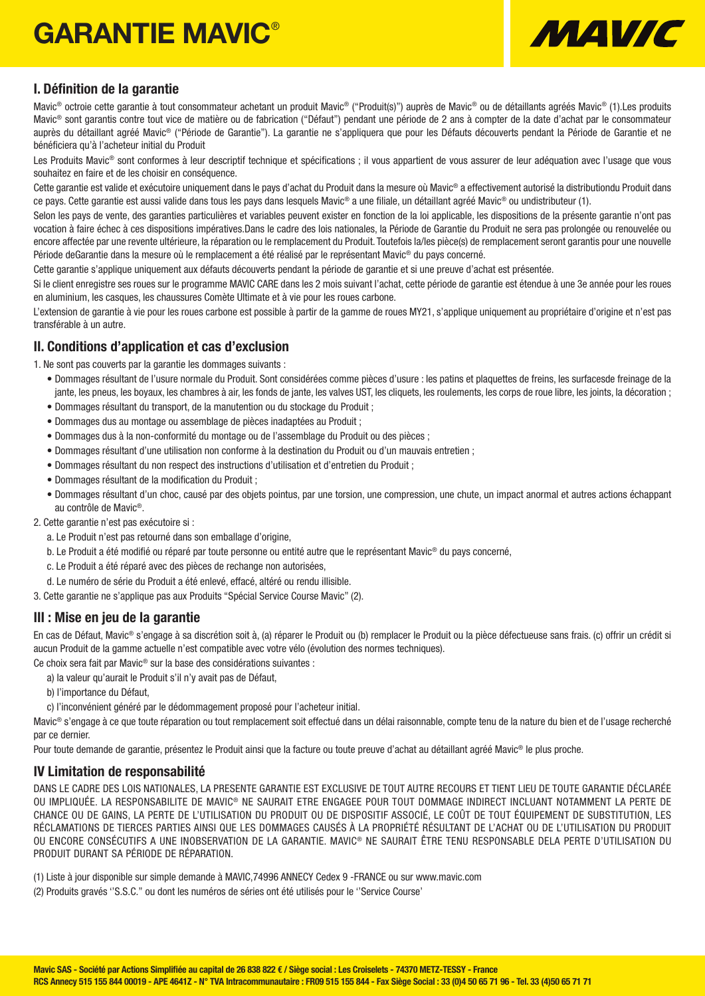## GARANTIE MAVIC®



### I. Définition de la garantie

Mavic® octroie cette garantie à tout consommateur achetant un produit Mavic® ("Produit(s)") auprès de Mavic® ou de détaillants agréés Mavic® (1).Les produits Mavic® sont garantis contre tout vice de matière ou de fabrication ("Défaut") pendant une période de 2 ans à compter de la date d'achat par le consommateur auprès du détaillant agréé Mavic® ("Période de Garantie"). La garantie ne s'appliquera que pour les Défauts découverts pendant la Période de Garantie et ne bénéficiera qu'à l'acheteur initial du Produit

Les Produits Mavic<sup>®</sup> sont conformes à leur descriptif technique et spécifications ; il vous appartient de vous assurer de leur adéquation avec l'usage que vous souhaitez en faire et de les choisir en conséquence.

Cette garantie est valide et exécutoire uniquement dans le pays d'achat du Produit dans la mesure où Mavic® a effectivement autorisé la distributiondu Produit dans ce pays. Cette garantie est aussi valide dans tous les pays dans lesquels Mavic® a une filiale, un détaillant agréé Mavic® ou undistributeur (1).

Selon les pays de vente, des garanties particulières et variables peuvent exister en fonction de la loi applicable, les dispositions de la présente garantie n'ont pas vocation à faire échec à ces dispositions impératives.Dans le cadre des lois nationales, la Période de Garantie du Produit ne sera pas prolongée ou renouvelée ou encore affectée par une revente ultérieure, la réparation ou le remplacement du Produit. Toutefois la/les pièce(s) de remplacement seront garantis pour une nouvelle Période deGarantie dans la mesure où le remplacement a été réalisé par le représentant Mavic® du pays concerné.

Cette garantie s'applique uniquement aux défauts découverts pendant la période de garantie et si une preuve d'achat est présentée.

Si le client enregistre ses roues sur le programme MAVIC CARE dans les 2 mois suivant l'achat, cette période de garantie est étendue à une 3e année pour les roues en aluminium, les casques, les chaussures Comète Ultimate et à vie pour les roues carbone.

L'extension de garantie à vie pour les roues carbone est possible à partir de la gamme de roues MY21, s'applique uniquement au propriétaire d'origine et n'est pas transférable à un autre.

### II. Conditions d'application et cas d'exclusion

1. Ne sont pas couverts par la garantie les dommages suivants :

- Dommages résultant de l'usure normale du Produit. Sont considérées comme pièces d'usure : les patins et plaquettes de freins, les surfacesde freinage de la jante, les pneus, les boyaux, les chambres à air, les fonds de jante, les valves UST, les cliquets, les roulements, les corps de roue libre, les joints, la décoration ;
- Dommages résultant du transport, de la manutention ou du stockage du Produit ;
- Dommages dus au montage ou assemblage de pièces inadaptées au Produit ;
- Dommages dus à la non-conformité du montage ou de l'assemblage du Produit ou des pièces ;
- Dommages résultant d'une utilisation non conforme à la destination du Produit ou d'un mauvais entretien ;
- Dommages résultant du non respect des instructions d'utilisation et d'entretien du Produit ;
- Dommages résultant de la modification du Produit ;
- Dommages résultant d'un choc, causé par des objets pointus, par une torsion, une compression, une chute, un impact anormal et autres actions échappant au contrôle de Mavic®.

2. Cette garantie n'est pas exécutoire si :

- a. Le Produit n'est pas retourné dans son emballage d'origine,
- b. Le Produit a été modifié ou réparé par toute personne ou entité autre que le représentant Mavic® du pays concerné,
- c. Le Produit a été réparé avec des pièces de rechange non autorisées,
- d. Le numéro de série du Produit a été enlevé, effacé, altéré ou rendu illisible.
- 3. Cette garantie ne s'applique pas aux Produits "Spécial Service Course Mavic" (2).

### III : Mise en jeu de la garantie

En cas de Défaut, Mavic® s'engage à sa discrétion soit à, (a) réparer le Produit ou (b) remplacer le Produit ou la pièce défectueuse sans frais. (c) offrir un crédit si aucun Produit de la gamme actuelle n'est compatible avec votre vélo (évolution des normes techniques).

- Ce choix sera fait par Mavic® sur la base des considérations suivantes :
	- a) la valeur qu'aurait le Produit s'il n'y avait pas de Défaut,
	- b) l'importance du Défaut,
	- c) l'inconvénient généré par le dédommagement proposé pour l'acheteur initial.

Mavic® s'engage à ce que toute réparation ou tout remplacement soit effectué dans un délai raisonnable, compte tenu de la nature du bien et de l'usage recherché par ce dernier.

Pour toute demande de garantie, présentez le Produit ainsi que la facture ou toute preuve d'achat au détaillant agréé Mavic® le plus proche.

### IV Limitation de responsabilité

DANS LE CADRE DES LOIS NATIONALES, LA PRESENTE GARANTIE EST EXCLUSIVE DE TOUT AUTRE RECOURS ET TIENT LIEU DE TOUTE GARANTIE DÉCLARÉE OU IMPLIQUÉE. LA RESPONSABILITE DE MAVIC® NE SAURAIT ETRE ENGAGEE POUR TOUT DOMMAGE INDIRECT INCLUANT NOTAMMENT LA PERTE DE CHANCE OU DE GAINS, LA PERTE DE L'UTILISATION DU PRODUIT OU DE DISPOSITIF ASSOCIÉ, LE COÛT DE TOUT ÉQUIPEMENT DE SUBSTITUTION, LES RÉCLAMATIONS DE TIERCES PARTIES AINSI QUE LES DOMMAGES CAUSÉS À LA PROPRIÉTÉ RÉSULTANT DE L'ACHAT OU DE L'UTILISATION DU PRODUIT OU ENCORE CONSÉCUTIFS A UNE INOBSERVATION DE LA GARANTIE. MAVIC® NE SAURAIT ÊTRE TENU RESPONSABLE DELA PERTE D'UTILISATION DU PRODUIT DURANT SA PÉRIODE DE RÉPARATION.

(1) Liste à jour disponible sur simple demande à MAVIC,74996 ANNECY Cedex 9 -FRANCE ou sur www.mavic.com

(2) Produits gravés ''S.S.C.'' ou dont les numéros de séries ont été utilisés pour le ''Service Course'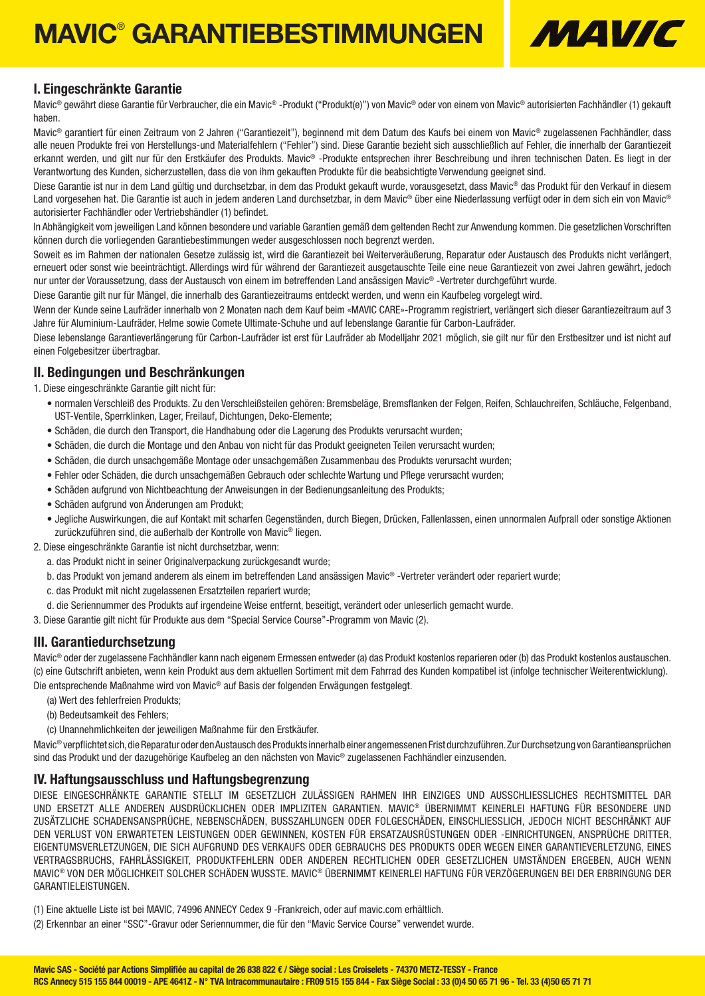## MAVIC® GARANTIEBESTIMMUNGEN



### I. Eingeschränkte Garantie

Mavic® gewährt diese Garantie für Verbraucher, die ein Mavic® -Produkt ("Produkt(e)") von Mavic® oder von einem von Mavic® autorisierten Fachhändler (1) gekauft haben.

Mavic® garantiert für einen Zeitraum von 2 Jahren ("Garantiezeit"), beginnend mit dem Datum des Kaufs bei einem von Mavic® zugelassenen Fachhändler, dass alle neuen Produkte frei von Herstellungs-und Materialfehlern ("Fehler") sind. Diese Garantie bezieht sich ausschließlich auf Fehler, die innerhalb der Garantiezeit erkannt werden, und gilt nur für den Erstkäufer des Produkts. Mavic® -Produkte entsprechen ihrer Beschreibung und ihren technischen Daten. Es liegt in der Verantwortung des Kunden, sicherzustellen, dass die von ihm gekauften Produkte für die beabsichtigte Verwendung geeignet sind.

Diese Garantie ist nur in dem Land gültig und durchsetzbar, in dem das Produkt gekauft wurde, vorausgesetzt, dass Mavic® das Produkt für den Verkauf in diesem Land vorgesehen hat. Die Garantie ist auch in jedem anderen Land durchsetzbar, in dem Mavic® über eine Niederlassung verfügt oder in dem sich ein von Mavic® autorisierter Fachhändler oder Vertriebshändler (1) befindet.

In Abhängigkeit vom jeweiligen Land können besondere und variable Garantien gemäß dem geltenden Recht zur Anwendung kommen. Die gesetzlichen Vorschriften können durch die vorliegenden Garantiebestimmungen weder ausgeschlossen noch begrenzt werden.

Soweit es im Rahmen der nationalen Gesetze zulässig ist, wird die Garantiezeit bei Weiterveräußerung, Reparatur oder Austausch des Produkts nicht verlängert, erneuert oder sonst wie beeinträchtigt. Allerdings wird für während der Garantiezeit ausgetauschte Teile eine neue Garantiezeit von zwei Jahren gewährt, jedoch nur unter der Voraussetzung, dass der Austausch von einem im betreffenden Land ansässigen Mavic® -Vertreter durchgeführt wurde.

Diese Garantie gilt nur für Mängel, die innerhalb des Garantiezeitraums entdeckt werden, und wenn ein Kaufbeleg vorgelegt wird.

Wenn der Kunde seine Laufräder innerhalb von 2 Monaten nach dem Kauf beim «MAVIC CARE»-Programm registriert, verlängert sich dieser Garantiezeitraum auf 3 Jahre für Aluminium-Laufräder, Helme sowie Comete Ultimate-Schuhe und auf lebenslange Garantie für Carbon-Laufräder.

Diese lebenslange Garantieverlängerung für Carbon-Laufräder ist erst für Laufräder ab Modelljahr 2021 möglich, sie gilt nur für den Erstbesitzer und ist nicht auf einen Folgebesitzer übertragbar.

#### II. Bedingungen und Beschränkungen

- 1. Diese eingeschränkte Garantie gilt nicht für:
	- normalen Verschleiß des Produkts. Zu den Verschleißsteilen gehören: Bremsbeläge, Bremsflanken der Felgen, Reifen, Schlauchreifen, Schläuche, Felgenband, UST-Ventile, Sperrklinken, Lager, Freilauf, Dichtungen, Deko-Elemente;
	- Schäden, die durch den Transport, die Handhabung oder die Lagerung des Produkts verursacht wurden;
	- Schäden, die durch die Montage und den Anbau von nicht für das Produkt geeigneten Teilen verursacht wurden;
	- Schäden, die durch unsachgemäße Montage oder unsachgemäßen Zusammenbau des Produkts verursacht wurden;
	- Fehler oder Schäden, die durch unsachgemäßen Gebrauch oder schlechte Wartung und Pflege verursacht wurden;
	- Schäden aufgrund von Nichtbeachtung der Anweisungen in der Bedienungsanleitung des Produkts;
	- Schäden aufgrund von Änderungen am Produkt;
	- Jegliche Auswirkungen, die auf Kontakt mit scharfen Gegenständen, durch Biegen, Drücken, Fallenlassen, einen unnormalen Aufprall oder sonstige Aktionen zurückzuführen sind, die außerhalb der Kontrolle von Mavic® liegen.
- 2. Diese eingeschränkte Garantie ist nicht durchsetzbar, wenn:
	- a. das Produkt nicht in seiner Originalverpackung zurückgesandt wurde:
	- b. das Produkt von jemand anderem als einem im betreffenden Land ansässigen Mavic® -Vertreter verändert oder repariert wurde;
	- c. das Produkt mit nicht zugelassenen Ersatzteilen repariert wurde;
	- d. die Seriennummer des Produkts auf irgendeine Weise entfernt, beseitigt, verändert oder unleserlich gemacht wurde.
- 3. Diese Garantie gilt nicht für Produkte aus dem "Special Service Course"-Programm von Mavic (2).

### III. Garantiedurchsetzung

Mavic® oder der zugelassene Fachhändler kann nach eigenem Ermessen entweder (a) das Produkt kostenlos reparieren oder (b) das Produkt kostenlos austauschen. (c) eine Gutschrift anbieten, wenn kein Produkt aus dem aktuellen Sortiment mit dem Fahrrad des Kunden kompatibel ist (infolge technischer Weiterentwicklung). Die entsprechende Maßnahme wird von Mavic® auf Basis der folgenden Erwägungen festgelegt.

- (a) Wert des fehlerfreien Produkts;
- (b) Bedeutsamkeit des Fehlers;
- (c) Unannehmlichkeiten der jeweiligen Maßnahme für den Erstkäufer.

Mavic® verpflichtet sich, die Reparatur oder den Austausch des Produkts innerhalb einer angemessenen Frist durchzuführen. Zur Durchsetzung von Garantieansprüchen sind das Produkt und der dazugehörige Kaufbeleg an den nächsten von Mavic® zugelassenen Fachhändler einzusenden.

### IV. Haftungsausschluss und Haftungsbegrenzung

DIESE EINGESCHRÄNKTE GARANTIE STELLT IM GESETZLICH ZULÄSSIGEN RAHMEN IHR EINZIGES UND AUSSCHLIESSLICHES RECHTSMITTEL DAR UND ERSETZT ALLE ANDEREN AUSDRÜCKLICHEN ODER IMPLIZITEN GARANTIEN. MAVIC® ÜBERNIMMT KEINERLEI HAFTUNG FÜR BESONDERE UND ZUSÄTZLICHE SCHADENSANSPRÜCHE, NEBENSCHÄDEN, BUSSZAHLUNGEN ODER FOLGESCHÄDEN, EINSCHLIESSLICH, JEDOCH NICHT BESCHRÄNKT AUF DEN VERLUST VON ERWARTETEN LEISTUNGEN ODER GEWINNEN, KOSTEN FÜR ERSATZAUSRÜSTUNGEN ODER -EINRICHTUNGEN, ANSPRÜCHE DRITTER, EIGENTUMSVERLETZUNGEN, DIE SICH AUFGRUND DES VERKAUFS ODER GEBRAUCHS DES PRODUKTS ODER WEGEN EINER GARANTIEVERLETZUNG, EINES VERTRAGSBRUCHS, FAHRLÄSSIGKEIT, PRODUKTFEHLERN ODER ANDEREN RECHTLICHEN ODER GESETZLICHEN UMSTÄNDEN ERGEBEN, AUCH WENN MAVIC® VON DER MÖGLICHKEIT SOLCHER SCHÄDEN WUSSTE. MAVIC® ÜBERNIMMT KEINERLEI HAFTUNG FÜR VERZÖGERUNGEN BEI DER ERBRINGUNG DER GARANTIELEISTUNGEN.

(1) Eine aktuelle Liste ist bei MAVIC, 74996 ANNECY Cedex 9 -Frankreich, oder auf mavic.com erhältlich.

(2) Erkennbar an einer "SSC"-Gravur oder Seriennummer, die für den "Mavic Service Course" verwendet wurde.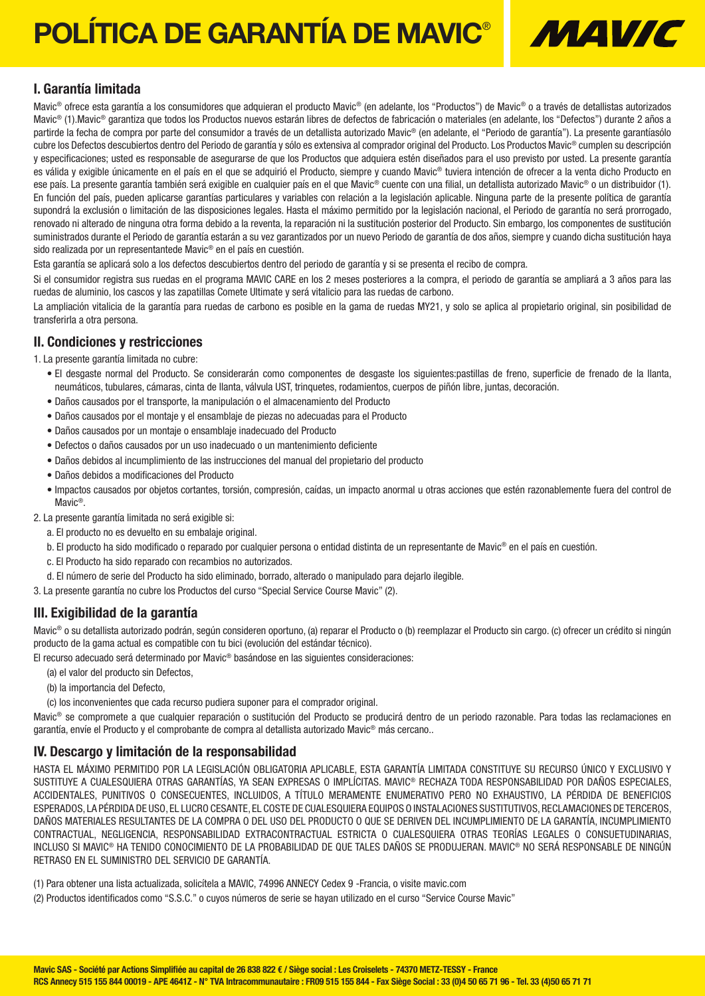# POLÍTICA DE GARANTÍA DE MAVIC<sup>®</sup> M44*VIC*



### I. Garantía limitada

Mavic<sup>®</sup> ofrece esta garantía a los consumidores que adquieran el producto Mavic<sup>®</sup> (en adelante, los "Productos") de Mavic<sup>®</sup> o a través de detallistas autorizados Mavic® (1).Mavic® garantiza que todos los Productos nuevos estarán libres de defectos de fabricación o materiales (en adelante, los "Defectos") durante 2 años a partirde la fecha de compra por parte del consumidor a través de un detallista autorizado Mavic® (en adelante, el "Periodo de garantía"). La presente garantíasólo cubre los Defectos descubiertos dentro del Periodo de garantía y sólo es extensiva al comprador original del Producto. Los Productos Mavic® cumplen su descripción y especificaciones; usted es responsable de asegurarse de que los Productos que adquiera estén diseñados para el uso previsto por usted. La presente garantía es válida y exigible únicamente en el país en el que se adquirió el Producto, siempre y cuando Mavic® tuviera intención de ofrecer a la venta dicho Producto en ese país. La presente garantía también será exigible en cualquier país en el que Mavic® cuente con una filial, un detallista autorizado Mavic® o un distribuidor (1). En función del país, pueden aplicarse garantías particulares y variables con relación a la legislación aplicable. Ninguna parte de la presente política de garantía supondrá la exclusión o limitación de las disposiciones legales. Hasta el máximo permitido por la legislación nacional, el Periodo de garantía no será prorrogado, renovado ni alterado de ninguna otra forma debido a la reventa, la reparación ni la sustitución posterior del Producto. Sin embargo, los componentes de sustitución suministrados durante el Periodo de garantía estarán a su vez garantizados por un nuevo Periodo de garantía de dos años, siempre y cuando dicha sustitución haya sido realizada por un representantede Mavic® en el país en cuestión.

Esta garantía se aplicará solo a los defectos descubiertos dentro del periodo de garantía y si se presenta el recibo de compra.

Si el consumidor registra sus ruedas en el programa MAVIC CARE en los 2 meses posteriores a la compra, el periodo de garantía se ampliará a 3 años para las ruedas de aluminio, los cascos y las zapatillas Comete Ultimate y será vitalicio para las ruedas de carbono.

La ampliación vitalicia de la garantía para ruedas de carbono es posible en la gama de ruedas MY21, y solo se aplica al propietario original, sin posibilidad de transferirla a otra persona.

### II. Condiciones y restricciones

1. La presente garantía limitada no cubre:

- El desgaste normal del Producto. Se considerarán como componentes de desgaste los siguientes:pastillas de freno, superficie de frenado de la llanta, neumáticos, tubulares, cámaras, cinta de llanta, válvula UST, trinquetes, rodamientos, cuerpos de piñón libre, juntas, decoración.
- Daños causados por el transporte, la manipulación o el almacenamiento del Producto
- Daños causados por el montaje y el ensamblaje de piezas no adecuadas para el Producto
- Daños causados por un montaje o ensamblaje inadecuado del Producto
- Defectos o daños causados por un uso inadecuado o un mantenimiento deficiente
- Daños debidos al incumplimiento de las instrucciones del manual del propietario del producto
- Daños debidos a modificaciones del Producto
- Impactos causados por objetos cortantes, torsión, compresión, caídas, un impacto anormal u otras acciones que estén razonablemente fuera del control de Mavic®.
- 2. La presente garantía limitada no será exigible si:
	- a. El producto no es devuelto en su embalaje original.
	- b. El producto ha sido modificado o reparado por cualquier persona o entidad distinta de un representante de Mavic® en el país en cuestión.
	- c. El Producto ha sido reparado con recambios no autorizados.
	- d. El número de serie del Producto ha sido eliminado, borrado, alterado o manipulado para dejarlo ilegible.

3. La presente garantía no cubre los Productos del curso "Special Service Course Mavic" (2).

### III. Exigibilidad de la garantía

Mavic<sup>®</sup> o su detallista autorizado podrán, según consideren oportuno, (a) reparar el Producto o (b) reemplazar el Producto sin cargo. (c) ofrecer un crédito si ningún producto de la gama actual es compatible con tu bici (evolución del estándar técnico).

El recurso adecuado será determinado por Mavic® basándose en las siguientes consideraciones:

- (a) el valor del producto sin Defectos,
- (b) la importancia del Defecto,
- (c) los inconvenientes que cada recurso pudiera suponer para el comprador original.

Mavic® se compromete a que cualquier reparación o sustitución del Producto se producirá dentro de un periodo razonable. Para todas las reclamaciones en garantía, envíe el Producto y el comprobante de compra al detallista autorizado Mavic<sup>®</sup> más cercano..

### IV. Descargo y limitación de la responsabilidad

HASTA EL MÁXIMO PERMITIDO POR LA LEGISLACIÓN OBLIGATORIA APLICABLE, ESTA GARANTÍA LIMITADA CONSTITUYE SU RECURSO ÚNICO Y EXCLUSIVO Y SUSTITUYE A CUALESQUIERA OTRAS GARANTÍAS, YA SEAN EXPRESAS O IMPLÍCITAS. MAVIC® RECHAZA TODA RESPONSABILIDAD POR DAÑOS ESPECIALES, ACCIDENTALES, PUNITIVOS O CONSECUENTES, INCLUIDOS, A TÍTULO MERAMENTE ENUMERATIVO PERO NO EXHAUSTIVO, LA PÉRDIDA DE BENEFICIOS ESPERADOS, LA PÉRDIDA DE USO, EL LUCRO CESANTE, EL COSTE DE CUALESQUIERA EQUIPOS O INSTALACIONES SUSTITUTIVOS, RECLAMACIONES DE TERCEROS, DAÑOS MATERIALES RESULTANTES DE LA COMPRA O DEL USO DEL PRODUCTO O QUE SE DERIVEN DEL INCUMPLIMIENTO DE LA GARANTÍA, INCUMPLIMIENTO CONTRACTUAL, NEGLIGENCIA, RESPONSABILIDAD EXTRACONTRACTUAL ESTRICTA O CUALESQUIERA OTRAS TEORÍAS LEGALES O CONSUETUDINARIAS, INCLUSO SI MAVIC® HA TENIDO CONOCIMIENTO DE LA PROBABILIDAD DE QUE TALES DAÑOS SE PRODUJERAN. MAVIC® NO SERÁ RESPONSABLE DE NINGÚN RETRASO EN EL SUMINISTRO DEL SERVICIO DE GARANTÍA.

(1) Para obtener una lista actualizada, solicítela a MAVIC, 74996 ANNECY Cedex 9 -Francia, o visite mavic.com

(2) Productos identificados como "S.S.C." o cuyos números de serie se hayan utilizado en el curso "Service Course Mavic"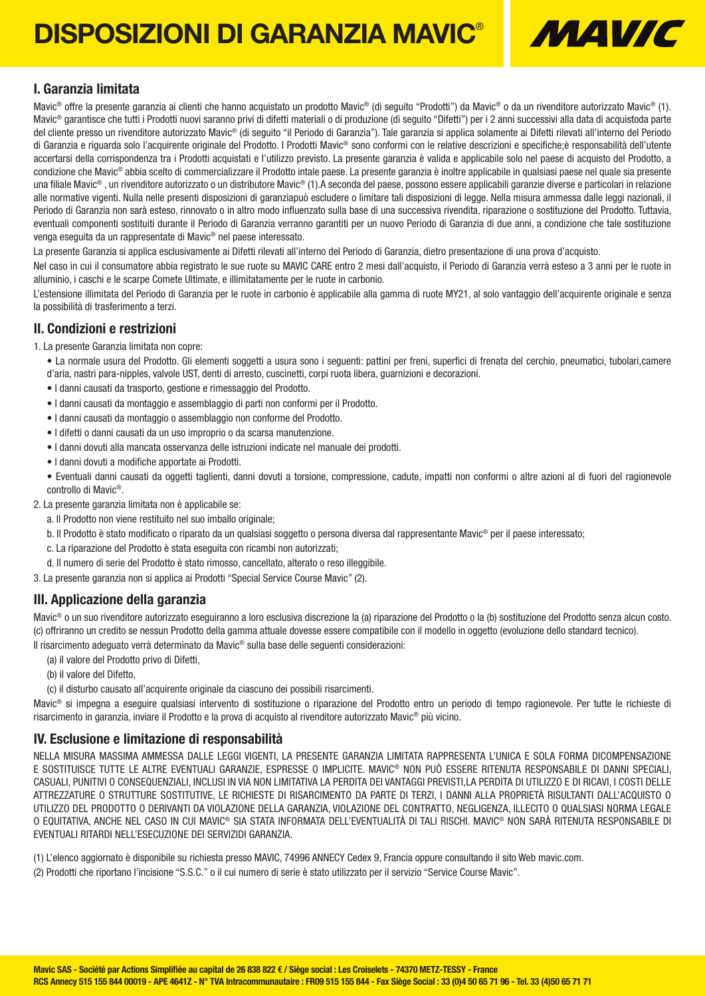## DISPOSIZIONI DI GARANZIA MAVIC®



### I. Garanzia limitata

Mavic® offre la presente garanzia ai clienti che hanno acquistato un prodotto Mavic® (di seguito "Prodotti") da Mavic® o da un rivenditore autorizzato Mavic® (1). Mavic® garantisce che tutti i Prodotti nuovi saranno privi di difetti materiali o di produzione (di seguito "Difetti") per i 2 anni successivi alla data di acquistoda parte del cliente presso un rivenditore autorizzato Mavic® (di seguito "il Periodo di Garanzia"). Tale garanzia si applica solamente ai Difetti rilevati all'interno del Periodo di Garanzia e riguarda solo l'acquirente originale del Prodotto. I Prodotti Mavic® sono conformi con le relative descrizioni e specifiche;è responsabilità dell'utente accertarsi della corrispondenza tra i Prodotti acquistati e l'utilizzo previsto. La presente garanzia è valida e applicabile solo nel paese di acquisto del Prodotto, a condizione che Mavic® abbia scelto di commercializzare il Prodotto intale paese. La presente garanzia è inoltre applicabile in qualsiasi paese nel quale sia presente una filiale Mavic®, un rivenditore autorizzato o un distributore Mavic® (1).A seconda del paese, possono essere applicabili garanzie diverse e particolari in relazione alle normative vigenti. Nulla nelle presenti disposizioni di garanziapuò escludere o limitare tali disposizioni di legge. Nella misura ammessa dalle leggi nazionali, il Periodo di Garanzia non sarà esteso, rinnovato o in altro modo influenzato sulla base di una successiva rivendita, riparazione o sostituzione del Prodotto. Tuttavia, eventuali componenti sostituiti durante il Periodo di Garanzia verranno garantiti per un nuovo Periodo di Garanzia di due anni, a condizione che tale sostituzione venga eseguita da un rappresentate di Mavic® nel paese interessato.

La presente Garanzia si applica esclusivamente ai Difetti rilevati all'interno del Periodo di Garanzia, dietro presentazione di una prova d'acquisto.

Nel caso in cui il consumatore abbia registrato le sue ruote su MAVIC CARE entro 2 mesi dall'acquisto, il Periodo di Garanzia verrà esteso a 3 anni per le ruote in alluminio, i caschi e le scarpe Comete Ultimate, e illimitatamente per le ruote in carbonio.

L'estensione illimitata del Periodo di Garanzia per le ruote in carbonio è applicabile alla gamma di ruote MY21, al solo vantaggio dell'acquirente originale e senza la possibilità di trasferimento a terzi.

### II. Condizioni e restrizioni

- 1. La presente Garanzia limitata non copre:
	- La normale usura del Prodotto. Gli elementi soggetti a usura sono i seguenti: pattini per freni, superfici di frenata del cerchio, pneumatici, tubolari,camere d'aria, nastri para-nipples, valvole UST, denti di arresto, cuscinetti, corpi ruota libera, guarnizioni e decorazioni.
	- I danni causati da trasporto, gestione e rimessaggio del Prodotto.
	- I danni causati da montaggio e assemblaggio di parti non conformi per il Prodotto.
	- I danni causati da montaggio o assemblaggio non conforme del Prodotto.
	- I difetti o danni causati da un uso improprio o da scarsa manutenzione.
	- I danni dovuti alla mancata osservanza delle istruzioni indicate nel manuale dei prodotti.
	- I danni dovuti a modifiche apportate ai Prodotti.

• Eventuali danni causati da oggetti taglienti, danni dovuti a torsione, compressione, cadute, impatti non conformi o altre azioni al di fuori del ragionevole controllo di Mavic®.

2. La presente garanzia limitata non è applicabile se:

- a. Il Prodotto non viene restituito nel suo imballo originale;
- b. Il Prodotto è stato modificato o riparato da un qualsiasi soggetto o persona diversa dal rappresentante Mavic® per il paese interessato;
- c. La riparazione del Prodotto è stata eseguita con ricambi non autorizzati;
- d. Il numero di serie del Prodotto è stato rimosso, cancellato, alterato o reso illeggibile.
- 3. La presente garanzia non si applica ai Prodotti "Special Service Course Mavic" (2).

### III. Applicazione della garanzia

Mavic® o un suo rivenditore autorizzato eseguiranno a loro esclusiva discrezione la (a) riparazione del Prodotto o la (b) sostituzione del Prodotto senza alcun costo. (c) offriranno un credito se nessun Prodotto della gamma attuale dovesse essere compatibile con il modello in oggetto (evoluzione dello standard tecnico).

Il risarcimento adeguato verrà determinato da Mavic® sulla base delle seguenti considerazioni:

- (a) il valore del Prodotto privo di Difetti,
- (b) il valore del Difetto,
- (c) il disturbo causato all'acquirente originale da ciascuno dei possibili risarcimenti.

Mavic® si impegna a eseguire qualsiasi intervento di sostituzione o riparazione del Prodotto entro un periodo di tempo ragionevole. Per tutte le richieste di risarcimento in garanzia, inviare il Prodotto e la prova di acquisto al rivenditore autorizzato Mavic® più vicino.

### IV. Esclusione e limitazione di responsabilità

NELLA MISURA MASSIMA AMMESSA DALLE LEGGI VIGENTI, LA PRESENTE GARANZIA LIMITATA RAPPRESENTA L'UNICA E SOLA FORMA DICOMPENSAZIONE E SOSTITUISCE TUTTE LE ALTRE EVENTUALI GARANZIE, ESPRESSE O IMPLICITE. MAVIC® NON PUÒ ESSERE RITENUTA RESPONSABILE DI DANNI SPECIALI, CASUALI, PUNITIVI O CONSEQUENZIALI, INCLUSI IN VIA NON LIMITATIVA LA PERDITA DEI VANTAGGI PREVISTI,LA PERDITA DI UTILIZZO E DI RICAVI, I COSTI DELLE ATTREZZATURE O STRUTTURE SOSTITUTIVE, LE RICHIESTE DI RISARCIMENTO DA PARTE DI TERZI, I DANNI ALLA PROPRIETÀ RISULTANTI DALL'ACQUISTO O UTILIZZO DEL PRODOTTO O DERIVANTI DA VIOLAZIONE DELLA GARANZIA, VIOLAZIONE DEL CONTRATTO, NEGLIGENZA, ILLECITO O QUALSIASI NORMA LEGALE O EQUITATIVA, ANCHE NEL CASO IN CUI MAVIC® SIA STATA INFORMATA DELL'EVENTUALITÀ DI TALI RISCHI. MAVIC® NON SARÀ RITENUTA RESPONSABILE DI EVENTUALI RITARDI NELL'ESECUZIONE DEI SERVIZIDI GARANZIA.

(1) L'elenco aggiornato è disponibile su richiesta presso MAVIC, 74996 ANNECY Cedex 9, Francia oppure consultando il sito Web mavic.com.

(2) Prodotti che riportano l'incisione "S.S.C." o il cui numero di serie è stato utilizzato per il servizio "Service Course Mavic".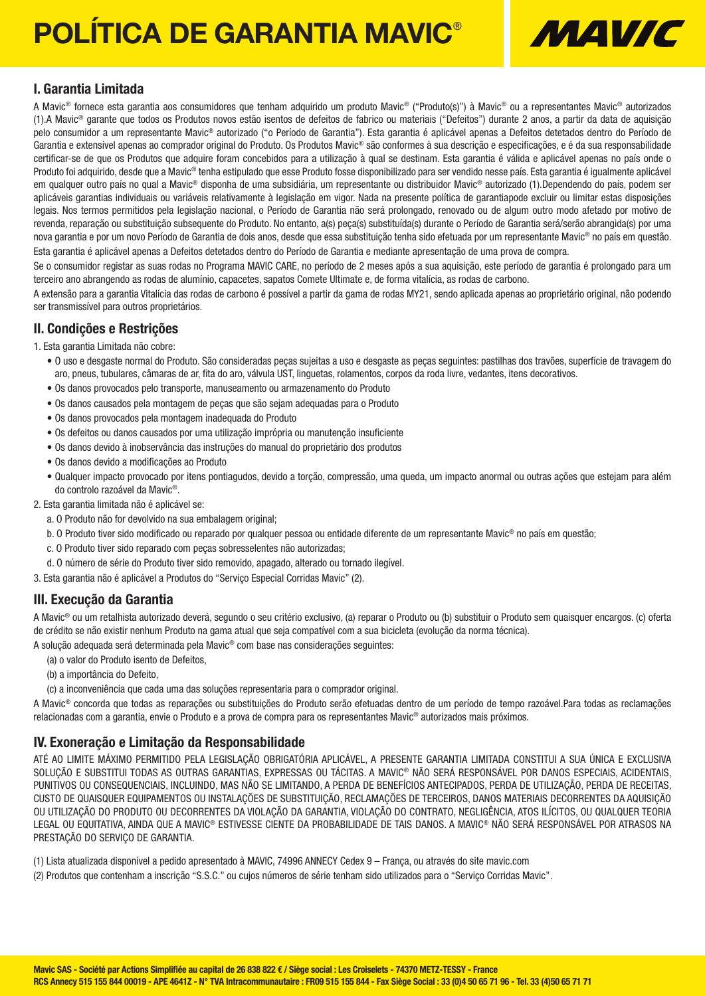# POLÍTICA DE GARANTIA MAVIC®



### I. Garantia Limitada

A Mavic® fornece esta garantia aos consumidores que tenham adquirido um produto Mavic® ("Produto(s)") à Mavic® ou a representantes Mavic® autorizados (1).A Mavic® garante que todos os Produtos novos estão isentos de defeitos de fabrico ou materiais ("Defeitos") durante 2 anos, a partir da data de aquisição pelo consumidor a um representante Mavic® autorizado ("o Período de Garantia"). Esta garantia é aplicável apenas a Defeitos detetados dentro do Período de Garantia e extensível apenas ao comprador original do Produto. Os Produtos Mavic<sup>®</sup> são conformes à sua descrição e especificações, e é da sua responsabilidade certificar-se de que os Produtos que adquire foram concebidos para a utilização à qual se destinam. Esta garantia é válida e aplicável apenas no país onde o Produto foi adquirido, desde que a Mavic® tenha estipulado que esse Produto fosse disponibilizado para ser vendido nesse país. Esta garantia é igualmente aplicável em qualquer outro país no qual a Mavic® disponha de uma subsidiária, um representante ou distribuidor Mavic® autorizado (1).Dependendo do país, podem ser aplicáveis garantias individuais ou variáveis relativamente à legislação em vigor. Nada na presente política de garantiapode excluir ou limitar estas disposições legais. Nos termos permitidos pela legislação nacional, o Período de Garantia não será prolongado, renovado ou de algum outro modo afetado por motivo de revenda, reparação ou substituição subsequente do Produto. No entanto, a(s) peça(s) substituída(s) durante o Período de Garantia será/serão abrangida(s) por uma nova garantia e por um novo Período de Garantia de dois anos, desde que essa substituição tenha sido efetuada por um representante Mavic® no país em questão. Esta garantia é aplicável apenas a Defeitos detetados dentro do Período de Garantia e mediante apresentação de uma prova de compra.

Se o consumidor registar as suas rodas no Programa MAVIC CARE, no período de 2 meses após a sua aquisição, este período de garantia é prolongado para um terceiro ano abrangendo as rodas de alumínio, capacetes, sapatos Comete Ultimate e, de forma vitalícia, as rodas de carbono.

A extensão para a garantia Vitalícia das rodas de carbono é possível a partir da gama de rodas MY21, sendo aplicada apenas ao proprietário original, não podendo ser transmissível para outros proprietários.

### II. Condições e Restrições

- 1. Esta garantia Limitada não cobre:
	- O uso e desgaste normal do Produto. São consideradas peças sujeitas a uso e desgaste as peças seguintes: pastilhas dos travões, superfície de travagem do aro, pneus, tubulares, câmaras de ar, fita do aro, válvula UST, linguetas, rolamentos, corpos da roda livre, vedantes, itens decorativos.
	- Os danos provocados pelo transporte, manuseamento ou armazenamento do Produto
	- Os danos causados pela montagem de peças que são sejam adequadas para o Produto
	- Os danos provocados pela montagem inadequada do Produto
	- Os defeitos ou danos causados por uma utilização imprópria ou manutenção insuficiente
	- Os danos devido à inobservância das instruções do manual do proprietário dos produtos
	- Os danos devido a modificações ao Produto
	- Qualquer impacto provocado por itens pontiagudos, devido a torção, compressão, uma queda, um impacto anormal ou outras ações que estejam para além do controlo razoável da Mavic®.
- 2. Esta garantia limitada não é aplicável se:
	- a. O Produto não for devolvido na sua embalagem original;
	- b. O Produto tiver sido modificado ou reparado por qualquer pessoa ou entidade diferente de um representante Mavic® no país em questão;
	- c. O Produto tiver sido reparado com peças sobresselentes não autorizadas;
	- d. O número de série do Produto tiver sido removido, apagado, alterado ou tornado ilegível.
- 3. Esta garantia não é aplicável a Produtos do "Serviço Especial Corridas Mavic" (2).

### III. Execução da Garantia

A Mavic® ou um retalhista autorizado deverá, segundo o seu critério exclusivo, (a) reparar o Produto ou (b) substituir o Produto sem quaisquer encargos. (c) oferta de crédito se não existir nenhum Produto na gama atual que seja compatível com a sua bicicleta (evolução da norma técnica).

A solução adequada será determinada pela Mavic® com base nas considerações seguintes:

- (a) o valor do Produto isento de Defeitos,
- (b) a importância do Defeito,
- (c) a inconveniência que cada uma das soluções representaria para o comprador original.

A Mavic® concorda que todas as reparações ou substituições do Produto serão efetuadas dentro de um período de tempo razoável.Para todas as reclamações relacionadas com a garantia, envie o Produto e a prova de compra para os representantes Mavic® autorizados mais próximos.

### IV. Exoneração e Limitação da Responsabilidade

ATÉ AO LIMITE MÁXIMO PERMITIDO PELA LEGISLAÇÃO OBRIGATÓRIA APLICÁVEL, A PRESENTE GARANTIA LIMITADA CONSTITUI A SUA ÚNICA E EXCLUSIVA SOLUÇÃO E SUBSTITUI TODAS AS OUTRAS GARANTIAS, EXPRESSAS OU TÁCITAS. A MAVIC® NÃO SERÁ RESPONSÁVEL POR DANOS ESPECIAIS, ACIDENTAIS, PUNITIVOS OU CONSEQUENCIAIS, INCLUINDO, MAS NÃO SE LIMITANDO, A PERDA DE BENEFÍCIOS ANTECIPADOS, PERDA DE UTILIZAÇÃO, PERDA DE RECEITAS, CUSTO DE QUAISQUER EQUIPAMENTOS OU INSTALAÇÕES DE SUBSTITUIÇÃO, RECLAMAÇÕES DE TERCEIROS, DANOS MATERIAIS DECORRENTES DA AQUISIÇÃO OU UTILIZAÇÃO DO PRODUTO OU DECORRENTES DA VIOLAÇÃO DA GARANTIA, VIOLAÇÃO DO CONTRATO, NEGLIGÊNCIA, ATOS ILÍCITOS, OU QUALQUER TEORIA LEGAL OU EQUITATIVA, AINDA QUE A MAVIC® ESTIVESSE CIENTE DA PROBABILIDADE DE TAIS DANOS. A MAVIC® NÃO SERÁ RESPONSÁVEL POR ATRASOS NA PRESTAÇÃO DO SERVIÇO DE GARANTIA.

- (1) Lista atualizada disponível a pedido apresentado à MAVIC, 74996 ANNECY Cedex 9 França, ou através do site mavic.com
- (2) Produtos que contenham a inscrição "S.S.C." ou cujos números de série tenham sido utilizados para o "Serviço Corridas Mavic".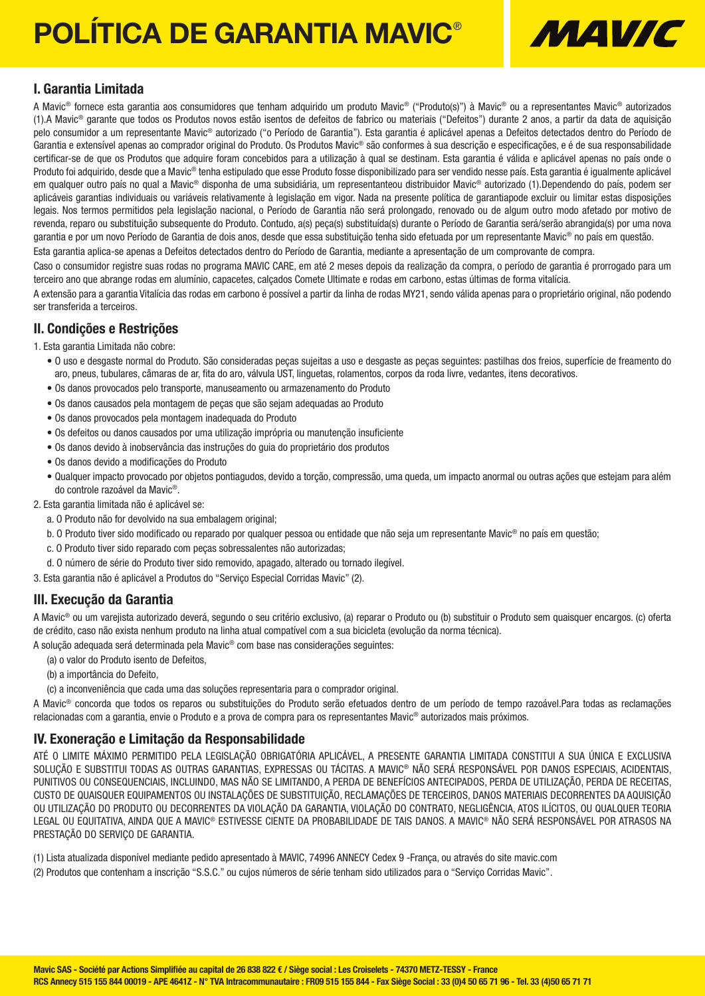# POLÍTICA DE GARANTIA MAVIC®



### I. Garantia Limitada

A Mavic® fornece esta garantia aos consumidores que tenham adquirido um produto Mavic® ("Produto(s)") à Mavic® ou a representantes Mavic® autorizados (1).A Mavic® garante que todos os Produtos novos estão isentos de defeitos de fabrico ou materiais ("Defeitos") durante 2 anos, a partir da data de aquisição pelo consumidor a um representante Mavic® autorizado ("o Período de Garantia"). Esta garantia é aplicável apenas a Defeitos detectados dentro do Período de Garantia e extensível apenas ao comprador original do Produto. Os Produtos Mavic<sup>®</sup> são conformes à sua descrição e especificações, e é de sua responsabilidade certificar-se de que os Produtos que adquire foram concebidos para a utilização à qual se destinam. Esta garantia é válida e aplicável apenas no país onde o Produto foi adquirido, desde que a Mavic® tenha estipulado que esse Produto fosse disponibilizado para ser vendido nesse país. Esta garantia é igualmente aplicável em qualquer outro país no qual a Mavic® disponha de uma subsidiária, um representanteou distribuidor Mavic® autorizado (1).Dependendo do país, podem ser aplicáveis garantias individuais ou variáveis relativamente à legislação em vigor. Nada na presente política de garantiapode excluir ou limitar estas disposições legais. Nos termos permitidos pela legislação nacional, o Período de Garantia não será prolongado, renovado ou de algum outro modo afetado por motivo de revenda, reparo ou substituição subsequente do Produto. Contudo, a(s) peça(s) substituída(s) durante o Período de Garantia será/serão abrangida(s) por uma nova garantia e por um novo Período de Garantia de dois anos, desde que essa substituição tenha sido efetuada por um representante Mavic® no país em questão.

Esta garantia aplica-se apenas a Defeitos detectados dentro do Período de Garantia, mediante a apresentação de um comprovante de compra.

Caso o consumidor registre suas rodas no programa MAVIC CARE, em até 2 meses depois da realização da compra, o período de garantia é prorrogado para um terceiro ano que abrange rodas em alumínio, capacetes, calçados Comete Ultimate e rodas em carbono, estas últimas de forma vitalícia.

A extensão para a garantia Vitalícia das rodas em carbono é possível a partir da linha de rodas MY21, sendo válida apenas para o proprietário original, não podendo ser transferida a terceiros.

### II. Condições e Restrições

- 1. Esta garantia Limitada não cobre:
	- O uso e desgaste normal do Produto. São consideradas peças sujeitas a uso e desgaste as peças seguintes: pastilhas dos freios, superfície de freamento do aro, pneus, tubulares, câmaras de ar, fita do aro, válvula UST, linguetas, rolamentos, corpos da roda livre, vedantes, itens decorativos.
	- Os danos provocados pelo transporte, manuseamento ou armazenamento do Produto
	- Os danos causados pela montagem de peças que são sejam adequadas ao Produto
	- Os danos provocados pela montagem inadequada do Produto
	- Os defeitos ou danos causados por uma utilização imprópria ou manutenção insuficiente
	- Os danos devido à inobservância das instruções do guia do proprietário dos produtos
	- Os danos devido a modificações do Produto
	- Qualquer impacto provocado por objetos pontiagudos, devido a torção, compressão, uma queda, um impacto anormal ou outras ações que estejam para além do controle razoável da Mavic®.
- 2. Esta garantia limitada não é aplicável se:
	- a. O Produto não for devolvido na sua embalagem original;
	- b. O Produto tiver sido modificado ou reparado por qualquer pessoa ou entidade que não seja um representante Mavic® no país em questão;
	- c. O Produto tiver sido reparado com peças sobressalentes não autorizadas;
	- d. O número de série do Produto tiver sido removido, apagado, alterado ou tornado ilegível.
- 3. Esta garantia não é aplicável a Produtos do "Serviço Especial Corridas Mavic" (2).

### III. Execução da Garantia

A Mavic® ou um varejista autorizado deverá, segundo o seu critério exclusivo, (a) reparar o Produto ou (b) substituir o Produto sem quaisquer encargos. (c) oferta de crédito, caso não exista nenhum produto na linha atual compatível com a sua bicicleta (evolução da norma técnica).

A solução adequada será determinada pela Mavic® com base nas considerações seguintes:

- (a) o valor do Produto isento de Defeitos,
- (b) a importância do Defeito,
- (c) a inconveniência que cada uma das soluções representaria para o comprador original.

A Mavic® concorda que todos os reparos ou substituições do Produto serão efetuados dentro de um período de tempo razoável.Para todas as reclamações relacionadas com a garantia, envie o Produto e a prova de compra para os representantes Mavic® autorizados mais próximos.

### IV. Exoneração e Limitação da Responsabilidade

ATÉ O LIMITE MÁXIMO PERMITIDO PELA LEGISLAÇÃO OBRIGATÓRIA APLICÁVEL, A PRESENTE GARANTIA LIMITADA CONSTITUI A SUA ÚNICA E EXCLUSIVA SOLUÇÃO E SUBSTITUI TODAS AS OUTRAS GARANTIAS, EXPRESSAS OU TÁCITAS. A MAVIC® NÃO SERÁ RESPONSÁVEL POR DANOS ESPECIAIS, ACIDENTAIS, PUNITIVOS OU CONSEQUENCIAIS, INCLUINDO, MAS NÃO SE LIMITANDO, A PERDA DE BENEFÍCIOS ANTECIPADOS, PERDA DE UTILIZAÇÃO, PERDA DE RECEITAS, CUSTO DE QUAISQUER EQUIPAMENTOS OU INSTALAÇÕES DE SUBSTITUIÇÃO, RECLAMAÇÕES DE TERCEIROS, DANOS MATERIAIS DECORRENTES DA AQUISIÇÃO OU UTILIZAÇÃO DO PRODUTO OU DECORRENTES DA VIOLAÇÃO DA GARANTIA, VIOLAÇÃO DO CONTRATO, NEGLIGÊNCIA, ATOS ILÍCITOS, OU QUALQUER TEORIA LEGAL OU EQUITATIVA, AINDA QUE A MAVIC® ESTIVESSE CIENTE DA PROBABILIDADE DE TAIS DANOS. A MAVIC® NÃO SERÁ RESPONSÁVEL POR ATRASOS NA PRESTAÇÃO DO SERVIÇO DE GARANTIA.

(1) Lista atualizada disponível mediante pedido apresentado à MAVIC, 74996 ANNECY Cedex 9 -França, ou através do site mavic.com (2) Produtos que contenham a inscrição "S.S.C." ou cujos números de série tenham sido utilizados para o "Serviço Corridas Mavic".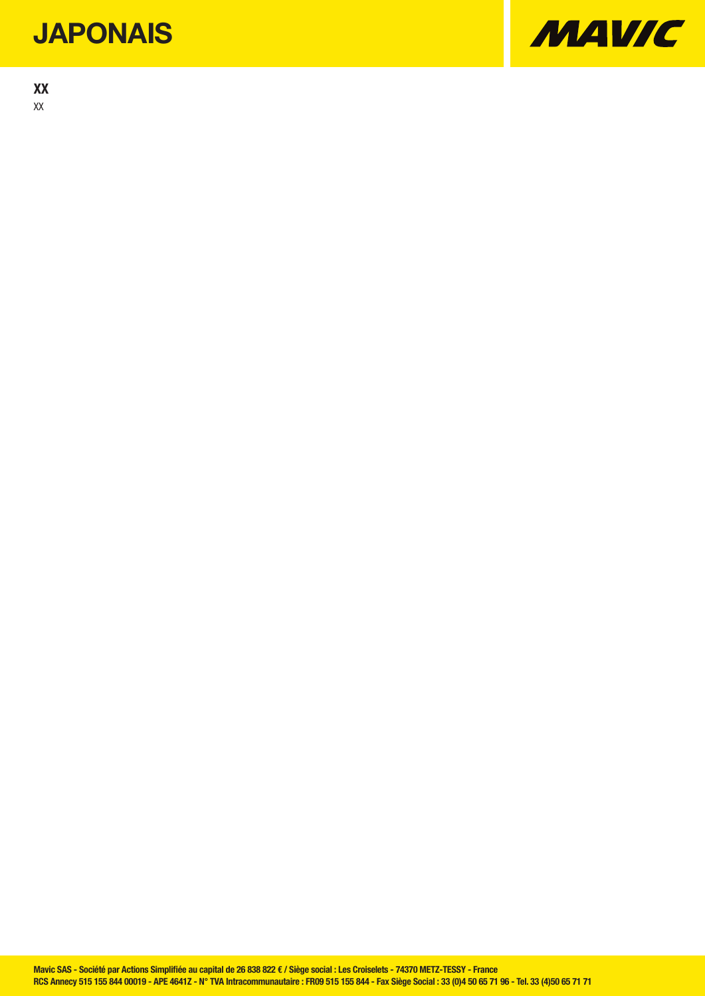### **JAPONAIS**

XX XX

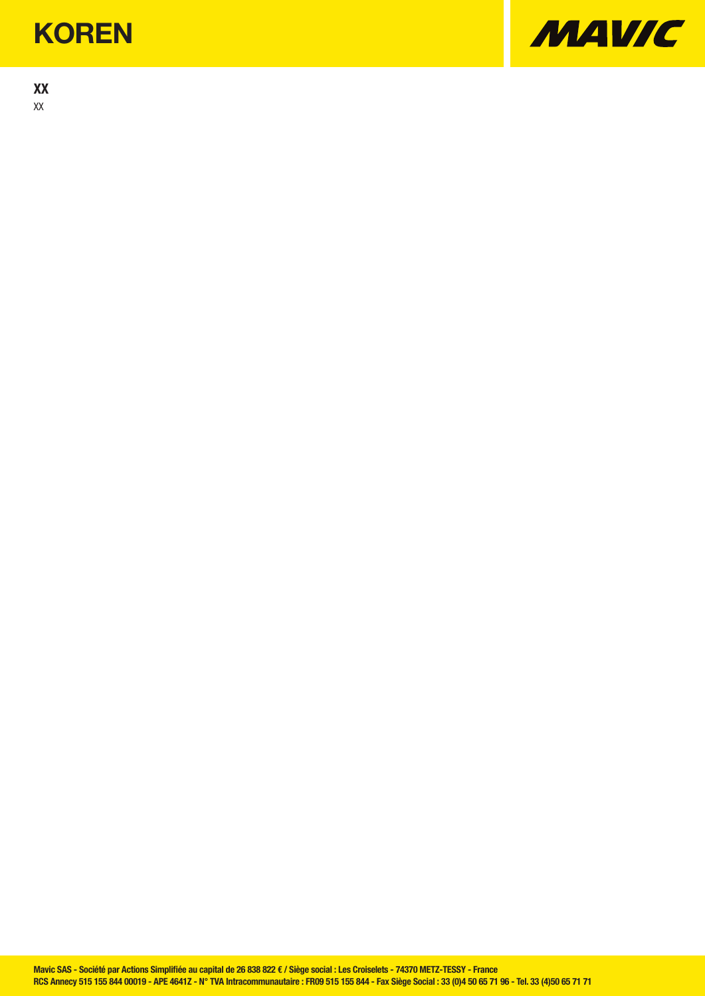### **KOREN**

XX XX

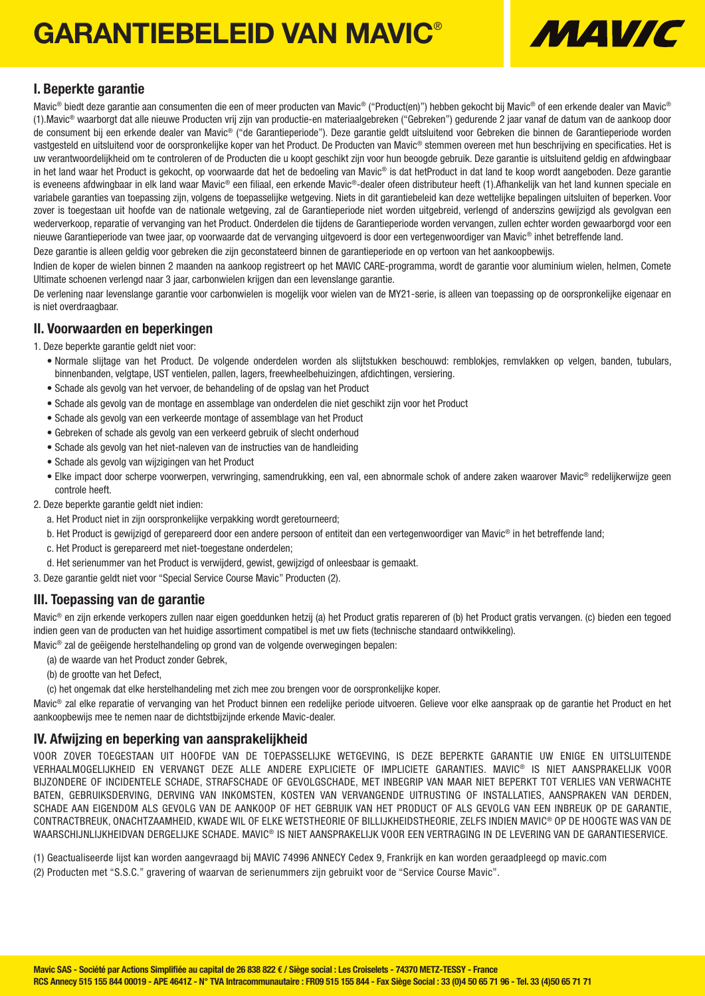## GARANTIEBELEID VAN MAVIC®



### I. Beperkte garantie

Mavic<sup>®</sup> biedt deze garantie aan consumenten die een of meer producten van Mavic<sup>®</sup> ("Product(en)") hebben gekocht bij Mavic® of een erkende dealer van Mavic® (1).Mavic® waarborgt dat alle nieuwe Producten vrij zijn van productie-en materiaalgebreken ("Gebreken") gedurende 2 jaar vanaf de datum van de aankoop door de consument bij een erkende dealer van Mavic® ("de Garantieperiode"). Deze garantie geldt uitsluitend voor Gebreken die binnen de Garantieperiode worden vastgesteld en uitsluitend voor de oorspronkelijke koper van het Product. De Producten van Mavic® stemmen overeen met hun beschrijving en specificaties. Het is uw verantwoordelijkheid om te controleren of de Producten die u koopt geschikt zijn voor hun beoogde gebruik. Deze garantie is uitsluitend geldig en afdwingbaar in het land waar het Product is gekocht, op voorwaarde dat het de bedoeling van Mavic® is dat hetProduct in dat land te koop wordt aangeboden. Deze garantie is eveneens afdwingbaar in elk land waar Mavic® een filiaal, een erkende Mavic®-dealer ofeen distributeur heeft (1).Afhankelijk van het land kunnen speciale en variabele garanties van toepassing zijn, volgens de toepasselijke wetgeving. Niets in dit garantiebeleid kan deze wettelijke bepalingen uitsluiten of beperken. Voor zover is toegestaan uit hoofde van de nationale wetgeving, zal de Garantieperiode niet worden uitgebreid, verlengd of anderszins gewijzigd als gevolgvan een wederverkoop, reparatie of vervanging van het Product. Onderdelen die tijdens de Garantieperiode worden vervangen, zullen echter worden gewaarborgd voor een nieuwe Garantieperiode van twee jaar, op voorwaarde dat de vervanging uitgevoerd is door een vertegenwoordiger van Mavic® inhet betreffende land.

Deze garantie is alleen geldig voor gebreken die zijn geconstateerd binnen de garantieperiode en op vertoon van het aankoopbewijs.

Indien de koper de wielen binnen 2 maanden na aankoop registreert op het MAVIC CARE-programma, wordt de garantie voor aluminium wielen, helmen, Comete Ultimate schoenen verlengd naar 3 jaar, carbonwielen krijgen dan een levenslange garantie.

De verlening naar levenslange garantie voor carbonwielen is mogelijk voor wielen van de MY21-serie, is alleen van toepassing op de oorspronkelijke eigenaar en is niet overdraagbaar.

### II. Voorwaarden en beperkingen

- 1. Deze beperkte garantie geldt niet voor:
	- Normale slijtage van het Product. De volgende onderdelen worden als slijtstukken beschouwd: remblokjes, remvlakken op velgen, banden, tubulars, binnenbanden, velgtape, UST ventielen, pallen, lagers, freewheelbehuizingen, afdichtingen, versiering.
	- Schade als gevolg van het vervoer, de behandeling of de opslag van het Product
	- Schade als gevolg van de montage en assemblage van onderdelen die niet geschikt zijn voor het Product
	- Schade als gevolg van een verkeerde montage of assemblage van het Product
	- Gebreken of schade als gevolg van een verkeerd gebruik of slecht onderhoud
	- Schade als gevolg van het niet-naleven van de instructies van de handleiding
	- Schade als gevolg van wijzigingen van het Product
	- Elke impact door scherpe voorwerpen, verwringing, samendrukking, een val, een abnormale schok of andere zaken waarover Mavic® redelijkerwijze geen controle heeft.
- 2. Deze beperkte garantie geldt niet indien:
	- a. Het Product niet in zijn oorspronkelijke verpakking wordt geretourneerd;
	- b. Het Product is gewijzigd of gerepareerd door een andere persoon of entiteit dan een vertegenwoordiger van Mavic® in het betreffende land;
	- c. Het Product is gerepareerd met niet-toegestane onderdelen;
	- d. Het serienummer van het Product is verwijderd, gewist, gewijzigd of onleesbaar is gemaakt.
- 3. Deze garantie geldt niet voor "Special Service Course Mavic" Producten (2).

### III. Toepassing van de garantie

Mavic® en zijn erkende verkopers zullen naar eigen goeddunken hetzij (a) het Product gratis repareren of (b) het Product gratis vervangen. (c) bieden een tegoed indien geen van de producten van het huidige assortiment compatibel is met uw fiets (technische standaard ontwikkeling).

Mavic® zal de geëigende herstelhandeling op grond van de volgende overwegingen bepalen:

- (a) de waarde van het Product zonder Gebrek,
- (b) de grootte van het Defect,
- (c) het ongemak dat elke herstelhandeling met zich mee zou brengen voor de oorspronkelijke koper.

Mavic® zal elke reparatie of vervanging van het Product binnen een redelijke periode uitvoeren. Gelieve voor elke aanspraak op de garantie het Product en het aankoopbewijs mee te nemen naar de dichtstbijzijnde erkende Mavic-dealer.

### IV. Afwijzing en beperking van aansprakelijkheid

VOOR ZOVER TOEGESTAAN UIT HOOFDE VAN DE TOEPASSELIJKE WETGEVING, IS DEZE BEPERKTE GARANTIE UW ENIGE EN UITSLUITENDE VERHAALMOGELIJKHEID EN VERVANGT DEZE ALLE ANDERE EXPLICIETE OF IMPLICIETE GARANTIES. MAVIC® IS NIET AANSPRAKELIJK VOOR BIJZONDERE OF INCIDENTELE SCHADE, STRAFSCHADE OF GEVOLGSCHADE, MET INBEGRIP VAN MAAR NIET BEPERKT TOT VERLIES VAN VERWACHTE BATEN, GEBRUIKSDERVING, DERVING VAN INKOMSTEN, KOSTEN VAN VERVANGENDE UITRUSTING OF INSTALLATIES, AANSPRAKEN VAN DERDEN, SCHADE AAN EIGENDOM ALS GEVOLG VAN DE AANKOOP OF HET GEBRUIK VAN HET PRODUCT OF ALS GEVOLG VAN EEN INBREUK OP DE GARANTIE, CONTRACTBREUK, ONACHTZAAMHEID, KWADE WIL OF ELKE WETSTHEORIE OF BILLIJKHEIDSTHEORIE, ZELFS INDIEN MAVIC® OP DE HOOGTE WAS VAN DE WAARSCHIJNLIJKHEIDVAN DERGELIJKE SCHADE. MAVIC® IS NIET AANSPRAKELIJK VOOR EEN VERTRAGING IN DE LEVERING VAN DE GARANTIESERVICE.

(1) Geactualiseerde lijst kan worden aangevraagd bij MAVIC 74996 ANNECY Cedex 9, Frankrijk en kan worden geraadpleegd op mavic.com (2) Producten met "S.S.C." gravering of waarvan de serienummers zijn gebruikt voor de "Service Course Mavic".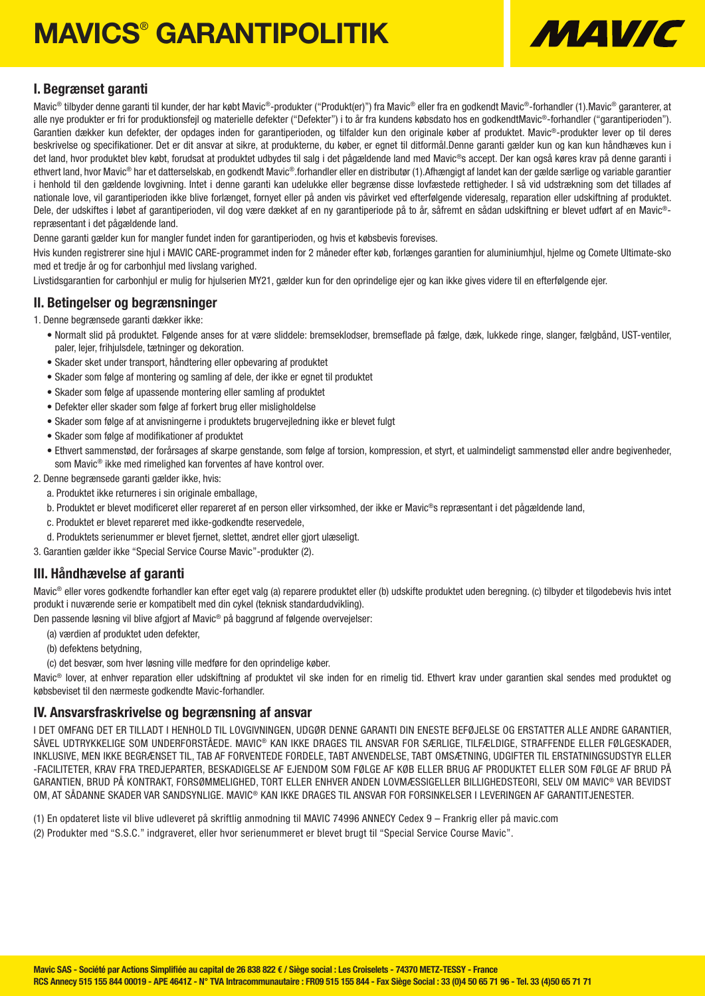# MAVICS® GARANTIPOLITIK



### I. Begrænset garanti

Mavic® tilbyder denne garanti til kunder, der har købt Mavic®-produkter ("Produkt(er)") fra Mavic® eller fra en godkendt Mavic®-forhandler (1).Mavic® garanterer, at alle nye produkter er fri for produktionsfejl og materielle defekter ("Defekter") i to år fra kundens købsdato hos en godkendtMavic®-forhandler ("garantiperioden"). Garantien dækker kun defekter, der opdages inden for garantiperioden, og tilfalder kun den originale køber af produktet. Mavic®-produkter lever op til deres beskrivelse og specifikationer. Det er dit ansvar at sikre, at produkterne, du køber, er egnet til ditformål.Denne garanti gælder kun og kan kun håndhæves kun i det land, hvor produktet blev købt, forudsat at produktet udbydes til salg i det pågældende land med Mavic®s accept. Der kan også køres krav på denne garanti i ethvert land, hvor Mavic® har et datterselskab, en godkendt Mavic®.forhandler eller en distributør (1).Afhængigt af landet kan der gælde særlige og variable garantier i henhold til den gældende lovgivning. Intet i denne garanti kan udelukke eller begrænse disse lovfæstede rettigheder. I så vid udstrækning som det tillades af nationale love, vil garantiperioden ikke blive forlænget, fornyet eller på anden vis påvirket ved efterfølgende videresalg, reparation eller udskiftning af produktet. Dele, der udskiftes i løbet af garantiperioden, vil dog være dækket af en ny garantiperiode på to år, såfremt en sådan udskiftning er blevet udført af en Mavic®repræsentant i det pågældende land.

Denne garanti gælder kun for mangler fundet inden for garantiperioden, og hvis et købsbevis forevises.

Hvis kunden registrerer sine hjul i MAVIC CARE-programmet inden for 2 måneder efter køb, forlænges garantien for aluminiumhjul, hjelme og Comete Ultimate-sko med et tredje år og for carbonhjul med livslang varighed.

Livstidsgarantien for carbonhjul er mulig for hjulserien MY21, gælder kun for den oprindelige ejer og kan ikke gives videre til en efterfølgende ejer.

### II. Betingelser og begrænsninger

1. Denne begrænsede garanti dækker ikke:

- Normalt slid på produktet. Følgende anses for at være sliddele: bremseklodser, bremseflade på fælge, dæk, lukkede ringe, slanger, fælgbånd, UST-ventiler, paler, lejer, frihjulsdele, tætninger og dekoration.
- Skader sket under transport, håndtering eller opbevaring af produktet
- Skader som følge af montering og samling af dele, der ikke er egnet til produktet
- Skader som følge af upassende montering eller samling af produktet
- Defekter eller skader som følge af forkert brug eller misligholdelse
- Skader som følge af at anvisningerne i produktets brugervejledning ikke er blevet fulgt
- Skader som følge af modifikationer af produktet
- Ethvert sammenstød, der forårsages af skarpe genstande, som følge af torsion, kompression, et styrt, et ualmindeligt sammenstød eller andre begivenheder, som Mavic® ikke med rimelighed kan forventes af have kontrol over.
- 2. Denne begrænsede garanti gælder ikke, hvis:
	- a. Produktet ikke returneres i sin originale emballage,
	- b. Produktet er blevet modificeret eller repareret af en person eller virksomhed, der ikke er Mavic®s repræsentant i det pågældende land,
	- c. Produktet er blevet repareret med ikke-godkendte reservedele,
	- d. Produktets serienummer er blevet fjernet, slettet, ændret eller gjort ulæseligt.
- 3. Garantien gælder ikke "Special Service Course Mavic"-produkter (2).

### III. Håndhævelse af garanti

Mavic® eller vores godkendte forhandler kan efter eget valg (a) reparere produktet eller (b) udskifte produktet uden beregning. (c) tilbyder et tilgodebevis hvis intet produkt i nuværende serie er kompatibelt med din cykel (teknisk standardudvikling).

Den passende løsning vil blive afgjort af Mavic® på baggrund af følgende overvejelser:

- (a) værdien af produktet uden defekter,
- (b) defektens betydning,
- (c) det besvær, som hver løsning ville medføre for den oprindelige køber.

Mavic® lover, at enhver reparation eller udskiftning af produktet vil ske inden for en rimelig tid. Ethvert krav under garantien skal sendes med produktet og købsbeviset til den nærmeste godkendte Mavic-forhandler.

### IV. Ansvarsfraskrivelse og begrænsning af ansvar

I DET OMFANG DET ER TILLADT I HENHOLD TIL LOVGIVNINGEN, UDGØR DENNE GARANTI DIN ENESTE BEFØJELSE OG ERSTATTER ALLE ANDRE GARANTIER, SÅVEL UDTRYKKELIGE SOM UNDERFORSTÅEDE. MAVIC® KAN IKKE DRAGES TIL ANSVAR FOR SÆRLIGE, TILFÆLDIGE, STRAFFENDE ELLER FØLGESKADER, INKLUSIVE, MEN IKKE BEGRÆNSET TIL, TAB AF FORVENTEDE FORDELE, TABT ANVENDELSE, TABT OMSÆTNING, UDGIFTER TIL ERSTATNINGSUDSTYR ELLER -FACILITETER, KRAV FRA TREDJEPARTER, BESKADIGELSE AF EJENDOM SOM FØLGE AF KØB ELLER BRUG AF PRODUKTET ELLER SOM FØLGE AF BRUD PÅ GARANTIEN, BRUD PÅ KONTRAKT, FORSØMMELIGHED, TORT ELLER ENHVER ANDEN LOVMÆSSIGELLER BILLIGHEDSTEORI, SELV OM MAVIC® VAR BEVIDST OM, AT SÅDANNE SKADER VAR SANDSYNLIGE. MAVIC® KAN IKKE DRAGES TIL ANSVAR FOR FORSINKELSER I LEVERINGEN AF GARANTITJENESTER.

- (1) En opdateret liste vil blive udleveret på skriftlig anmodning til MAVIC 74996 ANNECY Cedex 9 Frankrig eller på mavic.com
- (2) Produkter med "S.S.C." indgraveret, eller hvor serienummeret er blevet brugt til "Special Service Course Mavic".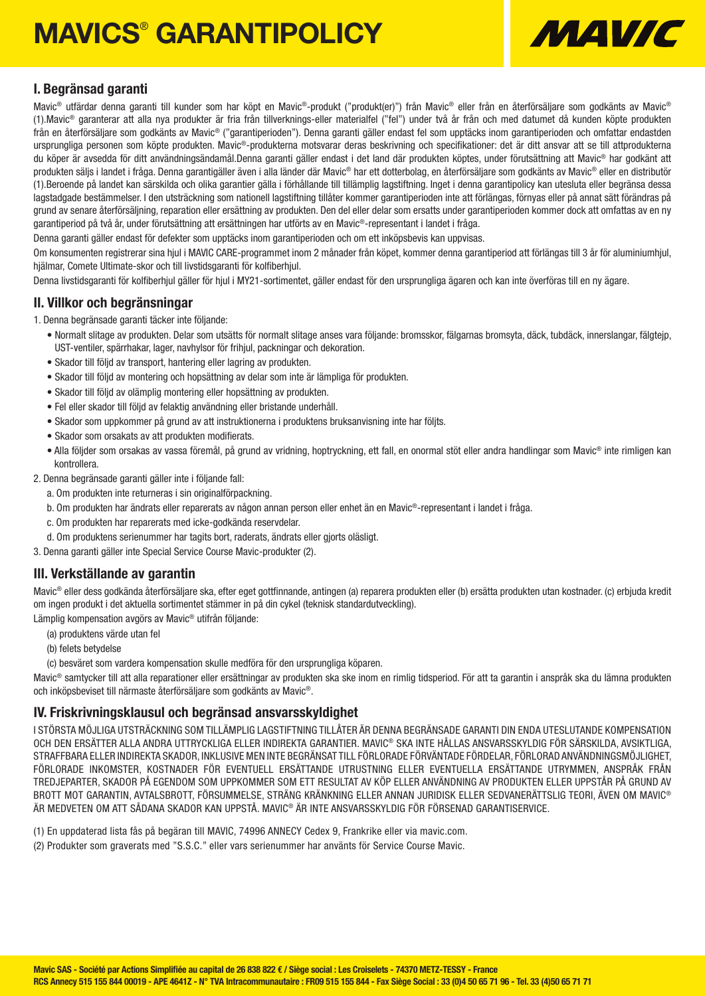# **MAVICS® GARANTIPOLICY**



### I. Begränsad garanti

Mavic® utfärdar denna garanti till kunder som har köpt en Mavic®-produkt ("produkt(er)") från Mavic® eller från en återförsäliare som godkänts av Mavic® (1).Mavic® garanterar att alla nya produkter är fria från tillverknings-eller materialfel ("fel") under två år från och med datumet då kunden köpte produkten från en återförsäljare som godkänts av Mavic® ("garantiperioden"). Denna garanti gäller endast fel som upptäcks inom garantiperioden och omfattar endastden ursprungliga personen som köpte produkten. Mavic®-produkterna motsvarar deras beskrivning och specifikationer: det är ditt ansvar att se till attprodukterna du köper är avsedda för ditt användningsändamål.Denna garanti gäller endast i det land där produkten köptes, under förutsättning att Mavic® har godkänt att produkten säljs i landet i fråga. Denna garantigäller även i alla länder där Mavic® har ett dotterbolag, en återförsäljare som godkänts av Mavic® eller en distributör (1).Beroende på landet kan särskilda och olika garantier gälla i förhållande till tillämplig lagstiftning. Inget i denna garantipolicy kan utesluta eller begränsa dessa lagstadgade bestämmelser. I den utsträckning som nationell lagstiftning tillåter kommer garantiperioden inte att förlängas, förnyas eller på annat sätt förändras på grund av senare återförsäljning, reparation eller ersättning av produkten. Den del eller delar som ersatts under garantiperioden kommer dock att omfattas av en ny garantiperiod på två år, under förutsättning att ersättningen har utförts av en Mavic®-representant i landet i fråga.

Denna garanti gäller endast för defekter som upptäcks inom garantiperioden och om ett inköpsbevis kan uppvisas.

Om konsumenten registrerar sina hjul i MAVIC CARE-programmet inom 2 månader från köpet, kommer denna garantiperiod att förlängas till 3 år för aluminiumhjul, hjälmar, Comete Ultimate-skor och till livstidsgaranti för kolfiberhjul.

Denna livstidsgaranti för kolfiberhjul gäller för hjul i MY21-sortimentet, gäller endast för den ursprungliga ägaren och kan inte överföras till en ny ägare.

### II. Villkor och begränsningar

1. Denna begränsade garanti täcker inte följande:

- Normalt slitage av produkten. Delar som utsätts för normalt slitage anses vara följande: bromsskor, fälgarnas bromsyta, däck, tubdäck, innerslangar, fälgtejp, UST-ventiler, spärrhakar, lager, navhylsor för frihjul, packningar och dekoration.
- Skador till följd av transport, hantering eller lagring av produkten.
- Skador till följd av montering och hopsättning av delar som inte är lämpliga för produkten.
- Skador till följd av olämplig montering eller hopsättning av produkten.
- Fel eller skador till följd av felaktig användning eller bristande underhåll.
- Skador som uppkommer på grund av att instruktionerna i produktens bruksanvisning inte har följts.
- Skador som orsakats av att produkten modifierats.
- Alla följder som orsakas av vassa föremål, på grund av vridning, hoptryckning, ett fall, en onormal stöt eller andra handlingar som Mavic® inte rimligen kan kontrollera.

2. Denna begränsade garanti gäller inte i följande fall:

- a. Om produkten inte returneras i sin originalförpackning.
- b. Om produkten har ändrats eller reparerats av någon annan person eller enhet än en Mavic®-representant i landet i fråga.
- c. Om produkten har reparerats med icke-godkända reservdelar.
- d. Om produktens serienummer har tagits bort, raderats, ändrats eller gjorts oläsligt.

3. Denna garanti gäller inte Special Service Course Mavic-produkter (2).

### III. Verkställande av garantin

Mavic® eller dess godkända återförsäljare ska, efter eget gottfinnande, antingen (a) reparera produkten eller (b) ersätta produkten utan kostnader. (c) erbjuda kredit om ingen produkt i det aktuella sortimentet stämmer in på din cykel (teknisk standardutveckling).

Lämplig kompensation avgörs av Mavic® utifrån följande:

- (a) produktens värde utan fel
- (b) felets betydelse
- (c) besväret som vardera kompensation skulle medföra för den ursprungliga köparen.

Mavic® samtycker till att alla reparationer eller ersättningar av produkten ska ske inom en rimlig tidsperiod. För att ta garantin i anspråk ska du lämna produkten och inköpsbeviset till närmaste återförsäljare som godkänts av Mavic®.

### IV. Friskrivningsklausul och begränsad ansvarsskyldighet

I STÖRSTA MÖJLIGA UTSTRÄCKNING SOM TILLÄMPLIG LAGSTIFTNING TILLÅTER ÄR DENNA BEGRÄNSADE GARANTI DIN ENDA UTESLUTANDE KOMPENSATION OCH DEN ERSÄTTER ALLA ANDRA UTTRYCKLIGA ELLER INDIREKTA GARANTIER. MAVIC® SKA INTE HÅLLAS ANSVARSSKYLDIG FÖR SÄRSKILDA, AVSIKTLIGA, STRAFFBARA ELLER INDIREKTA SKADOR, INKLUSIVE MEN INTE BEGRÄNSAT TILL FÖRLORADE FÖRVÄNTADE FÖRDELAR, FÖRLORAD ANVÄNDNINGSMÖJLIGHET, FÖRLORADE INKOMSTER, KOSTNADER FÖR EVENTUELL ERSÄTTANDE UTRUSTNING ELLER EVENTUELLA ERSÄTTANDE UTRYMMEN, ANSPRÅK FRÅN TREDJEPARTER, SKADOR PÅ EGENDOM SOM UPPKOMMER SOM ETT RESULTAT AV KÖP ELLER ANVÄNDNING AV PRODUKTEN ELLER UPPSTÅR PÅ GRUND AV BROTT MOT GARANTIN, AVTALSBROTT, FÖRSUMMELSE, STRÄNG KRÄNKNING ELLER ANNAN JURIDISK ELLER SEDVANERÄTTSLIG TEORI, ÄVEN OM MAVIC® ÄR MEDVETEN OM ATT SÅDANA SKADOR KAN UPPSTÅ. MAVIC® ÄR INTE ANSVARSSKYLDIG FÖR FÖRSENAD GARANTISERVICE.

- (1) En uppdaterad lista fås på begäran till MAVIC, 74996 ANNECY Cedex 9, Frankrike eller via mavic.com.
- (2) Produkter som graverats med "S.S.C." eller vars serienummer har använts för Service Course Mavic.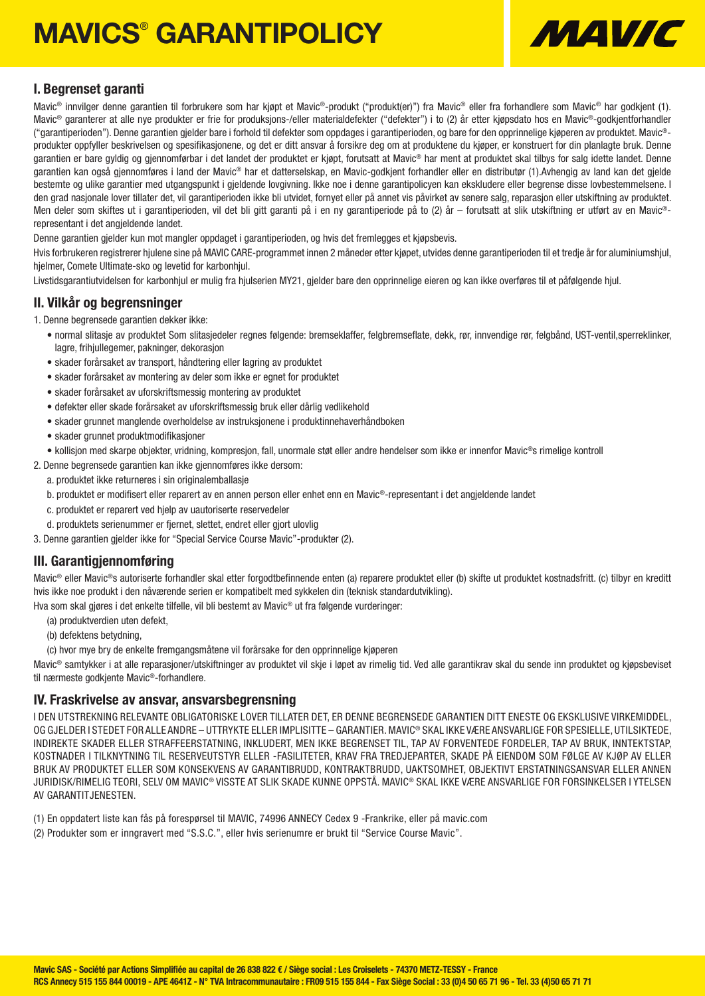# **MAVICS® GARANTIPOLICY**



### I. Begrenset garanti

Mavic® innvilger denne garantien til forbrukere som har kjøpt et Mavic®-produkt ("produkt(er)") fra Mavic® eller fra forhandlere som Mavic® har godkjent (1). Mavic<sup>®</sup> garanterer at alle nye produkter er frie for produksjons-/eller materialdefekter ("defekter") i to (2) år etter kjøpsdato hos en Mavic®-godkjentforhandler ("garantiperioden"). Denne garantien gjelder bare i forhold til defekter som oppdages i garantiperioden, og bare for den opprinnelige kjøperen av produktet. Mavic® produkter oppfyller beskrivelsen og spesifikasjonene, og det er ditt ansvar å forsikre deg om at produktene du kjøper, er konstruert for din planlagte bruk. Denne garantien er bare gyldig og gjennomførbar i det landet der produktet er kjøpt, forutsatt at Mavic® har ment at produktet skal tilbys for salg idette landet. Denne garantien kan også gjennomføres i land der Mavic® har et datterselskap, en Mavic-godkjent forhandler eller en distributør (1).Avhengig av land kan det gjelde bestemte og ulike garantier med utgangspunkt i gjeldende lovgivning. Ikke noe i denne garantipolicyen kan ekskludere eller begrense disse lovbestemmelsene. I den grad nasjonale lover tillater det, vil garantiperioden ikke bli utvidet, fornyet eller på annet vis påvirket av senere salg, reparasjon eller utskiftning av produktet. Men deler som skiftes ut i garantiperioden, vil det bli gitt garanti på i en ny garantiperiode på to (2) år – forutsatt at slik utskiftning er utført av en Mavic®representant i det angieldende landet.

Denne garantien gjelder kun mot mangler oppdaget i garantiperioden, og hvis det fremlegges et kjøpsbevis.

Hvis forbrukeren registrerer hjulene sine på MAVIC CARE-programmet innen 2 måneder etter kjøpet, utvides denne garantiperioden til et tredje år for aluminiumshjul, hjelmer, Comete Ultimate-sko og levetid for karbonhjul.

Livstidsgarantiutvidelsen for karbonhjul er mulig fra hjulserien MY21, gjelder bare den opprinnelige eieren og kan ikke overføres til et påfølgende hjul.

### II. Vilkår og begrensninger

1. Denne begrensede garantien dekker ikke:

- normal slitasje av produktet Som slitasjedeler regnes følgende: bremseklaffer, felgbremseflate, dekk, rør, innvendige rør, felgbånd, UST-ventil,sperreklinker, lagre, frihjullegemer, pakninger, dekorasjon
- skader forårsaket av transport, håndtering eller lagring av produktet
- skader forårsaket av montering av deler som ikke er egnet for produktet
- skader forårsaket av uforskriftsmessig montering av produktet
- defekter eller skade forårsaket av uforskriftsmessig bruk eller dårlig vedlikehold
- skader grunnet manglende overholdelse av instruksjonene i produktinnehaverhåndboken
- skader grunnet produktmodifikasjoner
- kollisjon med skarpe objekter, vridning, kompresjon, fall, unormale støt eller andre hendelser som ikke er innenfor Mavic®s rimelige kontroll
- 2. Denne begrensede garantien kan ikke gjennomføres ikke dersom:
	- a. produktet ikke returneres i sin originalemballasje
	- b. produktet er modifisert eller reparert av en annen person eller enhet enn en Mavic®-representant i det angjeldende landet
	- c. produktet er reparert ved hjelp av uautoriserte reservedeler
	- d. produktets serienummer er fjernet, slettet, endret eller gjort ulovlig
- 3. Denne garantien gjelder ikke for "Special Service Course Mavic"-produkter (2).

### III. Garantigjennomføring

Mavic® eller Mavic®s autoriserte forhandler skal etter forgodtbefinnende enten (a) reparere produktet eller (b) skifte ut produktet kostnadsfritt. (c) tilbyr en kreditt hvis ikke noe produkt i den nåværende serien er kompatibelt med sykkelen din (teknisk standardutvikling).

Hva som skal gjøres i det enkelte tilfelle, vil bli bestemt av Mavic® ut fra følgende vurderinger:

- (a) produktverdien uten defekt,
- (b) defektens betydning,
- (c) hvor mye bry de enkelte fremgangsmåtene vil forårsake for den opprinnelige kjøperen

Mavic<sup>®</sup> samtykker i at alle reparasjoner/utskiftninger av produktet vil skje i løpet av rimelig tid. Ved alle garantikrav skal du sende inn produktet og kjøpsbeviset til nærmeste godkjente Mavic®-forhandlere.

### IV. Fraskrivelse av ansvar, ansvarsbegrensning

I DEN UTSTREKNING RELEVANTE OBLIGATORISKE LOVER TILLATER DET, ER DENNE BEGRENSEDE GARANTIEN DITT ENESTE OG EKSKLUSIVE VIRKEMIDDEL, OG GJELDER I STEDET FOR ALLE ANDRE – UTTRYKTE ELLER IMPLISITTE – GARANTIER. MAVIC® SKAL IKKE VÆRE ANSVARLIGE FOR SPESIELLE, UTILSIKTEDE, INDIREKTE SKADER ELLER STRAFFEERSTATNING, INKLUDERT, MEN IKKE BEGRENSET TIL, TAP AV FORVENTEDE FORDELER, TAP AV BRUK, INNTEKTSTAP, KOSTNADER I TILKNYTNING TIL RESERVEUTSTYR ELLER -FASILITETER, KRAV FRA TREDJEPARTER, SKADE PÅ EIENDOM SOM FØLGE AV KJØP AV ELLER BRUK AV PRODUKTET ELLER SOM KONSEKVENS AV GARANTIBRUDD, KONTRAKTBRUDD, UAKTSOMHET, OBJEKTIVT ERSTATNINGSANSVAR ELLER ANNEN JURIDISK/RIMELIG TEORI, SELV OM MAVIC® VISSTE AT SLIK SKADE KUNNE OPPSTÅ. MAVIC® SKAL IKKE VÆRE ANSVARLIGE FOR FORSINKELSER I YTELSEN AV GARANTITJENESTEN.

- (1) En oppdatert liste kan fås på forespørsel til MAVIC, 74996 ANNECY Cedex 9 -Frankrike, eller på mavic.com
- (2) Produkter som er inngravert med "S.S.C.", eller hvis serienumre er brukt til "Service Course Mavic".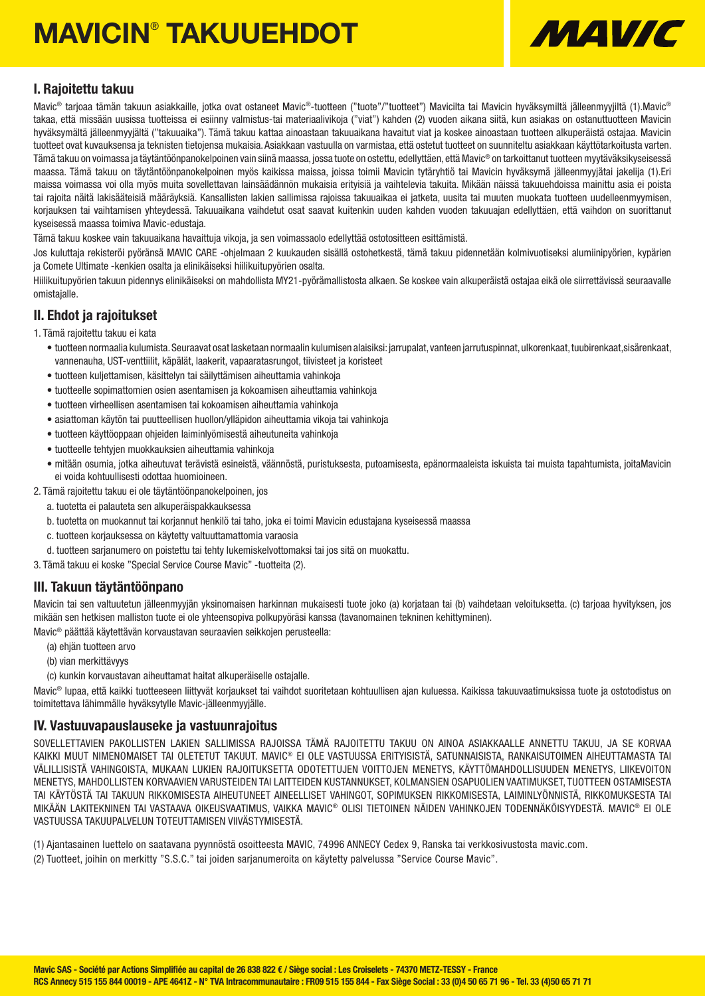# MAVICIN® TAKUUEHDOT



### I. Rajoitettu takuu

Mavic<sup>®</sup> tarioaa tämän takuun asiakkaille, jotka ovat ostaneet Mavic®-tuotteen ("tuote"/"tuotteet") Mavicilta tai Mavicin hyväksymiltä jälleenmyyiiltä (1).Mavic® takaa, että missään uusissa tuotteissa ei esiinny valmistus-tai materiaalivikoja ("viat") kahden (2) vuoden aikana siitä, kun asiakas on ostanuttuotteen Mavicin hyväksymältä jälleenmyyjältä ("takuuaika"). Tämä takuu kattaa ainoastaan takuuaikana havaitut viat ja koskee ainoastaan tuotteen alkuperäistä ostajaa. Mavicin tuotteet ovat kuvauksensa ja teknisten tietojensa mukaisia. Asiakkaan vastuulla on varmistaa, että ostetut tuotteet on suunniteltu asiakkaan käyttötarkoitusta varten. Tämä takuu on voimassa ja täytäntöönpanokelpoinen vain siinä maassa, jossa tuote on ostettu, edellyttäen, että Mavic® on tarkoittanut tuotteen myytäväksikyseisessä maassa. Tämä takuu on täytäntöönpanokelpoinen myös kaikissa maissa, joissa toimii Mavicin tytäryhtiö tai Mavicin hyväksymä jälleenmyyjätai jakelija (1).Eri maissa voimassa voi olla myös muita sovellettavan lainsäädännön mukaisia erityisiä ja vaihtelevia takuita. Mikään näissä takuuehdoissa mainittu asia ei poista tai rajoita näitä lakisääteisiä määräyksiä. Kansallisten lakien sallimissa rajoissa takuuaikaa ei jatketa, uusita tai muuten muokata tuotteen uudelleenmyymisen, korjauksen tai vaihtamisen yhteydessä. Takuuaikana vaihdetut osat saavat kuitenkin uuden kahden vuoden takuuajan edellyttäen, että vaihdon on suorittanut kyseisessä maassa toimiva Mavic-edustaja.

Tämä takuu koskee vain takuuaikana havaittuja vikoja, ja sen voimassaolo edellyttää ostotositteen esittämistä.

Jos kuluttaja rekisteröi pyöränsä MAVIC CARE -ohjelmaan 2 kuukauden sisällä ostohetkestä, tämä takuu pidennetään kolmivuotiseksi alumiinipyörien, kypärien ja Comete Ultimate -kenkien osalta ja elinikäiseksi hiilikuitupyörien osalta.

Hiilikuitupyörien takuun pidennys elinikäiseksi on mahdollista MY21-pyörämallistosta alkaen. Se koskee vain alkuperäistä ostajaa eikä ole siirrettävissä seuraavalle omistajalle.

### II. Ehdot ja rajoitukset

1. Tämä rajoitettu takuu ei kata

- tuotteen normaalia kulumista. Seuraavat osat lasketaan normaalin kulumisen alaisiksi: jarrupalat, vanteen jarrutuspinnat, ulkorenkaat, tuubirenkaat,sisärenkaat, vannenauha, UST-venttiilit, käpälät, laakerit, vapaaratasrungot, tiivisteet ja koristeet
- tuotteen kuljettamisen, käsittelyn tai säilyttämisen aiheuttamia vahinkoja
- tuotteelle sopimattomien osien asentamisen ja kokoamisen aiheuttamia vahinkoja
- tuotteen virheellisen asentamisen tai kokoamisen aiheuttamia vahinkoja
- asiattoman käytön tai puutteellisen huollon/ylläpidon aiheuttamia vikoja tai vahinkoja
- tuotteen käyttöoppaan ohjeiden laiminlyömisestä aiheutuneita vahinkoja
- tuotteelle tehtyjen muokkauksien aiheuttamia vahinkoja
- mitään osumia, jotka aiheutuvat terävistä esineistä, väännöstä, puristuksesta, putoamisesta, epänormaaleista iskuista tai muista tapahtumista, joitaMavicin ei voida kohtuullisesti odottaa huomioineen.
- 2. Tämä rajoitettu takuu ei ole täytäntöönpanokelpoinen, jos
	- a. tuotetta ei palauteta sen alkuperäispakkauksessa
	- b. tuotetta on muokannut tai korjannut henkilö tai taho, joka ei toimi Mavicin edustajana kyseisessä maassa
	- c. tuotteen korjauksessa on käytetty valtuuttamattomia varaosia
	- d. tuotteen sarjanumero on poistettu tai tehty lukemiskelvottomaksi tai jos sitä on muokattu.
- 3. Tämä takuu ei koske "Special Service Course Mavic" -tuotteita (2).

### III. Takuun täytäntöönpano

Mavicin tai sen valtuutetun jälleenmyviän yksinomaisen harkinnan mukaisesti tuote joko (a) korjataan tai (b) vaihdetaan veloituksetta. (c) tarjoaa hyvityksen, jos mikään sen hetkisen malliston tuote ei ole yhteensopiva polkupyöräsi kanssa (tavanomainen tekninen kehittyminen).

Mavic® päättää käytettävän korvaustavan seuraavien seikkojen perusteella:

- (a) ehjän tuotteen arvo
- (b) vian merkittävyys
- (c) kunkin korvaustavan aiheuttamat haitat alkuperäiselle ostajalle.

Mavic<sup>®</sup> lupaa, että kaikki tuotteeseen liittyvät korjaukset tai vaihdot suoritetaan kohtuullisen ajan kuluessa. Kaikissa takuuvaatimuksissa tuote ja ostotodistus on toimitettava lähimmälle hyväksytylle Mavic-jälleenmyyjälle.

### IV. Vastuuvapauslauseke ja vastuunrajoitus

SOVELLETTAVIEN PAKOLLISTEN LAKIEN SALLIMISSA RAJOISSA TÄMÄ RAJOITETTU TAKUU ON AINOA ASIAKKAALLE ANNETTU TAKUU, JA SE KORVAA KAIKKI MUUT NIMENOMAISET TAI OLETETUT TAKUUT. MAVIC® EI OLE VASTUUSSA ERITYISISTÄ, SATUNNAISISTA, RANKAISUTOIMEN AIHEUTTAMASTA TAI VÄLILLISISTÄ VAHINGOISTA, MUKAAN LUKIEN RAJOITUKSETTA ODOTETTUJEN VOITTOJEN MENETYS, KÄYTTÖMAHDOLLISUUDEN MENETYS, LIIKEVOITON MENETYS, MAHDOLLISTEN KORVAAVIEN VARUSTEIDEN TAI LAITTEIDEN KUSTANNUKSET, KOLMANSIEN OSAPUOLIEN VAATIMUKSET, TUOTTEEN OSTAMISESTA TAI KÄYTÖSTÄ TAI TAKUUN RIKKOMISESTA AIHEUTUNEET AINEELLISET VAHINGOT, SOPIMUKSEN RIKKOMISESTA, LAIMINLYÖNNISTÄ, RIKKOMUKSESTA TAI MIKÄÄN LAKITEKNINEN TAI VASTAAVA OIKEUSVAATIMUS, VAIKKA MAVIC® OLISI TIETOINEN NÄIDEN VAHINKOJEN TODENNÄKÖISYYDESTÄ. MAVIC® EI OLE VASTUUSSA TAKUUPALVELUN TOTEUTTAMISEN VIIVÄSTYMISESTÄ.

(1) Ajantasainen luettelo on saatavana pyynnöstä osoitteesta MAVIC, 74996 ANNECY Cedex 9, Ranska tai verkkosivustosta mavic.com.

(2) Tuotteet, joihin on merkitty "S.S.C." tai joiden sarjanumeroita on käytetty palvelussa "Service Course Mavic".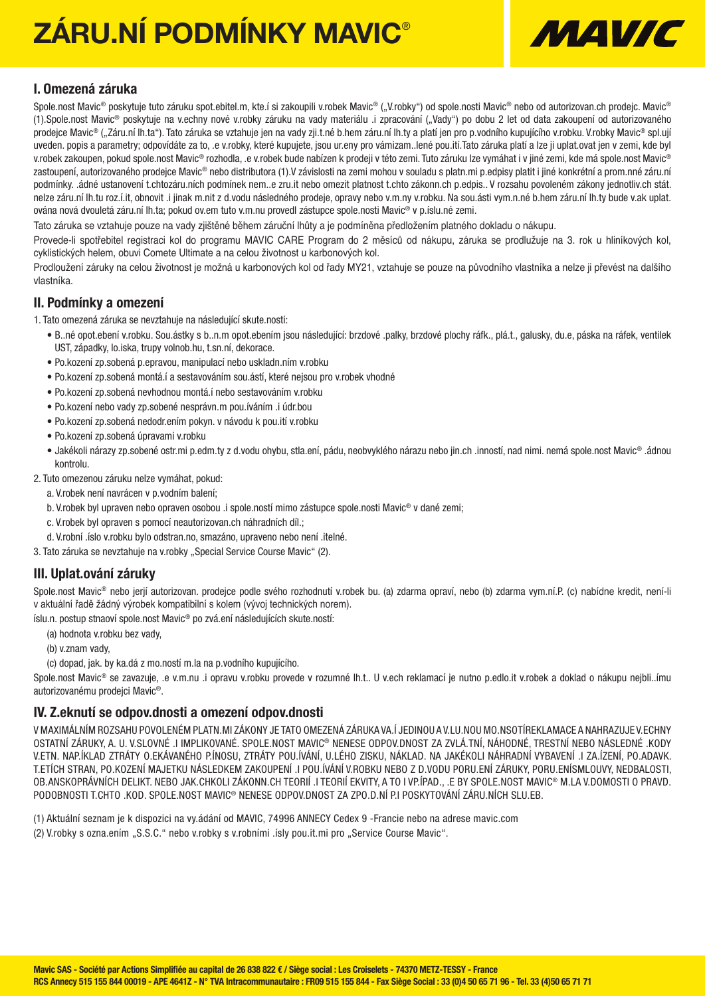# ZÁRU.NÍ PODMÍNKY MAVIC®



### I. Omezená záruka

Spole.nost Mavic<sup>®</sup> poskytuje tuto záruku spot.ebitel.m, kte.í si zakoupili v.robek Mavic® ("V.robky") od spole.nosti Mavic® nebo od autorizovan.ch prodejc. Mavic® (1).Spole.nost Mavic® poskytuje na v.echny nové v.robky záruku na vady materiálu .i zpracování ("Vady") po dobu 2 let od data zakoupení od autorizovaného prodejce Mavic® ("Záru.ní lh.ta"). Tato záruka se vztahuje jen na vady zji.t.né b.hem záru.ní lh.ty a platí jen pro p.vodního kupujícího v.robku. V.robky Mavic® spl.ují uveden. popis a parametry; odpovídáte za to, .e v.robky, které kupujete, jsou ur.eny pro vámizam..lené pou.ití.Tato záruka platí a lze ji uplat.ovat jen v zemi, kde byl v.robek zakoupen, pokud spole.nost Mavic® rozhodla, .e v.robek bude nabízen k prodeji v této zemi. Tuto záruku lze vymáhat i v jiné zemi, kde má spole.nost Mavic® zastoupení, autorizovaného prodejce Mavic® nebo distributora (1).V závislosti na zemi mohou v souladu s platn.mi p.edpisy platit i jiné konkrétní a prom.nné záru.ní podmínky. .ádné ustanovení t.chtozáru.ních podmínek nem..e zru.it nebo omezit platnost t.chto zákonn.ch p.edpis.. V rozsahu povoleném zákony jednotliv.ch stát. nelze záru.ní lh.tu roz.í.it, obnovit .i jinak m.nit z d.vodu následného prodeje, opravy nebo v.m.ny v.robku. Na sou.ásti vym.n.né b.hem záru.ní lh.ty bude v.ak uplat. ována nová dvouletá záru.ní lh.ta; pokud ov.em tuto v.m.nu provedl zástupce spole.nosti Mavic® v p.íslu.né zemi.

Tato záruka se vztahuje pouze na vady zjištěné během záruční lhůty a je podmíněna předložením platného dokladu o nákupu.

Provede-li spotřebitel registraci kol do programu MAVIC CARE Program do 2 měsíců od nákupu, záruka se prodlužuje na 3. rok u hliníkových kol, cyklistických helem, obuvi Comete Ultimate a na celou životnost u karbonových kol.

Prodloužení záruky na celou životnost je možná u karbonových kol od řady MY21, vztahuje se pouze na původního vlastníka a nelze ji převést na dalšího vlastníka.

### II. Podmínky a omezení

1. Tato omezená záruka se nevztahuje na následující skute.nosti:

- B..né opot.ebení v.robku. Sou.ástky s b..n.m opot.ebením jsou následující: brzdové .palky, brzdové plochy ráfk., plá.t., galusky, du.e, páska na ráfek, ventilek UST, západky, lo.iska, trupy volnob.hu, t.sn.ní, dekorace.
- Po.kození zp.sobená p.epravou, manipulací nebo uskladn.ním v.robku
- Po.kození zp.sobená montá.í a sestavováním sou.ástí, které nejsou pro v.robek vhodné
- Po.kození zp.sobená nevhodnou montá.í nebo sestavováním v.robku
- Po.kození nebo vady zp.sobené nesprávn.m pou.íváním .i údr.bou
- Po.kození zp.sobená nedodr.ením pokyn. v návodu k pou.ití v.robku
- Po.kození zp.sobená úpravami v.robku
- Jakékoli nárazy zp.sobené ostr.mi p.edm.ty z d.vodu ohybu, stla.ení, pádu, neobvyklého nárazu nebo jin.ch .inností, nad nimi. nemá spole.nost Mavic® .ádnou kontrolu.

2. Tuto omezenou záruku nelze vymáhat, pokud:

- a. V.robek není navrácen v p.vodním balení;
- b. V.robek byl upraven nebo opraven osobou .i spole.ností mimo zástupce spole.nosti Mavic® v dané zemi;
- c. V.robek byl opraven s pomocí neautorizovan.ch náhradních díl.;
- d. V.robní .íslo v.robku bylo odstran.no, smazáno, upraveno nebo není .itelné.
- 3. Tato záruka se nevztahuje na v.robky "Special Service Course Mavic" (2).

### III. Uplat.ování záruky

Spole.nost Mavic<sup>®</sup> nebo jerií autorizovan. prodejce podle svého rozhodnutí v.robek bu. (a) zdarma opraví, nebo (b) zdarma vym.ní.P. (c) nabídne kredit, není-li v aktuální řadě žádný výrobek kompatibilní s kolem (vývoj technických norem).

íslu.n. postup stnaoví spole.nost Mavic® po zvá.ení následujících skute.ností:

- (a) hodnota v.robku bez vady,
- (b) v.znam vady,
- (c) dopad, jak. by ka.dá z mo.ností m.la na p.vodního kupujícího.

Spole.nost Mavic<sup>®</sup> se zavazuje, e v.m.nu .j opravu v.robku provede v rozumné lh.t.. U v.ech reklamací je nutno p.edlo.it v.robek a doklad o nákupu nejbli..ímu autorizovanému prodejci Mavic®.

### IV. Z.eknutí se odpov.dnosti a omezení odpov.dnosti

V MAXIMÁLNÍM ROZSAHU POVOLENÉM PLATN.MI ZÁKONY JE TATO OMEZENÁ ZÁRUKA VA.Í JEDINOU A V.LU.NOU MO.NSOTÍREKLAMACE A NAHRAZUJE V.ECHNY OSTATNÍ ZÁRUKY, A. U. V.SLOVNÉ .I IMPLIKOVANÉ. SPOLE.NOST MAVIC® NENESE ODPOV.DNOST ZA ZVLÁ.TNÍ, NÁHODNÉ, TRESTNÍ NEBO NÁSLEDNÉ .KODY V.ETN. NAP.ÍKLAD ZTRÁTY O.EKÁVANÉHO P.ÍNOSU, ZTRÁTY POU.ÍVÁNÍ, U.LÉHO ZISKU, NÁKLAD. NA JAKÉKOLI NÁHRADNÍ VYBAVENÍ .I ZA.ÍZENÍ, PO.ADAVK. T.ETÍCH STRAN, PO.KOZENÍ MAJETKU NÁSLEDKEM ZAKOUPENÍ .I POU.ÍVÁNÍ V.ROBKU NEBO Z D.VODU PORU.ENÍ ZÁRUKY, PORU.ENÍSMLOUVY, NEDBALOSTI, OB.ANSKOPRÁVNÍCH DELIKT. NEBO JAK.CHKOLI ZÁKONN.CH TEORIÍ .I TEORIÍ EKVITY, A TO I VP.ÍPAD., .E BY SPOLE.NOST MAVIC® M.LA V.DOMOSTI O PRAVD. PODOBNOSTI T.CHTO .KOD. SPOLE.NOST MAVIC® NENESE ODPOV.DNOST ZA ZPO.D.NÍ P.I POSKYTOVÁNÍ ZÁRU.NÍCH SLU.EB.

(1) Aktuální seznam je k dispozici na vy.ádání od MAVIC, 74996 ANNECY Cedex 9 -Francie nebo na adrese mavic.com (2) V.robky s ozna.ením "S.S.C." nebo v.robky s v.robními .ísly pou.it.mi pro "Service Course Mavic".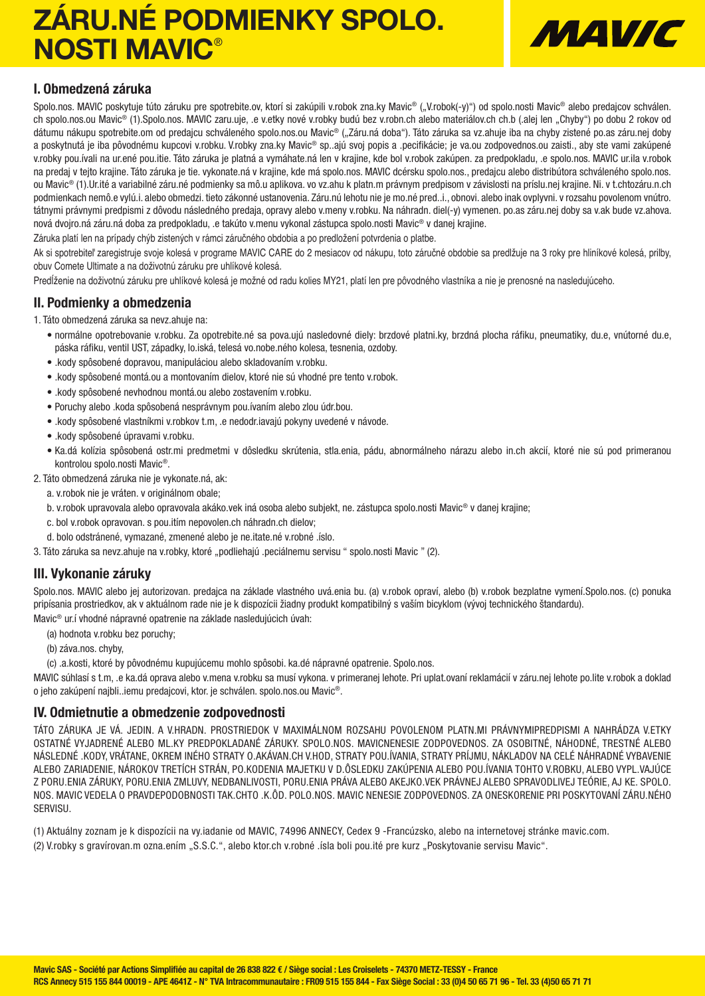## ZÁRU.NÉ PODMIENKY SPOLO. NOSTI MAVIC®



### I. Obmedzená záruka

Spolo.nos. MAVIC poskytuje túto záruku pre spotrebite.ov, ktorí si zakúpili v.robok zna.ky Mavic® ("V.robok(-y)") od spolo.nosti Mavic® alebo predajcov schválen. ch spolo.nos.ou Mavic® (1).Spolo.nos. MAVIC zaru.uje, .e v.etky nové v.robky budú bez v.robn.ch alebo materiálov.ch ch.b (.alej len "Chyby") po dobu 2 rokov od dátumu nákupu spotrebite.om od predajcu schváleného spolo.nos.ou Mavic® ("Záru.ná doba"). Táto záruka sa vz.ahuje iba na chyby zistené po.as záru.nej doby a poskytnutá je iba pôvodnému kupcovi v.robku. V.robky zna.ky Mavic® sp..ajú svoj popis a .pecifikácie; je va.ou zodpovednos.ou zaisti., aby ste vami zakúpené v.robky pou.ívali na ur.ené pou.itie. Táto záruka je platná a vymáhate.ná len v krajine, kde bol v.robok zakúpen. za predpokladu, .e spolo.nos. MAVIC ur.ila v.robok na predaj v tejto krajine. Táto záruka je tie. vykonate.ná v krajine, kde má spolo.nos. MAVIC dcérsku spolo.nos., predajcu alebo distribútora schváleného spolo.nos. ou Mavic® (1).Ur.ité a variabilné záru.né podmienky sa mô.u aplikova. vo vz.ahu k platn.m právnym predpisom v závislosti na príslu.nej krajine. Ni. v t.chtozáru.n.ch podmienkach nemô.e vylú.i. alebo obmedzi. tieto zákonné ustanovenia. Záru.nú lehotu nie je mo.né pred..i., obnovi. alebo inak ovplyvni. v rozsahu povolenom vnútro. tátnymi právnymi predpismi z dôvodu následného predaja, opravy alebo v.meny v.robku. Na náhradn. diel(-y) vymenen. po.as záru.nej doby sa v.ak bude vz.ahova. nová dvojro.ná záru.ná doba za predpokladu, .e takúto v.menu vykonal zástupca spolo.nosti Mavic® v danej krajine.

Záruka platí len na prípady chýb zistených v rámci záručného obdobia a po predložení potvrdenia o platbe.

Ak si spotrebiteľ zaregistruje svoje kolesá v programe MAVIC CARE do 2 mesiacov od nákupu, toto záručné obdobie sa predlžuje na 3 roky pre hliníkové kolesá, prilby, obuv Comete Ultimate a na doživotnú záruku pre uhlíkové kolesá.

Predĺženie na doživotnú záruku pre uhlíkové kolesá je možné od radu kolies MY21, platí len pre pôvodného vlastníka a nie je prenosné na nasledujúceho.

### II. Podmienky a obmedzenia

1. Táto obmedzená záruka sa nevz.ahuje na:

- normálne opotrebovanie v.robku. Za opotrebite.né sa pova.ujú nasledovné diely: brzdové platni.ky, brzdná plocha ráfiku, pneumatiky, du.e, vnútorné du.e, páska ráfiku, ventil UST, západky, lo.iská, telesá vo.nobe.ného kolesa, tesnenia, ozdoby.
- .kody spôsobené dopravou, manipuláciou alebo skladovaním v.robku.
- .kody spôsobené montá.ou a montovaním dielov, ktoré nie sú vhodné pre tento v.robok.
- .kody spôsobené nevhodnou montá.ou alebo zostavením v.robku.
- Poruchy alebo .koda spôsobená nesprávnym pou.ívaním alebo zlou údr.bou.
- .kody spôsobené vlastníkmi v.robkov t.m, .e nedodr.iavajú pokyny uvedené v návode.
- .kody spôsobené úpravami v.robku.
- Ka.dá kolízia spôsobená ostr.mi predmetmi v dôsledku skrútenia, stla.enia, pádu, abnormálneho nárazu alebo in.ch akcií, ktoré nie sú pod primeranou kontrolou spolo.nosti Mavic®.

2. Táto obmedzená záruka nie je vykonate.ná, ak:

- a. v.robok nie je vráten. v originálnom obale;
- b. v.robok upravovala alebo opravovala akáko.vek iná osoba alebo subjekt, ne. zástupca spolo.nosti Mavic® v danej krajine;
- c. bol v.robok opravovan. s pou.itím nepovolen.ch náhradn.ch dielov;
- d. bolo odstránené, vymazané, zmenené alebo je ne.itate.né v.robné .íslo.
- 3. Táto záruka sa nevz.ahuje na v.robky, ktoré "podliehajú .peciálnemu servisu " spolo.nosti Mavic " (2).

### III. Vykonanie záruky

Spolo.nos. MAVIC alebo jej autorizovan. predajca na základe vlastného uvá.enia bu. (a) v.robok opraví, alebo (b) v.robok bezplatne vymení.Spolo.nos. (c) ponuka pripísania prostriedkov, ak v aktuálnom rade nie je k dispozícii žiadny produkt kompatibilný s vaším bicyklom (vývoj technického štandardu). Mavic® ur.í vhodné nápravné opatrenie na základe nasledujúcich úvah:

- (a) hodnota v.robku bez poruchy;
- (b) záva.nos. chyby,
- (c) .a.kosti, ktoré by pôvodnému kupujúcemu mohlo spôsobi. ka.dé nápravné opatrenie. Spolo.nos.

MAVIC súhlasí s t.m, .e ka.dá oprava alebo v.mena v.robku sa musí vykona. v primeranej lehote. Pri uplat.ovaní reklamácií v záru.nej lehote po.lite v.robok a doklad o jeho zakúpení najbli..iemu predajcovi, ktor. je schválen. spolo.nos.ou Mavic®.

### IV. Odmietnutie a obmedzenie zodpovednosti

TÁTO ZÁRUKA JE VÁ. JEDIN. A V.HRADN. PROSTRIEDOK V MAXIMÁLNOM ROZSAHU POVOLENOM PLATN.MI PRÁVNYMIPREDPISMI A NAHRÁDZA V.ETKY OSTATNÉ VYJADRENÉ ALEBO ML.KY PREDPOKLADANÉ ZÁRUKY. SPOLO.NOS. MAVICNENESIE ZODPOVEDNOS. ZA OSOBITNÉ, NÁHODNÉ, TRESTNÉ ALEBO NÁSLEDNÉ .KODY, VRÁTANE, OKREM INÉHO STRATY O.AKÁVAN.CH V.HOD, STRATY POU.ÍVANIA, STRATY PRÍJMU, NÁKLADOV NA CELÉ NÁHRADNÉ VYBAVENIE ALEBO ZARIADENIE, NÁROKOV TRETÍCH STRÁN, PO.KODENIA MAJETKU V D.ÔSLEDKU ZAKÚPENIA ALEBO POU.ÍVANIA TOHTO V.ROBKU, ALEBO VYPL.VAJÚCE Z PORU.ENIA ZÁRUKY, PORU.ENIA ZMLUVY, NEDBANLIVOSTI, PORU.ENIA PRÁVA ALEBO AKEJKO.VEK PRÁVNEJ ALEBO SPRAVODLIVEJ TEÓRIE, AJ KE. SPOLO. NOS. MAVIC VEDELA O PRAVDEPODOBNOSTI TAK.CHTO .K.ÔD. POLO.NOS. MAVIC NENESIE ZODPOVEDNOS. ZA ONESKORENIE PRI POSKYTOVANÍ ZÁRU.NÉHO SERVISU.

(1) Aktuálny zoznam je k dispozícii na vy.iadanie od MAVIC, 74996 ANNECY, Cedex 9 -Francúzsko, alebo na internetovej stránke mavic.com. (2) V.robky s gravírovan.m ozna.ením "S.S.C.", alebo ktor.ch v.robné .ísla boli pou.ité pre kurz "Poskytovanie servisu Mavic".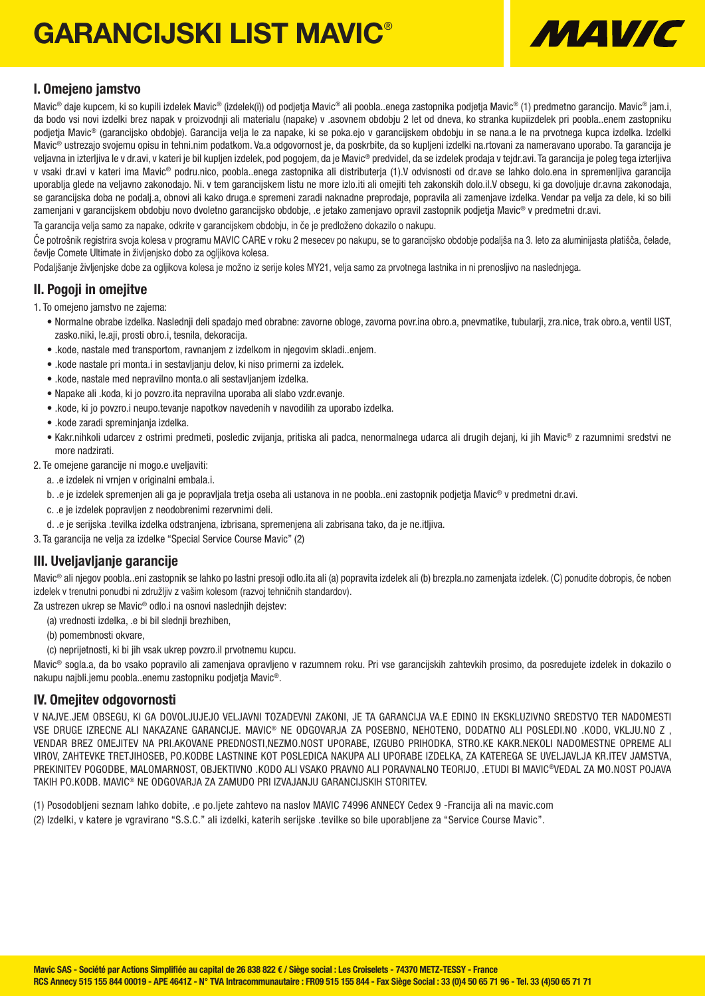# GARANCIJSKI LIST MAVIC®



### I. Omejeno jamstvo

Mavic<sup>®</sup> daje kupcem, ki so kupili izdelek Mavic® (izdelek(i)) od podjetja Mavic® ali poobla..enega zastopnika podjetja Mavic® (1) predmetno garancijo. Mavic® jam.i, da bodo vsi novi izdelki brez napak v proizvodnji ali materialu (napake) v .asovnem obdobju 2 let od dneva, ko stranka kupiizdelek pri poobla..enem zastopniku podjetja Mavic® (garancijsko obdobje). Garancija velja le za napake, ki se poka.ejo v garancijskem obdobju in se nana.a le na prvotnega kupca izdelka. Izdelki Mavic® ustrezajo svojemu opisu in tehni.nim podatkom. Va.a odgovornost je, da poskrbite, da so kupljeni izdelki na.rtovani za nameravano uporabo. Ta garancija je veljavna in izterljiva le v dr.avi, v kateri je bil kupljen izdelek, pod pogojem, da je Mavic® predvidel, da se izdelek prodaja v tejdr.avi. Ta garancija je poleg tega izterljiva v vsaki dr.avi v kateri ima Mavic® podru.nico, poobla..enega zastopnika ali distributerja (1).V odvisnosti od dr.ave se lahko dolo.ena in spremenljiva garancija uporablja glede na veljavno zakonodajo. Ni. v tem garancijskem listu ne more izlo.iti ali omejiti teh zakonskih dolo.il.V obsegu, ki ga dovoljuje dr.avna zakonodaja, se garancijska doba ne podalj.a, obnovi ali kako druga.e spremeni zaradi naknadne preprodaje, popravila ali zamenjave izdelka. Vendar pa velja za dele, ki so bili zamenjani v garancijskem obdobju novo dvoletno garancijsko obdobje, .e jetako zamenjavo opravil zastopnik podjetja Mavic® v predmetni dr.avi.

Ta garancija velja samo za napake, odkrite v garancijskem obdobju, in če je predloženo dokazilo o nakupu.

Če potrošnik registrira svoja kolesa v programu MAVIC CARE v roku 2 mesecev po nakupu, se to garancijsko obdobje podaljša na 3. leto za aluminijasta platišča, čelade, čevlje Comete Ultimate in življenjsko dobo za ogljikova kolesa.

Podaljšanje življenjske dobe za ogljikova kolesa je možno iz serije koles MY21, velja samo za prvotnega lastnika in ni prenosljivo na naslednjega.

### II. Pogoji in omejitve

- 1. To omejeno jamstvo ne zajema:
	- Normalne obrabe izdelka. Naslednji deli spadajo med obrabne: zavorne obloge, zavorna povr.ina obro.a, pnevmatike, tubularji, zra.nice, trak obro.a, ventil UST, zasko.niki, le.aji, prosti obro.i, tesnila, dekoracija.
	- .kode, nastale med transportom, ravnanjem z izdelkom in njegovim skladi..enjem.
	- .kode nastale pri monta.i in sestavljanju delov, ki niso primerni za izdelek.
	- .kode, nastale med nepravilno monta.o ali sestavljanjem izdelka.
	- Napake ali .koda, ki jo povzro.ita nepravilna uporaba ali slabo vzdr.evanje.
	- .kode, ki jo povzro.i neupo.tevanje napotkov navedenih v navodilih za uporabo izdelka.
	- .kode zaradi spreminjanja izdelka.
	- Kakr.nihkoli udarcev z ostrimi predmeti, posledic zvijanja, pritiska ali padca, nenormalnega udarca ali drugih dejanj, ki jih Mavic® z razumnimi sredstvi ne more nadzirati.

2. Te omejene garancije ni mogo.e uveljaviti:

- a. .e izdelek ni vrnjen v originalni embala.i.
- b. .e je izdelek spremenjen ali ga je popravljala tretja oseba ali ustanova in ne poobla..eni zastopnik podjetja Mavic® v predmetni dr.avi.
- c. .e je izdelek popravljen z neodobrenimi rezervnimi deli.
- d. .e je serijska .tevilka izdelka odstranjena, izbrisana, spremenjena ali zabrisana tako, da je ne.itljiva.
- 3. Ta garancija ne velja za izdelke "Special Service Course Mavic" (2)

### III. Uveljavljanje garancije

Mavic® ali njegov poobla..eni zastopnik se lahko po lastni presoji odlo.ita ali (a) popravita izdelek ali (b) brezpla.no zamenjata izdelek. (C) ponudite dobropis, če noben izdelek v trenutni ponudbi ni združljiv z vašim kolesom (razvoj tehničnih standardov).

Za ustrezen ukrep se Mavic® odlo.i na osnovi naslednjih dejstev:

- (a) vrednosti izdelka, .e bi bil slednji brezhiben,
- (b) pomembnosti okvare,
- (c) neprijetnosti, ki bi jih vsak ukrep povzro.il prvotnemu kupcu.

Mavic® sogla.a, da bo vsako popravilo ali zamenjava opravljeno v razumnem roku. Pri vse garancijskih zahtevkih prosimo, da posredujete izdelek in dokazilo o nakupu najbli.jemu poobla..enemu zastopniku podjetja Mavic®.

### IV. Omejitev odgovornosti

V NAJVE.JEM OBSEGU, KI GA DOVOLJUJEJO VELJAVNI TOZADEVNI ZAKONI, JE TA GARANCIJA VA.E EDINO IN EKSKLUZIVNO SREDSTVO TER NADOMESTI VSE DRUGE IZRECNE ALI NAKAZANE GARANCIJE. MAVIC® NE ODGOVARJA ZA POSEBNO, NEHOTENO, DODATNO ALI POSLEDI.NO .KODO, VKLJU.NO Z , VENDAR BREZ OMEJITEV NA PRI.AKOVANE PREDNOSTI,NEZMO.NOST UPORABE, IZGUBO PRIHODKA, STRO.KE KAKR.NEKOLI NADOMESTNE OPREME ALI VIROV, ZAHTEVKE TRETJIHOSEB, PO.KODBE LASTNINE KOT POSLEDICA NAKUPA ALI UPORABE IZDELKA, ZA KATEREGA SE UVELJAVLJA KR.ITEV JAMSTVA, PREKINITEV POGODBE, MALOMARNOST, OBJEKTIVNO .KODO ALI VSAKO PRAVNO ALI PORAVNALNO TEORIJO, .ETUDI BI MAVIC®VEDAL ZA MO.NOST POJAVA TAKIH PO.KODB. MAVIC® NE ODGOVARJA ZA ZAMUDO PRI IZVAJANJU GARANCIJSKIH STORITEV.

(1) Posodobljeni seznam lahko dobite, .e po.ljete zahtevo na naslov MAVIC 74996 ANNECY Cedex 9 -Francija ali na mavic.com (2) Izdelki, v katere je vgravirano "S.S.C." ali izdelki, katerih serijske .tevilke so bile uporabljene za "Service Course Mavic".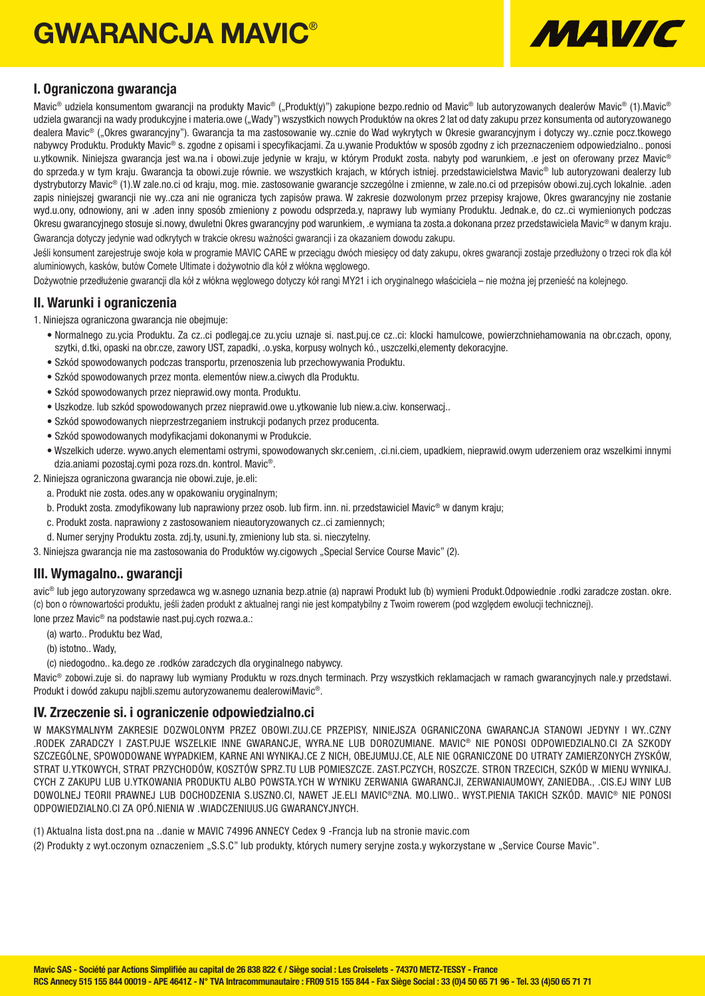## GWARANCJA MAVIC®



### I. Ograniczona gwarancja

Mavic<sup>®</sup> udziela konsumentom gwarancii na produkty Mavic<sup>®</sup> ("Produkt(y)") zakupione bezpo.rednio od Mavic<sup>®</sup> lub autoryzowanych dealerów Mavic<sup>®</sup> (1).Mavic<sup>®</sup> udziela gwarancji na wady produkcyjne i materia.owe ("Wady") wszystkich nowych Produktów na okres 2 lat od daty zakupu przez konsumenta od autoryzowanego dealera Mavic® ("Okres gwarancyjny"). Gwarancja ta ma zastosowanie wy..cznie do Wad wykrytych w Okresie gwarancyjnym i dotyczy wy..cznie pocz.tkowego nabywcy Produktu. Produkty Mavic® s. zgodne z opisami i specyfikacjami. Za u.ywanie Produktów w sposób zgodny z ich przeznaczeniem odpowiedzialno.. ponosi u.ytkownik. Niniejsza gwarancja jest wa.na i obowi.zuje jedynie w kraju, w którym Produkt zosta. nabyty pod warunkiem, .e jest on oferowany przez Mavic<sup>®</sup> do sprzeda.y w tym kraju. Gwarancja ta obowi.zuje równie. we wszystkich krajach, w których istniej. przedstawicielstwa Mavic® lub autoryzowani dealerzy lub dystrybutorzy Mavic® (1).W zale.no.ci od kraju, mog. mie. zastosowanie gwarancje szczególne i zmienne, w zale.no.ci od przepisów obowi.zuj.cych lokalnie. .aden zapis niniejszej gwarancji nie wy..cza ani nie ogranicza tych zapisów prawa. W zakresie dozwolonym przez przepisy krajowe, Okres gwarancyjny nie zostanie wyd.u.ony, odnowiony, ani w .aden inny sposób zmieniony z powodu odsprzeda.y, naprawy lub wymiany Produktu. Jednak.e, do cz..ci wymienionych podczas Okresu gwarancyjnego stosuje si.nowy, dwuletni Okres gwarancyjny pod warunkiem, .e wymiana ta zosta.a dokonana przez przedstawiciela Mavic® w danym kraju. Gwarancja dotyczy jedynie wad odkrytych w trakcie okresu ważności gwarancji i za okazaniem dowodu zakupu.

Jeśli konsument zarejestruje swoje koła w programie MAVIC CARE w przeciągu dwóch miesięcy od daty zakupu, okres gwarancji zostaje przedłużony o trzeci rok dla kół aluminiowych, kasków, butów Comete Ultimate i dożywotnio dla kół z włókna węglowego.

Dożywotnie przedłużenie gwarancji dla kół z włókna węglowego dotyczy kół rangi MY21 i ich oryginalnego właściciela – nie można jej przenieść na kolejnego.

### II. Warunki i ograniczenia

1. Niniejsza ograniczona gwarancja nie obejmuje:

- Normalnego zu.ycia Produktu. Za cz..ci podlegaj.ce zu.yciu uznaje si. nast.puj.ce cz..ci: klocki hamulcowe, powierzchniehamowania na obr.czach, opony, szytki, d.tki, opaski na obr.cze, zawory UST, zapadki, .o.yska, korpusy wolnych kó., uszczelki,elementy dekoracyjne.
- Szkód spowodowanych podczas transportu, przenoszenia lub przechowywania Produktu.
- Szkód spowodowanych przez monta. elementów niew.a.ciwych dla Produktu.
- Szkód spowodowanych przez nieprawid.owy monta. Produktu.
- Uszkodze. lub szkód spowodowanych przez nieprawid.owe u.ytkowanie lub niew.a.ciw. konserwacj..
- Szkód spowodowanych nieprzestrzeganiem instrukcji podanych przez producenta.
- Szkód spowodowanych modyfikacjami dokonanymi w Produkcie.
- Wszelkich uderze. wywo.anych elementami ostrymi, spowodowanych skr.ceniem, .ci.ni.ciem, upadkiem, nieprawid.owym uderzeniem oraz wszelkimi innymi dzia.aniami pozostaj.cymi poza rozs.dn. kontrol. Mavic®.

2. Niniejsza ograniczona gwarancja nie obowi.zuje, je.eli:

- a. Produkt nie zosta. odes.any w opakowaniu oryginalnym;
- b. Produkt zosta. zmodyfikowany lub naprawiony przez osob. lub firm. inn. ni. przedstawiciel Mavic® w danym kraju;
- c. Produkt zosta. naprawiony z zastosowaniem nieautoryzowanych cz..ci zamiennych;
- d. Numer seryjny Produktu zosta. zdj.ty, usuni.ty, zmieniony lub sta. si. nieczytelny.

3. Niniejsza gwarancja nie ma zastosowania do Produktów wy.cigowych "Special Service Course Mavic" (2).

### III. Wymagalno.. gwarancji

avic® lub jego autoryzowany sprzedawca wg w.asnego uznania bezp.atnie (a) naprawi Produkt lub (b) wymieni Produkt.Odpowiednie .rodki zaradcze zostan. okre. (c) bon o równowartości produktu, jeśli żaden produkt z aktualnej rangi nie jest kompatybilny z Twoim rowerem (pod względem ewolucji technicznej).

lone przez Mavic® na podstawie nast.puj.cych rozwa.a.:

- (a) warto.. Produktu bez Wad,
- (b) istotno.. Wady,
- (c) niedogodno.. ka.dego ze .rodków zaradczych dla oryginalnego nabywcy.

Mavic® zobowi.zuje si. do naprawy lub wymiany Produktu w rozs.dnych terminach. Przy wszystkich reklamacjach w ramach gwarancyjnych nale.y przedstawi. Produkt i dowód zakupu najbli.szemu autoryzowanemu dealerowiMavic®.

### IV. Zrzeczenie si. i ograniczenie odpowiedzialno.ci

W MAKSYMALNYM ZAKRESIE DOZWOLONYM PRZEZ OBOWI.ZUJ.CE PRZEPISY, NINIEJSZA OGRANICZONA GWARANCJA STANOWI JEDYNY I WY..CZNY .RODEK ZARADCZY I ZAST.PUJE WSZELKIE INNE GWARANCJE, WYRA.NE LUB DOROZUMIANE. MAVIC® NIE PONOSI ODPOWIEDZIALNO.CI ZA SZKODY SZCZEGÓLNE, SPOWODOWANE WYPADKIEM, KARNE ANI WYNIKAJ.CE Z NICH, OBEJUMUJ.CE, ALE NIE OGRANICZONE DO UTRATY ZAMIERZONYCH ZYSKÓW, STRAT U.YTKOWYCH, STRAT PRZYCHODÓW, KOSZTÓW SPRZ.TU LUB POMIESZCZE. ZAST.PCZYCH, ROSZCZE. STRON TRZECICH, SZKÓD W MIENU WYNIKAJ. CYCH Z ZAKUPU LUB U.YTKOWANIA PRODUKTU ALBO POWSTA.YCH W WYNIKU ZERWANIA GWARANCJI, ZERWANIAUMOWY, ZANIEDBA., .CIS.EJ WINY LUB DOWOLNEJ TEORII PRAWNEJ LUB DOCHODZENIA S.USZNO.CI, NAWET JE.ELI MAVIC®ZNA. MO.LIWO.. WYST.PIENIA TAKICH SZKÓD. MAVIC® NIE PONOSI ODPOWIEDZIALNO.CI ZA OPÓ.NIENIA W .WIADCZENIUUS.UG GWARANCYJNYCH.

(1) Aktualna lista dost.pna na ..danie w MAVIC 74996 ANNECY Cedex 9 -Francja lub na stronie mavic.com

(2) Produkty z wyt.oczonym oznaczeniem "S.S.C" lub produkty, których numery seryjne zosta.y wykorzystane w "Service Course Mavic".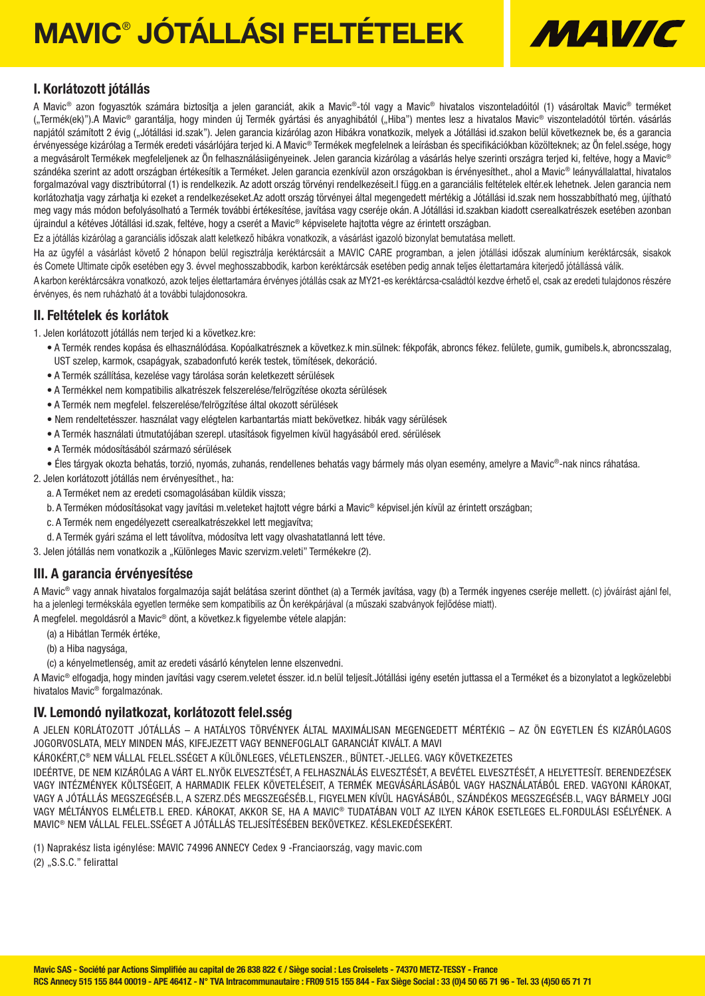# MAVIC® JÓTÁLLÁSI FELTÉTELEK



### I. Korlátozott jótállás

A Mavic® azon fogyasztók számára biztosítia a jelen garanciát, akik a Mavic®-tól vagy a Mavic® hivatalos viszonteladóitól (1) vásároltak Mavic® terméket ("Termék(ek)").A Mavic® garantálja, hogy minden új Termék gyártási és anyaghibától ("Hiba") mentes lesz a hivatalos Mavic® viszonteladótól történ. vásárlás napjától számított 2 évig ("Jótállási id.szak"). Jelen garancia kizárólag azon Hibákra vonatkozik, melyek a Jótállási id.szakon belül következnek be, és a garancia érvényessége kizárólag a Termék eredeti vásárlójára terjed ki. A Mavic® Termékek megfelelnek a leírásban és specifikációkban közölteknek; az Ön felel.ssége, hogy a megvásárolt Termékek megfeleljenek az Ön felhasználásiigényeinek. Jelen garancia kizárólag a vásárlás helye szerinti országra terjed ki, feltéve, hogy a Mavic® szándéka szerint az adott országban értékesítik a Terméket. Jelen garancia ezenkívül azon országokban is érvényesíthet., ahol a Mavic® leányvállalattal, hivatalos forgalmazóval vagy disztribútorral (1) is rendelkezik. Az adott ország törvényi rendelkezéseit.l függ.en a garanciális feltételek eltér.ek lehetnek. Jelen garancia nem korlátozhatja vagy zárhatja ki ezeket a rendelkezéseket.Az adott ország törvényei által megengedett mértékig a Jótállási id.szak nem hosszabbítható meg, újítható meg vagy más módon befolyásolható a Termék további értékesítése, javítása vagy cseréje okán. A Jótállási id.szakban kiadott cserealkatrészek esetében azonban újraindul a kétéves Jótállási id.szak, feltéve, hogy a cserét a Mavic® képviselete hajtotta végre az érintett országban.

Ez a jótállás kizárólag a garanciális időszak alatt keletkező hibákra vonatkozik, a vásárlást igazoló bizonylat bemutatása mellett.

Ha az ügyfél a vásárlást követő 2 hónapon belül regisztrálja keréktárcsáit a MAVIC CARE programban, a jelen jótállási időszak alumínium keréktárcsák, sisakok és Comete Ultimate cipők esetében egy 3. évvel meghosszabbodik, karbon keréktárcsák esetében pedig annak teljes élettartamára kiterjedő jótállássá válik.

A karbon keréktárcsákra vonatkozó, azok teljes élettartamára érvényes jótállás csak az MY21-es keréktárcsa-családtól kezdve érhető el, csak az eredeti tulajdonos részére érvényes, és nem ruházható át a további tulajdonosokra.

### II. Feltételek és korlátok

1. Jelen korlátozott jótállás nem terjed ki a következ.kre:

- A Termék rendes kopása és elhasználódása. Kopóalkatrésznek a következ.k min.sülnek: fékpofák, abroncs fékez. felülete, gumik, gumibels.k, abroncsszalag, UST szelep, karmok, csapágyak, szabadonfutó kerék testek, tömítések, dekoráció.
- A Termék szállítása, kezelése vagy tárolása során keletkezett sérülések
- A Termékkel nem kompatibilis alkatrészek felszerelése/felrögzítése okozta sérülések
- A Termék nem megfelel. felszerelése/felrögzítése által okozott sérülések
- Nem rendeltetésszer. használat vagy elégtelen karbantartás miatt bekövetkez. hibák vagy sérülések
- A Termék használati útmutatójában szerepl. utasítások figyelmen kívül hagyásából ered. sérülések
- A Termék módosításából származó sérülések
- Éles tárgyak okozta behatás, torzió, nyomás, zuhanás, rendellenes behatás vagy bármely más olyan esemény, amelyre a Mavic®-nak nincs ráhatása.

2. Jelen korlátozott jótállás nem érvényesíthet., ha:

- a. A Terméket nem az eredeti csomagolásában küldik vissza;
- b. A Terméken módosításokat vagy javítási m.veleteket hajtott végre bárki a Mavic® képvisel.jén kívül az érintett országban;
- c. A Termék nem engedélyezett cserealkatrészekkel lett megjavítva;
- d. A Termék gyári száma el lett távolítva, módosítva lett vagy olvashatatlanná lett téve.
- 3. Jelen jótállás nem vonatkozik a "Különleges Mavic szervizm.veleti" Termékekre (2).

### III. A garancia érvényesítése

A Mavic® vagy annak hivatalos forgalmazója saját belátása szerint dönthet (a) a Termék javítása, vagy (b) a Termék ingyenes cseréje mellett. (c) jóváírást ajánl fel, ha a jelenlegi termékskála egyetlen terméke sem kompatibilis az Ön kerékpárjával (a műszaki szabványok fejlődése miatt).

A megfelel. megoldásról a Mavic® dönt, a következ.k figyelembe vétele alapján:

(a) a Hibátlan Termék értéke,

- (b) a Hiba nagysága,
- (c) a kényelmetlenség, amit az eredeti vásárló kénytelen lenne elszenvedni.

A Mavic® elfogadja, hogy minden javítási vagy cserem.veletet ésszer. id.n belül teljesít.Jótállási igény esetén juttassa el a Terméket és a bizonylatot a legközelebbi hivatalos Mavic® forgalmazónak.

### IV. Lemondó nyilatkozat, korlátozott felel.sség

A JELEN KORLÁTOZOTT JÓTÁLLÁS – A HATÁLYOS TÖRVÉNYEK ÁLTAL MAXIMÁLISAN MEGENGEDETT MÉRTÉKIG – AZ ÖN EGYETLEN ÉS KIZÁRÓLAGOS JOGORVOSLATA, MELY MINDEN MÁS, KIFEJEZETT VAGY BENNEFOGLALT GARANCIÁT KIVÁLT. A MAVI

KÁROKÉRT,C® NEM VÁLLAL FELEL.SSÉGET A KÜLÖNLEGES, VÉLETLENSZER., BÜNTET.-JELLEG. VAGY KÖVETKEZETES

IDEÉRTVE, DE NEM KIZÁRÓLAG A VÁRT EL.NYÖK ELVESZTÉSÉT, A FELHASZNÁLÁS ELVESZTÉSÉT, A BEVÉTEL ELVESZTÉSÉT, A HELYETTESÍT. BERENDEZÉSEK VAGY INTÉZMÉNYEK KÖLTSÉGEIT, A HARMADIK FELEK KÖVETELÉSEIT, A TERMÉK MEGVÁSÁRLÁSÁBÓL VAGY HASZNÁLATÁBÓL ERED. VAGYONI KÁROKAT, VAGY A JÓTÁLLÁS MEGSZEGÉSÉB.L, A SZERZ.DÉS MEGSZEGÉSÉB.L, FIGYELMEN KÍVÜL HAGYÁSÁBÓL, SZÁNDÉKOS MEGSZEGÉSÉB.L, VAGY BÁRMELY JOGI VAGY MÉLTÁNYOS ELMÉLETB.L ERED. KÁROKAT, AKKOR SE, HA A MAVIC® TUDATÁBAN VOLT AZ ILYEN KÁROK ESETLEGES EL.FORDULÁSI ESÉLYÉNEK. A MAVIC® NEM VÁLLAL FELEL.SSÉGET A JÓTÁLLÁS TELJESÍTÉSÉBEN BEKÖVETKEZ. KÉSLEKEDÉSEKÉRT.

(1) Naprakész lista igénylése: MAVIC 74996 ANNECY Cedex 9 -Franciaország, vagy mavic.com

(2) "S.S.C." felirattal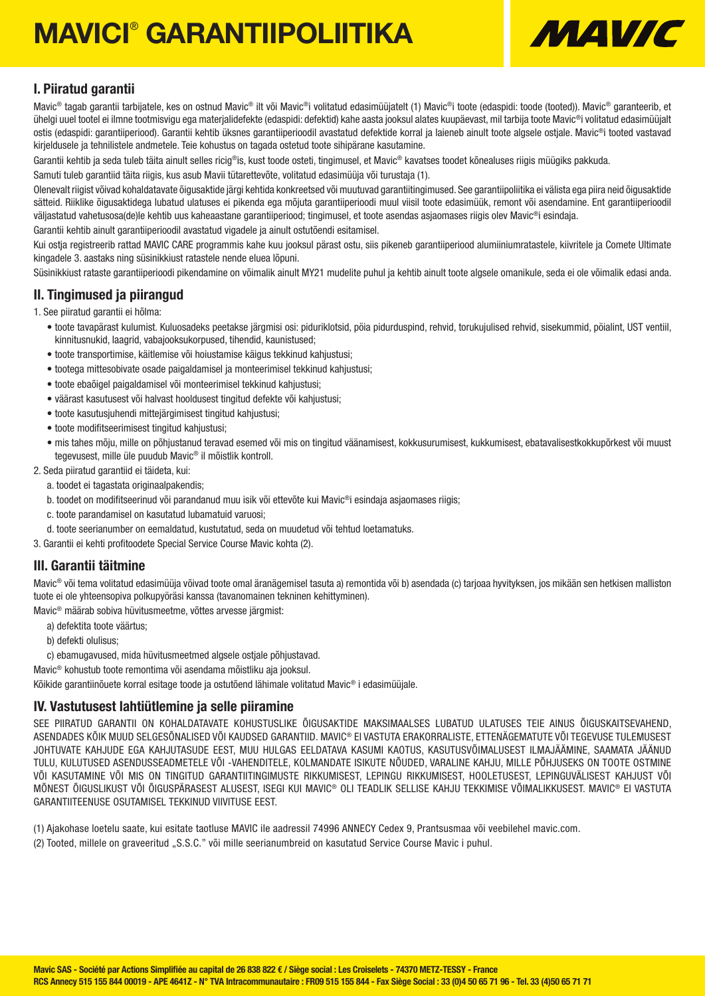# MAVICI® GARANTIIPOLIITIKA



### I. Piiratud garantii

Mavic<sup>®</sup> tagab garantii tarbijatele, kes on ostnud Mavic<sup>®</sup> ilt või Mavic<sup>®</sup>i volitatud edasimüüjatelt (1) Mavic®i toote (edaspidi: toode (tooted)). Mavic<sup>®</sup> garanteerib, et ühelgi uuel tootel ei ilmne tootmisvigu ega materjalidefekte (edaspidi: defektid) kahe aasta jooksul alates kuupäevast, mil tarbija toote Mavic®i volitatud edasimüüjalt ostis (edaspidi: garantiiperiood). Garantii kehtib üksnes garantiiperioodil avastatud defektide korral ja laieneb ainult toote algsele ostjale. Mavic®i tooted vastavad kirjeldusele ja tehnilistele andmetele. Teie kohustus on tagada ostetud toote sihipärane kasutamine.

Garantii kehtib ja seda tuleb täita ainult selles ricig®is, kust toode osteti, tingimusel, et Mavic® kavatses toodet kõnealuses riigis müügiks pakkuda.

Samuti tuleb garantiid täita riigis, kus asub Mavii tütarettevõte, volitatud edasimüüja või turustaja (1).

Olenevalt riigist võivad kohaldatavate õigusaktide järgi kehtida konkreetsed või muutuvad garantiitingimused. See garantiipoliitika ei välista ega piira neid õigusaktide sätteid. Riiklike õigusaktidega lubatud ulatuses ei pikenda ega mõjuta garantiiperioodi muul viisil toote edasimüük, remont või asendamine. Ent garantiiperioodil väljastatud vahetusosa(de)le kehtib uus kaheaastane garantiiperiood; tingimusel, et toote asendas asiaomases riigis olev Mavic®i esindaja.

Garantii kehtib ainult garantiiperioodil avastatud vigadele ja ainult ostutõendi esitamisel.

Kui ostja registreerib rattad MAVIC CARE programmis kahe kuu jooksul pärast ostu, siis pikeneb garantiiperiood alumiiniumratastele, kiivritele ja Comete Ultimate kingadele 3. aastaks ning süsinikkiust ratastele nende eluea lõpuni.

Süsinikkiust rataste garantiiperioodi pikendamine on võimalik ainult MY21 mudelite puhul ja kehtib ainult toote algsele omanikule, seda ei ole võimalik edasi anda.

II. Tingimused ja piirangud

1. See piiratud garantii ei hõlma:

- toote tavapärast kulumist. Kuluosadeks peetakse järgmisi osi: piduriklotsid, pöia pidurduspind, rehvid, torukujulised rehvid, sisekummid, pöialint, UST ventiil, kinnitusnukid, laagrid, vabajooksukorpused, tihendid, kaunistused;
- toote transportimise, käitlemise või hoiustamise käigus tekkinud kahjustusi;
- tootega mittesobivate osade paigaldamisel ja monteerimisel tekkinud kahjustusi;
- toote ebaõigel paigaldamisel või monteerimisel tekkinud kahjustusi;
- väärast kasutusest või halvast hooldusest tingitud defekte või kahjustusi;
- toote kasutusjuhendi mittejärgimisest tingitud kahjustusi;
- toote modifitseerimisest tingitud kahjustusi;
- mis tahes mõju, mille on põhjustanud teravad esemed või mis on tingitud väänamisest, kokkusurumisest, kukkumisest, ebatavalisestkokkupõrkest või muust tegevusest, mille üle puudub Mavic® il mõistlik kontroll.

2. Seda piiratud garantiid ei täideta, kui:

- a. toodet ei tagastata originaalpakendis;
- b. toodet on modifitseerinud või parandanud muu isik või ettevõte kui Mavic®i esindaja asjaomases riigis;
- c. toote parandamisel on kasutatud lubamatuid varuosi;
- d. toote seerianumber on eemaldatud, kustutatud, seda on muudetud või tehtud loetamatuks.

3. Garantii ei kehti profitoodete Special Service Course Mavic kohta (2).

### III. Garantii täitmine

Mavic<sup>®</sup> või tema volitatud edasimüüja võivad toote omal äranägemisel tasuta a) remontida või b) asendada (c) tarjoaa hyvityksen, jos mikään sen hetkisen malliston tuote ei ole yhteensopiva polkupyöräsi kanssa (tavanomainen tekninen kehittyminen).

Mavic® määrab sobiva hüvitusmeetme, võttes arvesse järgmist:

- a) defektita toote väärtus;
- b) defekti olulisus;
- c) ebamugavused, mida hüvitusmeetmed algsele ostjale põhjustavad.
- Mavic® kohustub toote remontima või asendama mõistliku aja jooksul.

Kõikide garantiinõuete korral esitage toode ja ostutõend lähimale volitatud Mavic® i edasimüüjale.

### IV. Vastutusest lahtiütlemine ja selle piiramine

SEE PIIRATUD GARANTII ON KOHALDATAVATE KOHUSTUSLIKE ÕIGUSAKTIDE MAKSIMAALSES LUBATUD ULATUSES TEIE AINUS ÕIGUSKAITSEVAHEND, ASENDADES KÕIK MUUD SELGESÕNALISED VÕI KAUDSED GARANTIID. MAVIC® EI VASTUTA ERAKORRALISTE, ETTENÄGEMATUTE VÕI TEGEVUSE TULEMUSEST JOHTUVATE KAHJUDE EGA KAHJUTASUDE EEST, MUU HULGAS EELDATAVA KASUMI KAOTUS, KASUTUSVÕIMALUSEST ILMAJÄÄMINE, SAAMATA JÄÄNUD TULU, KULUTUSED ASENDUSSEADMETELE VÕI -VAHENDITELE, KOLMANDATE ISIKUTE NÕUDED, VARALINE KAHJU, MILLE PÕHJUSEKS ON TOOTE OSTMINE VÕI KASUTAMINE VÕI MIS ON TINGITUD GARANTIITINGIMUSTE RIKKUMISEST, LEPINGU RIKKUMISEST, HOOLETUSEST, LEPINGUVÄLISEST KAHJUST VÕI MÕNEST ÕIGUSLIKUST VÕI ÕIGUSPÄRASEST ALUSEST, ISEGI KUI MAVIC® OLI TEADLIK SELLISE KAHJU TEKKIMISE VÕIMALIKKUSEST. MAVIC® EI VASTUTA GARANTIITEENUSE OSUTAMISEL TEKKINUD VIIVITUSE EEST.

(1) Ajakohase loetelu saate, kui esitate taotluse MAVIC ile aadressil 74996 ANNECY Cedex 9, Prantsusmaa või veebilehel mavic.com.

(2) Tooted, millele on graveeritud "S.S.C." või mille seerianumbreid on kasutatud Service Course Mavic i puhul.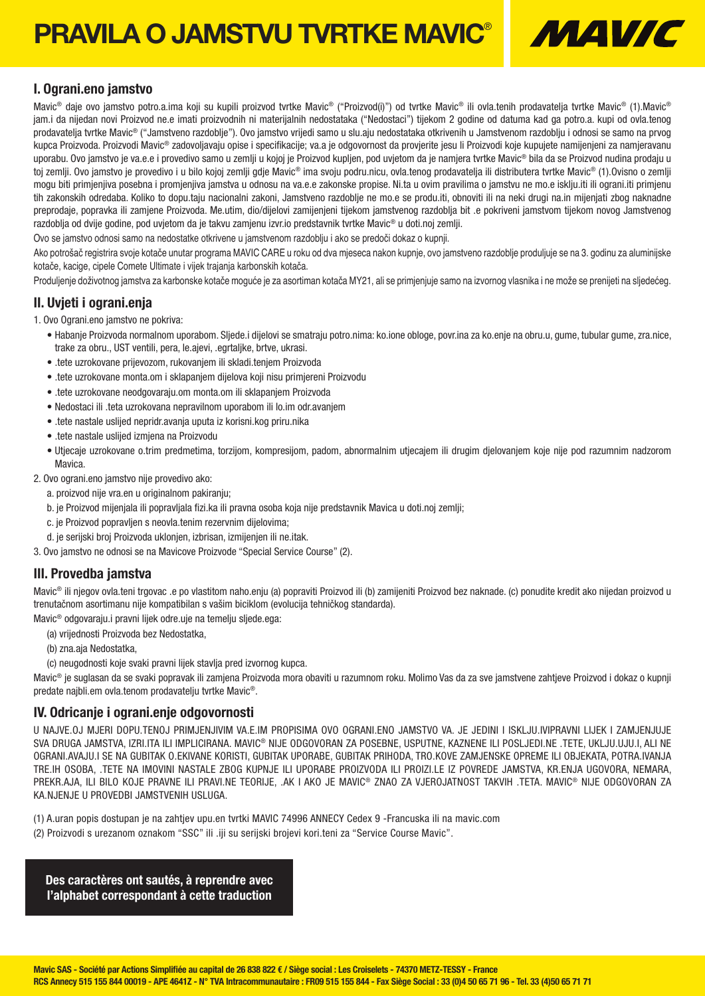## PRAVILA O JAMSTVU TVRTKE MAVIC® MALE MALE



### I. Ograni.eno jamstvo

Mavic<sup>®</sup> daje ovo jamstvo potro.a.ima koji su kupili proizvod tvrtke Mavic® ("Proizvod(i)") od tvrtke Mavic® ili ovla.tenih prodavatelja tvrtke Mavic® (1).Mavic® jam.i da nijedan novi Proizvod ne.e imati proizvodnih ni materijalnih nedostataka ("Nedostaci") tijekom 2 godine od datuma kad ga potro.a. kupi od ovla.tenog prodavatelja tvrtke Mavic® ("Jamstveno razdoblje"). Ovo jamstvo vrijedi samo u slu.aju nedostataka otkrivenih u Jamstvenom razdoblju i odnosi se samo na prvog kupca Proizvoda. Proizvodi Mavic® zadovoljavaju opise i specifikacije; va.a je odgovornost da provjerite jesu li Proizvodi koje kupujete namijenjeni za namjeravanu uporabu. Ovo jamstvo je va.e.e i provedivo samo u zemlji u kojoj je Proizvod kupljen, pod uvjetom da je namjera tvrtke Mavic® bila da se Proizvod nudina prodaju u toj zemlji. Ovo jamstvo je provedivo i u bilo kojoj zemlji gdje Mavic® ima svoju podru.nicu, ovla.tenog prodavatelja ili distributera tvrtke Mavic® (1).Ovisno o zemlji mogu biti primjenjiva posebna i promjenjiva jamstva u odnosu na va.e.e zakonske propise. Ni.ta u ovim pravilima o jamstvu ne mo.e isklju.iti ili ograni.iti primjenu tih zakonskih odredaba. Koliko to dopu.taju nacionalni zakoni, Jamstveno razdoblje ne mo.e se produ.iti, obnoviti ili na neki drugi na.in mijenjati zbog naknadne preprodaje, popravka ili zamjene Proizvoda. Me.utim, dio/dijelovi zamijenjeni tijekom jamstvenog razdoblja bit .e pokriveni jamstvom tijekom novog Jamstvenog razdoblja od dvije godine, pod uvjetom da je takvu zamjenu izvr.io predstavnik tvrtke Mavic® u doti.noj zemlji.

Ovo se jamstvo odnosi samo na nedostatke otkrivene u jamstvenom razdoblju i ako se predoči dokaz o kupnji.

Ako potrošač registrira svoje kotače unutar programa MAVIC CARE u roku od dva mjeseca nakon kupnje, ovo jamstveno razdoblje produljuje se na 3. godinu za aluminijske kotače, kacige, cipele Comete Ultimate i vijek trajanja karbonskih kotača.

Produljenje doživotnog jamstva za karbonske kotače moguće je za asortiman kotača MY21, ali se primjenjuje samo na izvornog vlasnika i ne može se prenijeti na sljedećeg.

### II. Uvjeti i ograni.enja

1. Ovo Ograni.eno jamstvo ne pokriva:

- Habanje Proizvoda normalnom uporabom. Sljede.i dijelovi se smatraju potro.nima: ko.ione obloge, povr.ina za ko.enje na obru.u, gume, tubular gume, zra.nice, trake za obru., UST ventili, pera, le.ajevi, .egrtaljke, brtve, ukrasi.
- .tete uzrokovane prijevozom, rukovanjem ili skladi.tenjem Proizvoda
- .tete uzrokovane monta.om i sklapanjem dijelova koji nisu primjereni Proizvodu
- .tete uzrokovane neodgovaraju.om monta.om ili sklapanjem Proizvoda
- Nedostaci ili .teta uzrokovana nepravilnom uporabom ili lo.im odr.avanjem
- .tete nastale uslijed nepridr.avanja uputa iz korisni.kog priru.nika
- .tete nastale uslijed izmjena na Proizvodu
- Utjecaje uzrokovane o.trim predmetima, torzijom, kompresijom, padom, abnormalnim utjecajem ili drugim djelovanjem koje nije pod razumnim nadzorom Mavica.

2. Ovo ograni.eno jamstvo nije provedivo ako:

- a. proizvod nije vra.en u originalnom pakiranju;
- b. je Proizvod mijenjala ili popravljala fizi.ka ili pravna osoba koja nije predstavnik Mavica u doti.noj zemlji;
- c. je Proizvod popravljen s neovla.tenim rezervnim dijelovima;
- d. je serijski broj Proizvoda uklonjen, izbrisan, izmijenjen ili ne.itak.

3. Ovo jamstvo ne odnosi se na Mavicove Proizvode "Special Service Course" (2).

### III. Provedba jamstva

Mavic<sup>®</sup> ili njegov ovla.teni trgovac .e po vlastitom naho.enju (a) popraviti Proizvod ili (b) zamijeniti Proizvod bez naknade. (c) ponudite kredit ako nijedan proizvod u trenutačnom asortimanu nije kompatibilan s vašim biciklom (evolucija tehničkog standarda).

Mavic® odgovaraju.i pravni lijek odre.uje na temelju sljede.ega:

- (a) vrijednosti Proizvoda bez Nedostatka,
- (b) zna.aja Nedostatka,
- (c) neugodnosti koje svaki pravni lijek stavlja pred izvornog kupca.

Mavic® je suglasan da se svaki popravak ili zamjena Proizvoda mora obaviti u razumnom roku. Molimo Vas da za sve jamstvene zahtjeve Proizvod i dokaz o kupnji predate najbli.em ovla.tenom prodavatelju tvrtke Mavic®.

### IV. Odricanje i ograni.enje odgovornosti

U NAJVE.OJ MJERI DOPU.TENOJ PRIMJENJIVIM VA.E.IM PROPISIMA OVO OGRANI.ENO JAMSTVO VA. JE JEDINI I ISKLJU.IVIPRAVNI LIJEK I ZAMJENJUJE SVA DRUGA JAMSTVA, IZRI.ITA ILI IMPLICIRANA. MAVIC® NIJE ODGOVORAN ZA POSEBNE, USPUTNE, KAZNENE ILI POSLJEDI.NE .TETE, UKLJU.UJU.I, ALI NE OGRANI.AVAJU.I SE NA GUBITAK O.EKIVANE KORISTI, GUBITAK UPORABE, GUBITAK PRIHODA, TRO.KOVE ZAMJENSKE OPREME ILI OBJEKATA, POTRA.IVANJA TRE.IH OSOBA, .TETE NA IMOVINI NASTALE ZBOG KUPNJE ILI UPORABE PROIZVODA ILI PROIZI.LE IZ POVREDE JAMSTVA, KR.ENJA UGOVORA, NEMARA, PREKR.AJA, ILI BILO KOJE PRAVNE ILI PRAVI.NE TEORIJE, .AK I AKO JE MAVIC® ZNAO ZA VJEROJATNOST TAKVIH .TETA. MAVIC® NIJE ODGOVORAN ZA KA.NJENJE U PROVEDBI JAMSTVENIH USLUGA.

- (1) A.uran popis dostupan je na zahtjev upu.en tvrtki MAVIC 74996 ANNECY Cedex 9 -Francuska ili na mavic.com
- (2) Proizvodi s urezanom oznakom "SSC" ili .iji su serijski brojevi kori.teni za "Service Course Mavic".

Des caractères ont sautés, à reprendre avec l'alphabet correspondant à cette traduction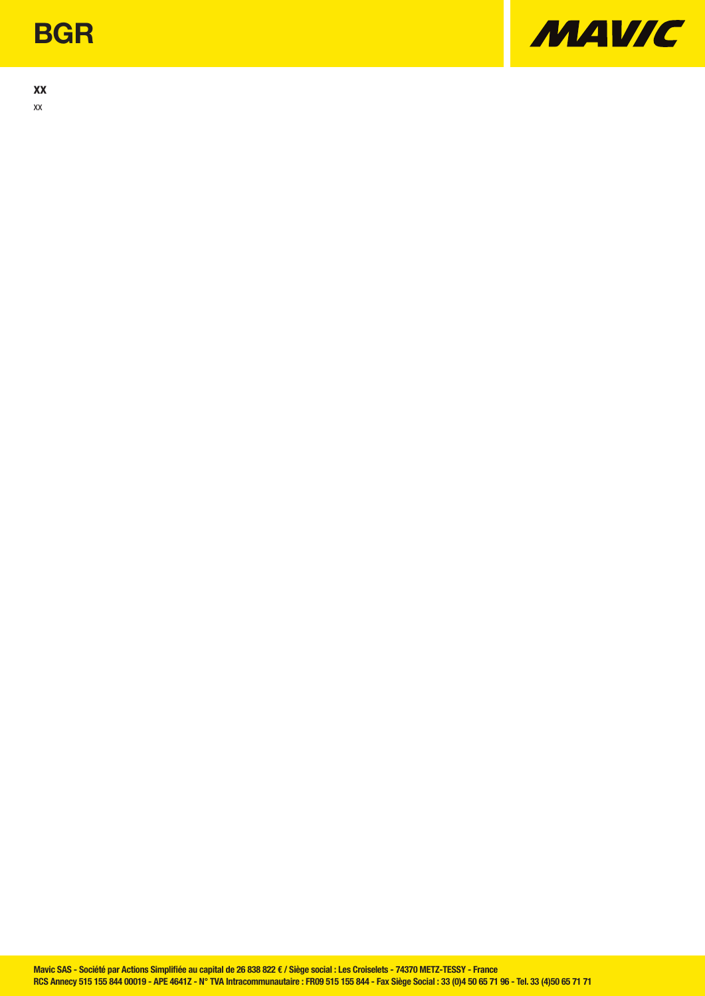## **BGR**

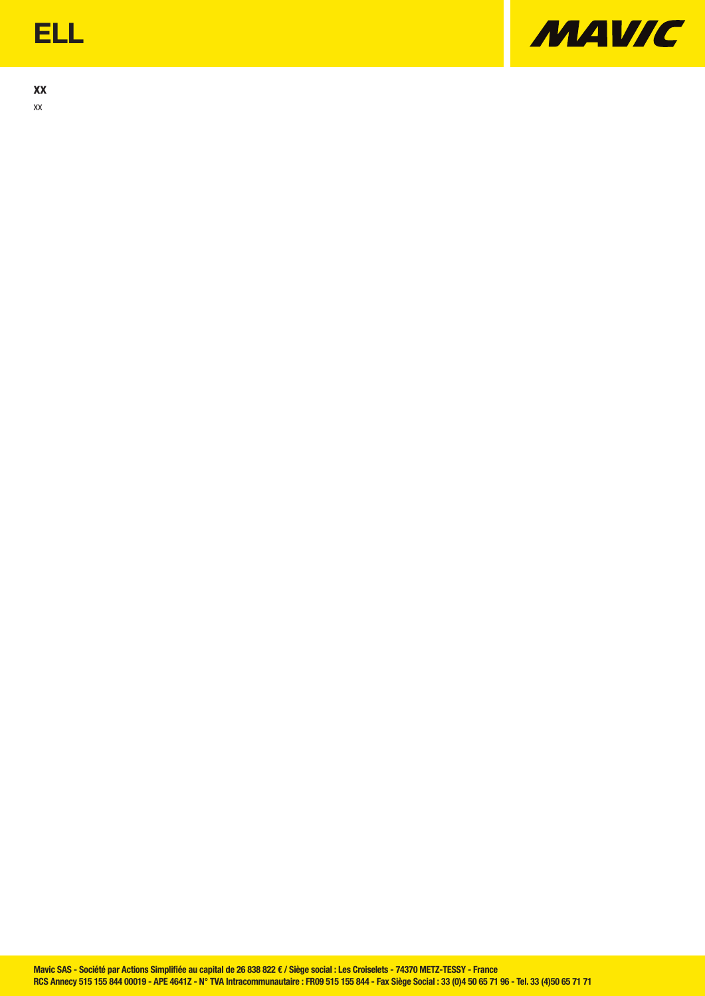## ELL

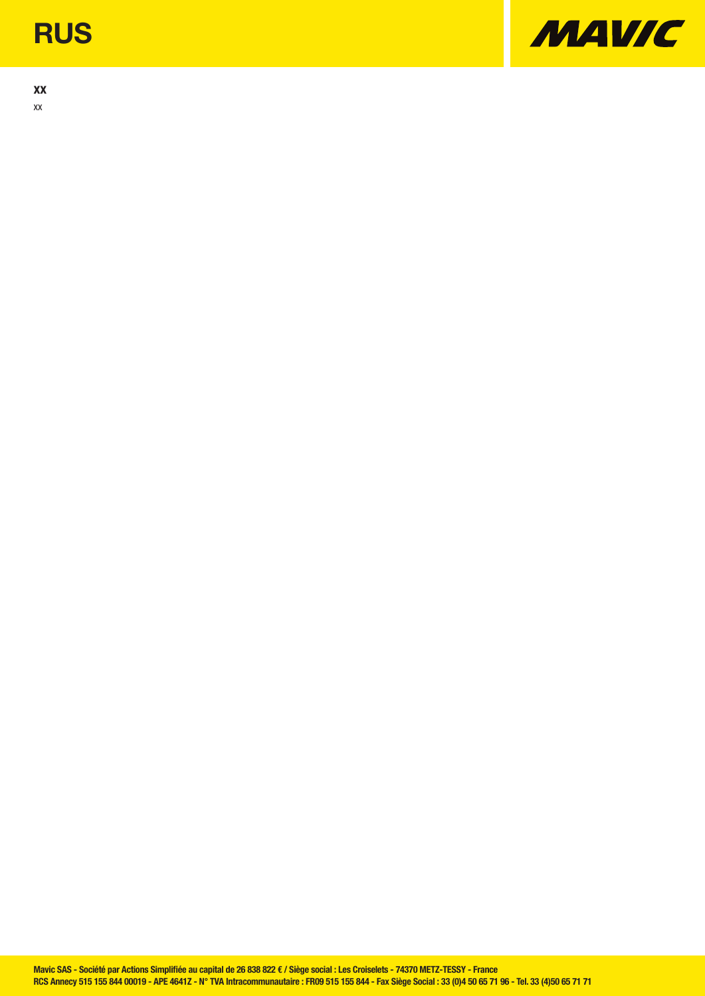## **RUS**

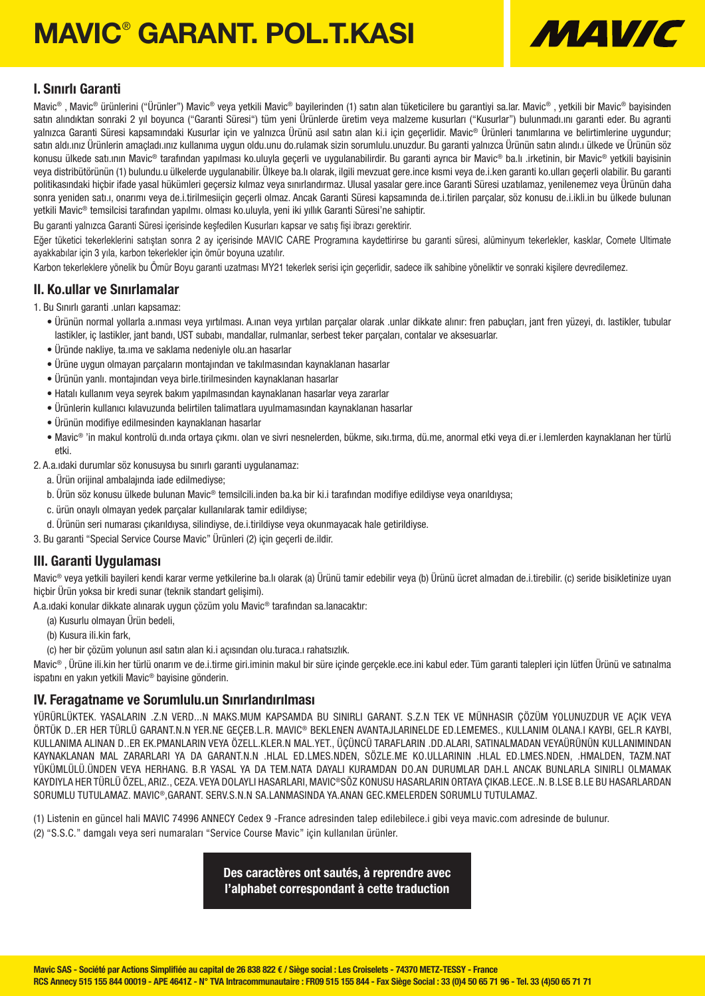# MAVIC® GARANT. POL.T.KASI



### I. Sınırlı Garanti

Mavic® , Mavic® ürünlerini ("Ürünler") Mavic® veya yetkili Mavic® bayilerinden (1) satın alan tüketicilere bu garantiyi sa.lar. Mavic® , yetkili bir Mavic® bayisinden satın alındıktan sonraki 2 yıl boyunca ("Garanti Süresi") tüm yeni Ürünlerde üretim veya malzeme kusurları ("Kusurlar") bulunmadı.ını qaranti eder. Bu agranti yalnızca Garanti Süresi kapsamındaki Kusurlar için ve yalnızca Ürünü asıl satın alan ki.i için geçerlidir. Mavic® Ürünleri tanımlarına ve belirtimlerine uygundur; satın aldı.ınız Ürünlerin amaçladı.ınız kullanıma uygun oldu.unu do.rulamak sizin sorumlulu.unuzdur. Bu garanti yalnızca Ürünün satın alındı.ı ülkede ve Ürünün söz konusu ülkede satı.ının Mavic® tarafından yapılması ko.uluyla geçerli ve uygulanabilirdir. Bu garanti ayrıca bir Mavic® ba.lı .irketinin, bir Mavic® yetkili bayisinin veya distribütörünün (1) bulundu.u ülkelerde uygulanabilir. Ülkeye ba.lı olarak, ilgili mevzuat gere.ince kısmi veya de.i.ken garanti ko.ulları geçerli olabilir. Bu garanti politikasındaki hiçbir ifade yasal hükümleri geçersiz kılmaz veya sınırlandırmaz. Ulusal yasalar gere.ince Garanti Süresi uzatılamaz, yenilenemez veya Ürünün daha sonra yeniden satı.ı, onarımı veya de.i.tirilmesiiçin geçerli olmaz. Ancak Garanti Süresi kapsamında de.i.tirilen parçalar, söz konusu de.i.ikli.in bu ülkede bulunan yetkili Mavic® temsilcisi tarafından yapılmı. olması ko.uluyla, yeni iki yıllık Garanti Süresi'ne sahiptir.

Bu garanti yalnızca Garanti Süresi içerisinde keşfedilen Kusurları kapsar ve satış fişi ibrazı gerektirir.

Eğer tüketici tekerleklerini satıştan sonra 2 ay içerisinde MAVIC CARE Programına kaydettirirse bu garanti süresi, alüminyum tekerlekler, kasklar, Comete Ultimate ayakkabılar için 3 yıla, karbon tekerlekler için ömür boyuna uzatılır.

Karbon tekerleklere yönelik bu Ömür Boyu garanti uzatması MY21 tekerlek serisi için geçerlidir, sadece ilk sahibine yöneliktir ve sonraki kişilere devredilemez.

#### II. Ko.ullar ve Sınırlamalar

- 1. Bu Sınırlı garanti .unları kapsamaz:
	- Ürünün normal yollarla a.ınması veya yırtılması. A.ınan veya yırtılan parçalar olarak .unlar dikkate alınır: fren pabuçları, jant fren yüzeyi, dı. lastikler, tubular lastikler, iç lastikler, jant bandı, UST subabı, mandallar, rulmanlar, serbest teker parçaları, contalar ve aksesuarlar.
	- Üründe nakliye, ta.ıma ve saklama nedeniyle olu.an hasarlar
	- Ürüne uygun olmayan parçaların montajından ve takılmasından kaynaklanan hasarlar
	- Ürünün yanlı. montajından veya birle.tirilmesinden kaynaklanan hasarlar
	- Hatalı kullanım veya seyrek bakım yapılmasından kaynaklanan hasarlar veya zararlar
	- Ürünlerin kullanıcı kılavuzunda belirtilen talimatlara uyulmamasından kaynaklanan hasarlar
	- Ürünün modifiye edilmesinden kaynaklanan hasarlar
	- Mavic® 'in makul kontrolü dı.ında ortaya çıkmı. olan ve sivri nesnelerden, bükme, sıkı.tırma, dü.me, anormal etki veya di.er i.lemlerden kaynaklanan her türlü etki.

2. A.a.ıdaki durumlar söz konusuysa bu sınırlı garanti uygulanamaz:

- a. Ürün orijinal ambalajında iade edilmediyse;
- b. Ürün söz konusu ülkede bulunan Mavic® temsilcili.inden ba.ka bir ki.i tarafından modifiye edildiyse veya onarıldıysa;
- c. ürün onaylı olmayan yedek parçalar kullanılarak tamir edildiyse;
- d. Ürünün seri numarası çıkarıldıysa, silindiyse, de.i.tirildiyse veya okunmayacak hale getirildiyse.

3. Bu garanti "Special Service Course Mavic" Ürünleri (2) için geçerli de.ildir.

### III. Garanti Uygulaması

Mavic® veya yetkili bayileri kendi karar verme yetkilerine ba.lı olarak (a) Ürünü tamir edebilir veya (b) Ürünü ücret almadan de.i.tirebilir. (c) seride bisikletinize uyan hiçbir Ürün yoksa bir kredi sunar (teknik standart gelişimi).

A.a.ıdaki konular dikkate alınarak uygun çözüm yolu Mavic® tarafından sa.lanacaktır:

- (a) Kusurlu olmayan Ürün bedeli,
- (b) Kusura ili.kin fark,
- (c) her bir çözüm yolunun asıl satın alan ki.i açısından olu.turaca.ı rahatsızlık.

Mavic® , Ürüne ili.kin her türlü onarım ve de.i.tirme giri.iminin makul bir süre içinde gerçekle.ece.ini kabul eder. Tüm garanti talepleri için lütfen Ürünü ve satınalma ispatını en yakın yetkili Mavic® bayisine gönderin.

### IV. Feragatname ve Sorumlulu.un Sınırlandırılması

YÜRÜRLÜKTEK. YASALARIN .Z.N VERD...N MAKS.MUM KAPSAMDA BU SINIRLI GARANT. S.Z.N TEK VE MÜNHASIR ÇÖZÜM YOLUNUZDUR VE AÇIK VEYA ÖRTÜK D..ER HER TÜRLÜ GARANT.N.N YER.NE GEÇEB.L.R. MAVIC® BEKLENEN AVANTAJLARINELDE ED.LEMEMES., KULLANIM OLANA.I KAYBI, GEL.R KAYBI, KULLANIMA ALINAN D..ER EK.PMANLARIN VEYA ÖZELL.KLER.N MAL.YET., ÜÇÜNCÜ TARAFLARIN .DD.ALARI, SATINALMADAN VEYAÜRÜNÜN KULLANIMINDAN KAYNAKLANAN MAL ZARARLARI YA DA GARANT.N.N .HLAL ED.LMES.NDEN, SÖZLE.ME KO.ULLARININ .HLAL ED.LMES.NDEN, .HMALDEN, TAZM.NAT YÜKÜMLÜLÜ.ÜNDEN VEYA HERHANG. B.R YASAL YA DA TEM.NATA DAYALI KURAMDAN DO.AN DURUMLAR DAH.L ANCAK BUNLARLA SINIRLI OLMAMAK KAYDIYLA HER TÜRLÜ ÖZEL, ARIZ., CEZA. VEYA DOLAYLI HASARLARI, MAVIC®SÖZ KONUSU HASARLARIN ORTAYA ÇIKAB.LECE..N. B.LSE B.LE BU HASARLARDAN SORUMLU TUTULAMAZ. MAVIC®,GARANT. SERV.S.N.N SA.LANMASINDA YA.ANAN GEC.KMELERDEN SORUMLU TUTULAMAZ.

(1) Listenin en güncel hali MAVIC 74996 ANNECY Cedex 9 -France adresinden talep edilebilece.i gibi veya mavic.com adresinde de bulunur. (2) "S.S.C." damgalı veya seri numaraları "Service Course Mavic" için kullanılan ürünler.

> Des caractères ont sautés, à reprendre avec l'alphabet correspondant à cette traduction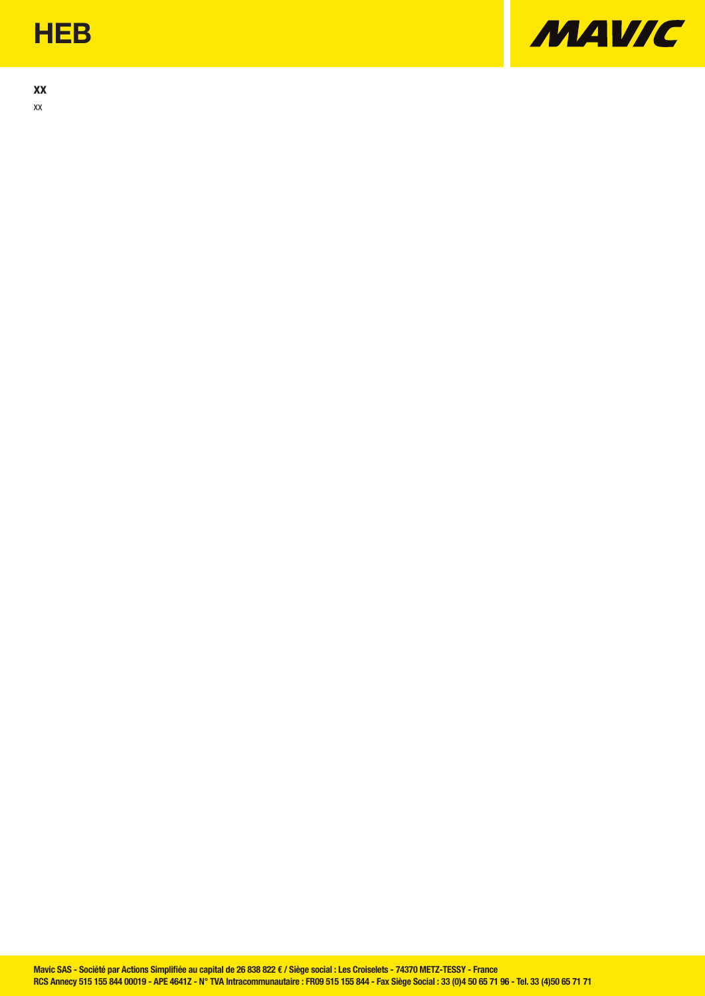## **HEB**

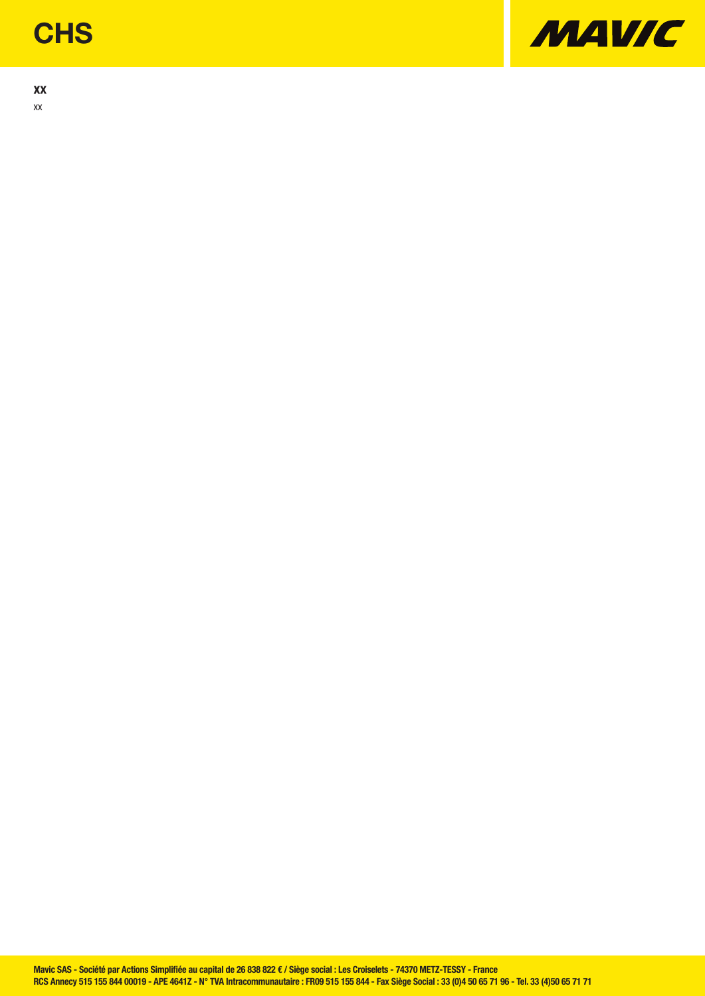## **CHS**

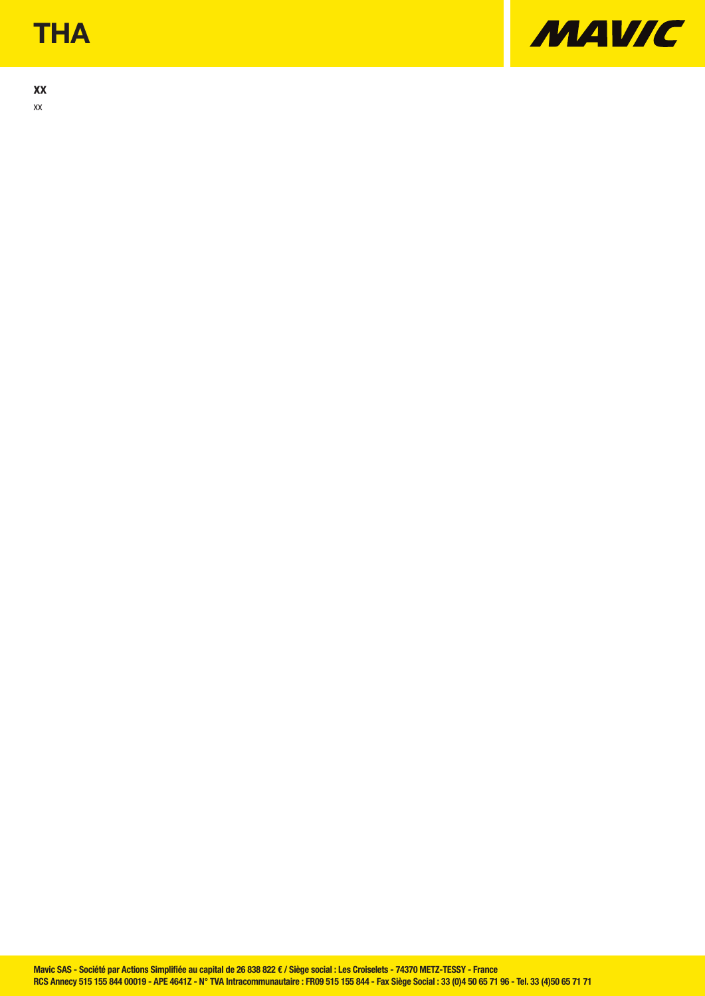## **THA**

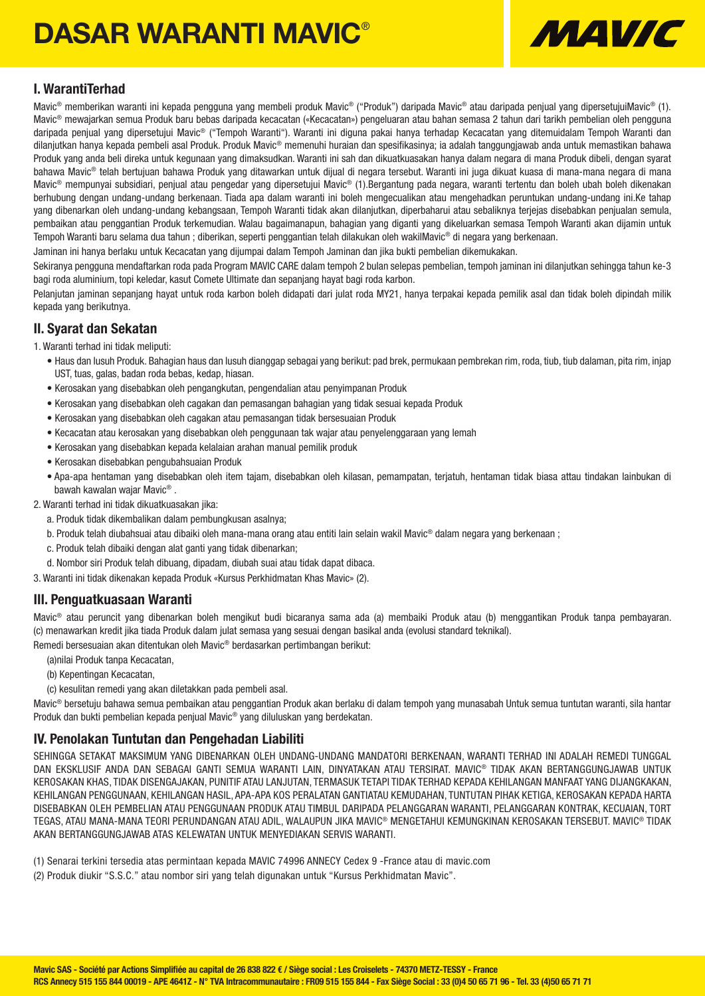# DASAR WARANTI MAVIC®



### I. WarantiTerhad

Mavic<sup>®</sup> memberikan waranti ini kepada pengguna yang membeli produk Mavic<sup>®</sup> ("Produk") daripada Mavic<sup>®</sup> atau daripada peniual yang dipersetujuiMavic<sup>®</sup> (1). Mavic® mewajarkan semua Produk baru bebas daripada kecacatan («Kecacatan») pengeluaran atau bahan semasa 2 tahun dari tarikh pembelian oleh pengguna daripada penjual yang dipersetujui Mavic® ("Tempoh Waranti"). Waranti ini diguna pakai hanya terhadap Kecacatan yang ditemuidalam Tempoh Waranti dan dilanjutkan hanya kepada pembeli asal Produk. Produk Mavic® memenuhi huraian dan spesifikasinya; ia adalah tanggungjawab anda untuk memastikan bahawa Produk yang anda beli direka untuk kegunaan yang dimaksudkan. Waranti ini sah dan dikuatkuasakan hanya dalam negara di mana Produk dibeli, dengan syarat bahawa Mavic<sup>®</sup> telah bertujuan bahawa Produk yang ditawarkan untuk dijual di negara tersebut. Waranti ini juga dikuat kuasa di mana-mana negara di mana Mavic® mempunyai subsidiari, penjual atau pengedar yang dipersetujui Mavic® (1).Bergantung pada negara, waranti tertentu dan boleh ubah boleh dikenakan berhubung dengan undang-undang berkenaan. Tiada apa dalam waranti ini boleh mengecualikan atau mengehadkan peruntukan undang-undang ini.Ke tahap yang dibenarkan oleh undang-undang kebangsaan, Tempoh Waranti tidak akan dilanjutkan, diperbaharui atau sebaliknya terjejas disebabkan penjualan semula, pembaikan atau penggantian Produk terkemudian. Walau bagaimanapun, bahagian yang diganti yang dikeluarkan semasa Tempoh Waranti akan dijamin untuk Tempoh Waranti baru selama dua tahun ; diberikan, seperti penggantian telah dilakukan oleh wakilMavic® di negara yang berkenaan.

Jaminan ini hanya berlaku untuk Kecacatan yang dijumpai dalam Tempoh Jaminan dan jika bukti pembelian dikemukakan.

Sekiranya pengguna mendaftarkan roda pada Program MAVIC CARE dalam tempoh 2 bulan selepas pembelian, tempoh jaminan ini dilanjutkan sehingga tahun ke-3 bagi roda aluminium, topi keledar, kasut Comete Ultimate dan sepanjang hayat bagi roda karbon.

Pelanjutan jaminan sepanjang hayat untuk roda karbon boleh didapati dari julat roda MY21, hanya terpakai kepada pemilik asal dan tidak boleh dipindah milik kepada yang berikutnya.

### II. Syarat dan Sekatan

- 1. Waranti terhad ini tidak meliputi:
	- Haus dan lusuh Produk. Bahagian haus dan lusuh dianggap sebagai yang berikut: pad brek, permukaan pembrekan rim, roda, tiub, tiub dalaman, pita rim, injap UST, tuas, galas, badan roda bebas, kedap, hiasan.
	- Kerosakan yang disebabkan oleh pengangkutan, pengendalian atau penyimpanan Produk
	- Kerosakan yang disebabkan oleh cagakan dan pemasangan bahagian yang tidak sesuai kepada Produk
	- Kerosakan yang disebabkan oleh cagakan atau pemasangan tidak bersesuaian Produk
	- Kecacatan atau kerosakan yang disebabkan oleh penggunaan tak wajar atau penyelenggaraan yang lemah
	- Kerosakan yang disebabkan kepada kelalaian arahan manual pemilik produk
	- Kerosakan disebabkan pengubahsuaian Produk
	- Apa-apa hentaman yang disebabkan oleh item tajam, disebabkan oleh kilasan, pemampatan, terjatuh, hentaman tidak biasa attau tindakan lainbukan di bawah kawalan wajar Mavic® .
- 2. Waranti terhad ini tidak dikuatkuasakan jika:
	- a. Produk tidak dikembalikan dalam pembungkusan asalnya;
	- b. Produk telah diubahsuai atau dibaiki oleh mana-mana orang atau entiti lain selain wakil Mavic® dalam negara yang berkenaan ;
	- c. Produk telah dibaiki dengan alat ganti yang tidak dibenarkan;
	- d. Nombor siri Produk telah dibuang, dipadam, diubah suai atau tidak dapat dibaca.
- 3. Waranti ini tidak dikenakan kepada Produk «Kursus Perkhidmatan Khas Mavic» (2).

### III. Penguatkuasaan Waranti

Mavic® atau peruncit yang dibenarkan boleh mengikut budi bicaranya sama ada (a) membaiki Produk atau (b) menggantikan Produk tanpa pembayaran. (c) menawarkan kredit jika tiada Produk dalam julat semasa yang sesuai dengan basikal anda (evolusi standard teknikal).

Remedi bersesuaian akan ditentukan oleh Mavic® berdasarkan pertimbangan berikut:

- (a)nilai Produk tanpa Kecacatan,
- (b) Kepentingan Kecacatan,
- (c) kesulitan remedi yang akan diletakkan pada pembeli asal.

Mavic® bersetuju bahawa semua pembaikan atau penggantian Produk akan berlaku di dalam tempoh yang munasabah Untuk semua tuntutan waranti, sila hantar Produk dan bukti pembelian kepada penjual Mavic® yang diluluskan yang berdekatan.

### IV. Penolakan Tuntutan dan Pengehadan Liabiliti

SEHINGGA SETAKAT MAKSIMUM YANG DIBENARKAN OLEH UNDANG-UNDANG MANDATORI BERKENAAN, WARANTI TERHAD INI ADALAH REMEDI TUNGGAL DAN EKSKLUSIF ANDA DAN SEBAGAI GANTI SEMUA WARANTI LAIN, DINYATAKAN ATAU TERSIRAT. MAVIC® TIDAK AKAN BERTANGGUNGJAWAB UNTUK KEROSAKAN KHAS, TIDAK DISENGAJAKAN, PUNITIF ATAU LANJUTAN, TERMASUK TETAPI TIDAK TERHAD KEPADA KEHILANGAN MANFAAT YANG DIJANGKAKAN, KEHILANGAN PENGGUNAAN, KEHILANGAN HASIL, APA-APA KOS PERALATAN GANTIATAU KEMUDAHAN, TUNTUTAN PIHAK KETIGA, KEROSAKAN KEPADA HARTA DISEBABKAN OLEH PEMBELIAN ATAU PENGGUNAAN PRODUK ATAU TIMBUL DARIPADA PELANGGARAN WARANTI, PELANGGARAN KONTRAK, KECUAIAN, TORT TEGAS, ATAU MANA-MANA TEORI PERUNDANGAN ATAU ADIL, WALAUPUN JIKA MAVIC® MENGETAHUI KEMUNGKINAN KEROSAKAN TERSEBUT. MAVIC® TIDAK AKAN BERTANGGUNGJAWAB ATAS KELEWATAN UNTUK MENYEDIAKAN SERVIS WARANTI.

- (1) Senarai terkini tersedia atas permintaan kepada MAVIC 74996 ANNECY Cedex 9 -France atau di mavic.com
- (2) Produk diukir "S.S.C." atau nombor siri yang telah digunakan untuk "Kursus Perkhidmatan Mavic".